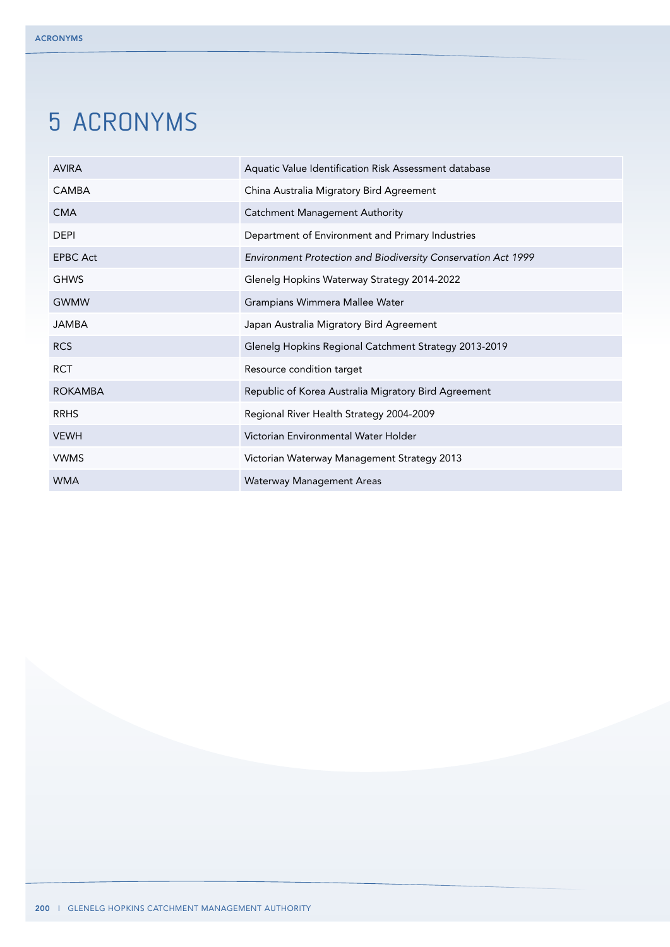# 5 acronyms

| <b>AVIRA</b>    | Aquatic Value Identification Risk Assessment database         |
|-----------------|---------------------------------------------------------------|
| CAMBA           | China Australia Migratory Bird Agreement                      |
| <b>CMA</b>      | <b>Catchment Management Authority</b>                         |
| <b>DEPI</b>     | Department of Environment and Primary Industries              |
| <b>EPBC Act</b> | Environment Protection and Biodiversity Conservation Act 1999 |
| <b>GHWS</b>     | Glenelg Hopkins Waterway Strategy 2014-2022                   |
| <b>GWMW</b>     | Grampians Wimmera Mallee Water                                |
| <b>JAMBA</b>    | Japan Australia Migratory Bird Agreement                      |
| <b>RCS</b>      | Glenelg Hopkins Regional Catchment Strategy 2013-2019         |
| <b>RCT</b>      | Resource condition target                                     |
| <b>ROKAMBA</b>  | Republic of Korea Australia Migratory Bird Agreement          |
| <b>RRHS</b>     | Regional River Health Strategy 2004-2009                      |
| <b>VEWH</b>     | Victorian Environmental Water Holder                          |
| <b>VWMS</b>     | Victorian Waterway Management Strategy 2013                   |
| WMA             | Waterway Management Areas                                     |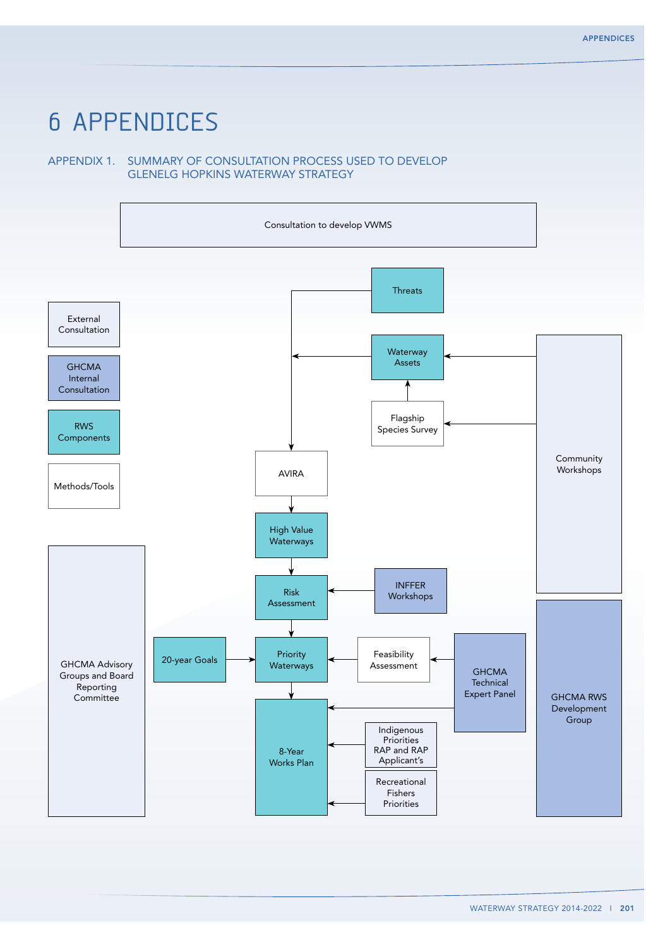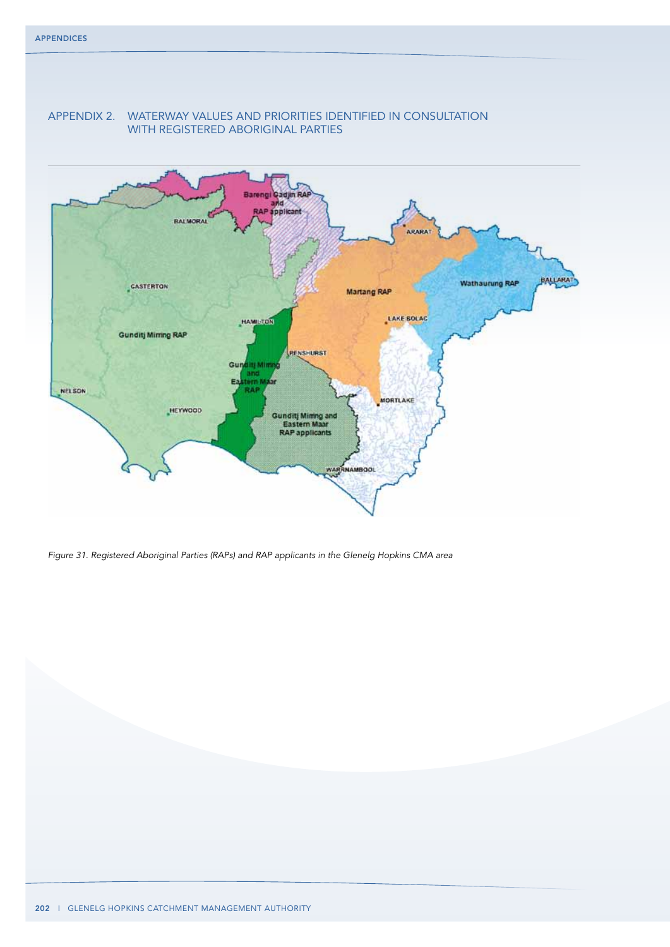

# Appendix 2. waterway values and priorities identified in consultation with registered aboriginal parties

*Figure 31. Registered Aboriginal Parties (RAPs) and RAP applicants in the Glenelg Hopkins CMA area*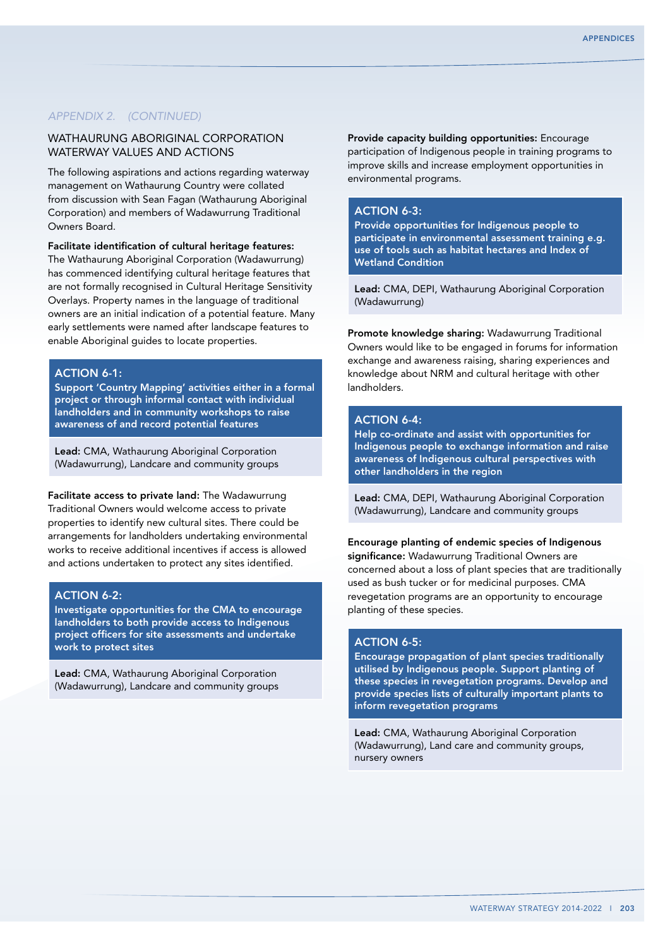## WATHAURUNG ABORIGINAL CORPORATION waterway values and actions

The following aspirations and actions regarding waterway management on Wathaurung Country were collated from discussion with Sean Fagan (Wathaurung Aboriginal Corporation) and members of Wadawurrung Traditional Owners Board.

Facilitate identification of cultural heritage features:

The Wathaurung Aboriginal Corporation (Wadawurrung) has commenced identifying cultural heritage features that are not formally recognised in Cultural Heritage Sensitivity Overlays. Property names in the language of traditional owners are an initial indication of a potential feature. Many early settlements were named after landscape features to enable Aboriginal guides to locate properties.

## ACTION 6-1:

Support 'Country Mapping' activities either in a formal project or through informal contact with individual landholders and in community workshops to raise awareness of and record potential features

Lead: CMA, Wathaurung Aboriginal Corporation (Wadawurrung), Landcare and community groups

Facilitate access to private land: The Wadawurrung Traditional Owners would welcome access to private properties to identify new cultural sites. There could be arrangements for landholders undertaking environmental works to receive additional incentives if access is allowed and actions undertaken to protect any sites identified.

## ACTION 6-2:

Investigate opportunities for the CMA to encourage landholders to both provide access to Indigenous project officers for site assessments and undertake work to protect sites

Lead: CMA, Wathaurung Aboriginal Corporation (Wadawurrung), Landcare and community groups

Provide capacity building opportunities: Encourage participation of Indigenous people in training programs to improve skills and increase employment opportunities in environmental programs.

#### ACTION 6-3:

Provide opportunities for Indigenous people to participate in environmental assessment training e.g. use of tools such as habitat hectares and Index of Wetland Condition

Lead: CMA, DEPI, Wathaurung Aboriginal Corporation (Wadawurrung)

Promote knowledge sharing: Wadawurrung Traditional Owners would like to be engaged in forums for information exchange and awareness raising, sharing experiences and knowledge about NRM and cultural heritage with other landholders.

#### ACTION 6-4:

Help co-ordinate and assist with opportunities for Indigenous people to exchange information and raise awareness of Indigenous cultural perspectives with other landholders in the region

Lead: CMA, DEPI, Wathaurung Aboriginal Corporation (Wadawurrung), Landcare and community groups

#### Encourage planting of endemic species of Indigenous significance: Wadawurrung Traditional Owners are

concerned about a loss of plant species that are traditionally used as bush tucker or for medicinal purposes. CMA revegetation programs are an opportunity to encourage planting of these species.

## $ACTION 6-5$ :

Encourage propagation of plant species traditionally utilised by Indigenous people. Support planting of these species in revegetation programs. Develop and provide species lists of culturally important plants to inform revegetation programs

Lead: CMA, Wathaurung Aboriginal Corporation (Wadawurrung), Land care and community groups, nursery owners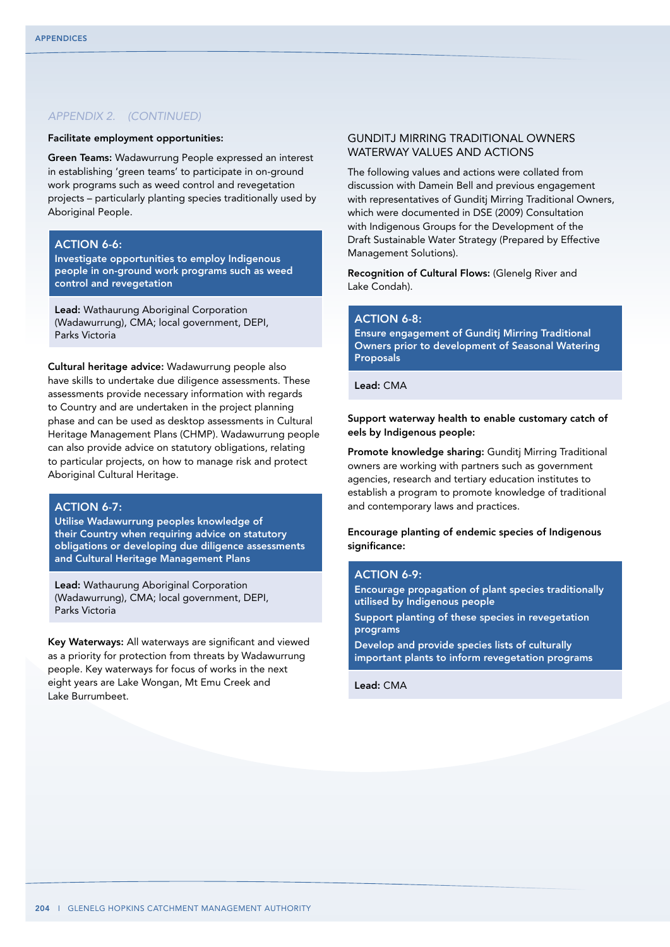#### Facilitate employment opportunities:

Green Teams: Wadawurrung People expressed an interest in establishing 'green teams' to participate in on-ground work programs such as weed control and revegetation projects – particularly planting species traditionally used by Aboriginal People.

## ACTION 6-6:

Investigate opportunities to employ Indigenous people in on-ground work programs such as weed control and revegetation

Lead: Wathaurung Aboriginal Corporation (Wadawurrung), CMA; local government, DEPI, Parks Victoria

Cultural heritage advice: Wadawurrung people also have skills to undertake due diligence assessments. These assessments provide necessary information with regards to Country and are undertaken in the project planning phase and can be used as desktop assessments in Cultural Heritage Management Plans (CHMP). Wadawurrung people can also provide advice on statutory obligations, relating to particular projects, on how to manage risk and protect Aboriginal Cultural Heritage.

### ACTION 6-7:

Utilise Wadawurrung peoples knowledge of their Country when requiring advice on statutory obligations or developing due diligence assessments and Cultural Heritage Management Plans

Lead: Wathaurung Aboriginal Corporation (Wadawurrung), CMA; local government, DEPI, Parks Victoria

Key Waterways: All waterways are significant and viewed as a priority for protection from threats by Wadawurrung people. Key waterways for focus of works in the next eight years are Lake Wongan, Mt Emu Creek and Lake Burrumbeet.

## Gunditj Mirring Traditional Owners waterway values and actions

The following values and actions were collated from discussion with Damein Bell and previous engagement with representatives of Gunditj Mirring Traditional Owners, which were documented in DSE (2009) Consultation with Indigenous Groups for the Development of the Draft Sustainable Water Strategy (Prepared by Effective Management Solutions).

Recognition of Cultural Flows: (Glenelg River and Lake Condah).

## ACTION 6-8:

Ensure engagement of Gunditj Mirring Traditional Owners prior to development of Seasonal Watering Proposals

Lead: CMA

Support waterway health to enable customary catch of eels by Indigenous people:

Promote knowledge sharing: Gunditi Mirring Traditional owners are working with partners such as government agencies, research and tertiary education institutes to establish a program to promote knowledge of traditional and contemporary laws and practices.

Encourage planting of endemic species of Indigenous significance:

#### ACTION 6-9:

Encourage propagation of plant species traditionally utilised by Indigenous people Support planting of these species in revegetation programs Develop and provide species lists of culturally important plants to inform revegetation programs

Lead: CMA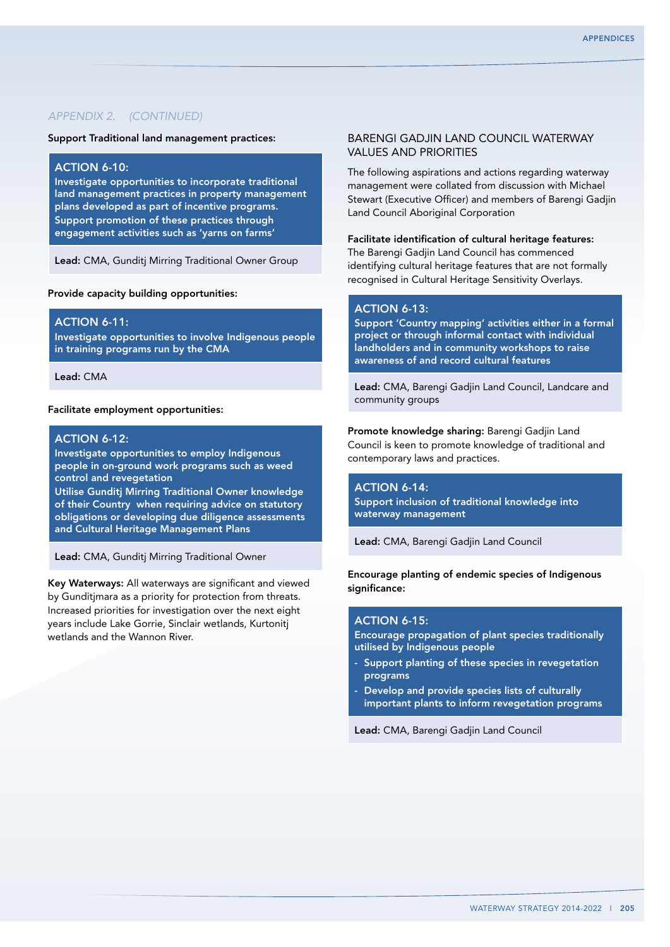Support Traditional land management practices:

## ACTION 6-10:

Investigate opportunities to incorporate traditional land management practices in property management plans developed as part of incentive programs. Support promotion of these practices through engagement activities such as 'yarns on farms'

Lead: CMA, Gunditj Mirring Traditional Owner Group

Provide capacity building opportunities:

#### **ACTION 6-11:**

Investigate opportunities to involve Indigenous people in training programs run by the CMA

Lead: CMA

#### Facilitate employment opportunities:

## ACTION 6-12:

Investigate opportunities to employ Indigenous people in on-ground work programs such as weed control and revegetation

Utilise Gunditj Mirring Traditional Owner knowledge of their Country when requiring advice on statutory obligations or developing due diligence assessments and Cultural Heritage Management Plans

Lead: CMA, Gunditj Mirring Traditional Owner

Key Waterways: All waterways are significant and viewed by Gunditjmara as a priority for protection from threats. Increased priorities for investigation over the next eight years include Lake Gorrie, Sinclair wetlands, Kurtonitj wetlands and the Wannon River.

## Barengi Gadjin Land Council waterway values and priorities

The following aspirations and actions regarding waterway management were collated from discussion with Michael Stewart (Executive Officer) and members of Barengi Gadjin Land Council Aboriginal Corporation

## Facilitate identification of cultural heritage features:

The Barengi Gadjin Land Council has commenced identifying cultural heritage features that are not formally recognised in Cultural Heritage Sensitivity Overlays.

## ACTION 6-13:

Support 'Country mapping' activities either in a formal project or through informal contact with individual landholders and in community workshops to raise awareness of and record cultural features

Lead: CMA, Barengi Gadjin Land Council, Landcare and community groups

Promote knowledge sharing: Barengi Gadjin Land Council is keen to promote knowledge of traditional and contemporary laws and practices.

ACTION 6-14: Support inclusion of traditional knowledge into waterway management

Lead: CMA, Barengi Gadjin Land Council

Encourage planting of endemic species of Indigenous significance:

## **ACTION 6-15:**

Encourage propagation of plant species traditionally utilised by Indigenous people

- Support planting of these species in revegetation programs
- Develop and provide species lists of culturally important plants to inform revegetation programs

Lead: CMA, Barengi Gadjin Land Council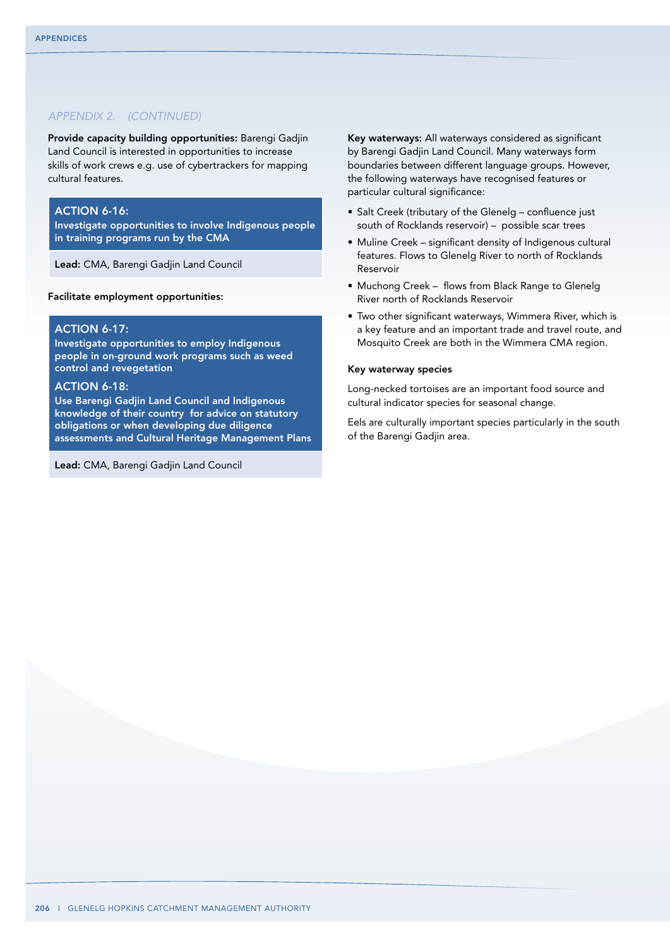Provide capacity building opportunities: Barengi Gadjin Land Council is interested in opportunities to increase skills of work crews e.g. use of cybertrackers for mapping cultural features.

#### **ACTION 6-16:**

Investigate opportunities to involve Indigenous people in training programs run by the CMA

Lead: CMA, Barengi Gadjin Land Council

Facilitate employment opportunities:

#### ACTION 6-17:

Investigate opportunities to employ Indigenous people in on-ground work programs such as weed control and revegetation

## **ACTION 6-18:**

Use Barengi Gadjin Land Council and Indigenous knowledge of their country for advice on statutory obligations or when developing due diligence assessments and Cultural Heritage Management Plans

Lead: CMA, Barengi Gadjin Land Council

Key waterways: All waterways considered as significant by Barengi Gadjin Land Council. Many waterways form boundaries between different language groups. However, the following waterways have recognised features or particular cultural significance:

- • Salt Creek (tributary of the Glenelg confluence just south of Rocklands reservoir) – possible scar trees
- Muline Creek significant density of Indigenous cultural features. Flows to Glenelg River to north of Rocklands Reservoir
- Muchong Creek flows from Black Range to Glenelg River north of Rocklands Reservoir
- Two other significant waterways, Wimmera River, which is a key feature and an important trade and travel route, and Mosquito Creek are both in the Wimmera CMA region.

#### Key waterway species

Long-necked tortoises are an important food source and cultural indicator species for seasonal change.

Eels are culturally important species particularly in the south of the Barengi Gadjin area.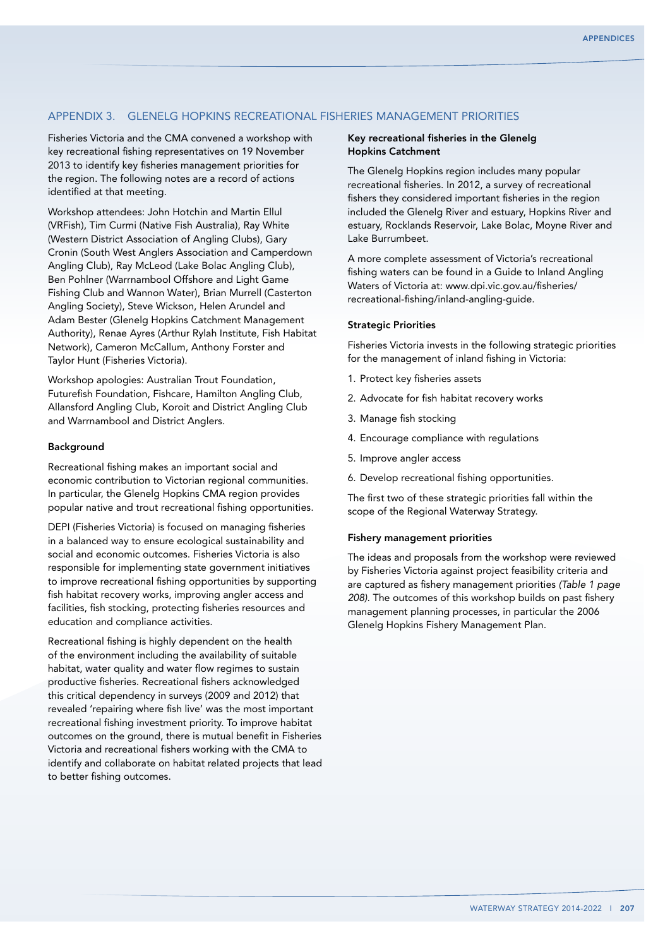## Appendix 3. Glenelg Hopkins recreational fisheries management priorities

Fisheries Victoria and the CMA convened a workshop with key recreational fishing representatives on 19 November 2013 to identify key fisheries management priorities for the region. The following notes are a record of actions identified at that meeting.

Workshop attendees: John Hotchin and Martin Ellul (VRFish), Tim Curmi (Native Fish Australia), Ray White (Western District Association of Angling Clubs), Gary Cronin (South West Anglers Association and Camperdown Angling Club), Ray McLeod (Lake Bolac Angling Club), Ben Pohlner (Warrnambool Offshore and Light Game Fishing Club and Wannon Water), Brian Murrell (Casterton Angling Society), Steve Wickson, Helen Arundel and Adam Bester (Glenelg Hopkins Catchment Management Authority), Renae Ayres (Arthur Rylah Institute, Fish Habitat Network), Cameron McCallum, Anthony Forster and Taylor Hunt (Fisheries Victoria).

Workshop apologies: Australian Trout Foundation, Futurefish Foundation, Fishcare, Hamilton Angling Club, Allansford Angling Club, Koroit and District Angling Club and Warrnambool and District Anglers.

#### Background

Recreational fishing makes an important social and economic contribution to Victorian regional communities. In particular, the Glenelg Hopkins CMA region provides popular native and trout recreational fishing opportunities.

DEPI (Fisheries Victoria) is focused on managing fisheries in a balanced way to ensure ecological sustainability and social and economic outcomes. Fisheries Victoria is also responsible for implementing state government initiatives to improve recreational fishing opportunities by supporting fish habitat recovery works, improving angler access and facilities, fish stocking, protecting fisheries resources and education and compliance activities.

Recreational fishing is highly dependent on the health of the environment including the availability of suitable habitat, water quality and water flow regimes to sustain productive fisheries. Recreational fishers acknowledged this critical dependency in surveys (2009 and 2012) that revealed 'repairing where fish live' was the most important recreational fishing investment priority. To improve habitat outcomes on the ground, there is mutual benefit in Fisheries Victoria and recreational fishers working with the CMA to identify and collaborate on habitat related projects that lead to better fishing outcomes.

#### Key recreational fisheries in the Glenelg Hopkins Catchment

The Glenelg Hopkins region includes many popular recreational fisheries. In 2012, a survey of recreational fishers they considered important fisheries in the region included the Glenelg River and estuary, Hopkins River and estuary, Rocklands Reservoir, Lake Bolac, Moyne River and Lake Burrumbeet.

A more complete assessment of Victoria's recreational fishing waters can be found in a Guide to Inland Angling Waters of Victoria at: www.dpi.vic.gov.au/fisheries/ recreational-fishing/inland-angling-guide.

#### Strategic Priorities

Fisheries Victoria invests in the following strategic priorities for the management of inland fishing in Victoria:

- 1. Protect key fisheries assets
- 2. Advocate for fish habitat recovery works
- 3. Manage fish stocking
- 4. Encourage compliance with regulations
- 5. Improve angler access
- 6. Develop recreational fishing opportunities.

The first two of these strategic priorities fall within the scope of the Regional Waterway Strategy.

#### Fishery management priorities

The ideas and proposals from the workshop were reviewed by Fisheries Victoria against project feasibility criteria and are captured as fishery management priorities *(Table 1 page 208)*. The outcomes of this workshop builds on past fishery management planning processes, in particular the 2006 Glenelg Hopkins Fishery Management Plan.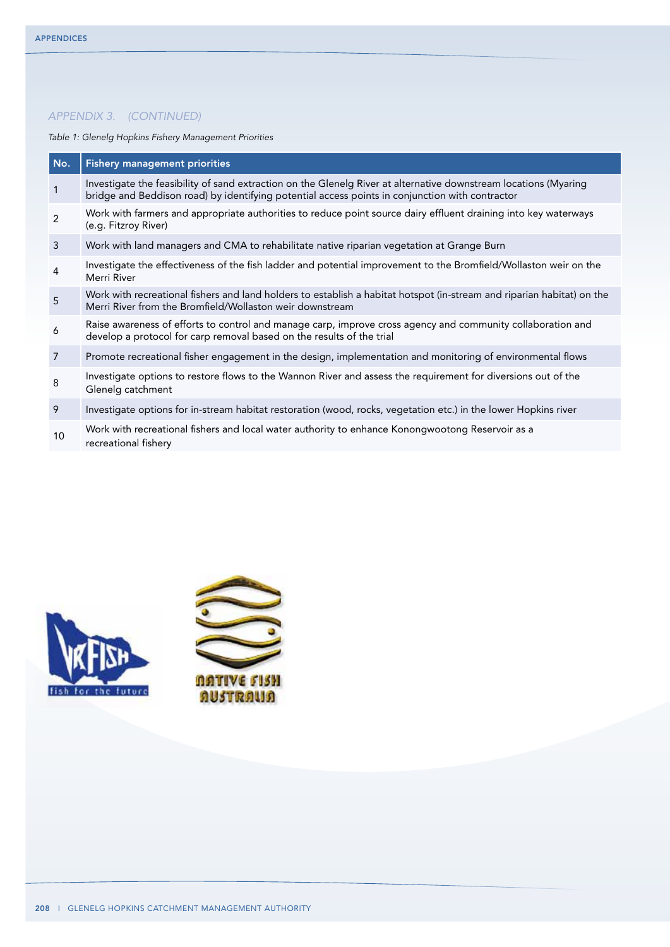*Table 1: Glenelg Hopkins Fishery Management Priorities* 

| No.            | <b>Fishery management priorities</b>                                                                                                                                                                                |
|----------------|---------------------------------------------------------------------------------------------------------------------------------------------------------------------------------------------------------------------|
| $\mathbf{1}$   | Investigate the feasibility of sand extraction on the Glenelg River at alternative downstream locations (Myaring<br>bridge and Beddison road) by identifying potential access points in conjunction with contractor |
| $\overline{2}$ | Work with farmers and appropriate authorities to reduce point source dairy effluent draining into key waterways<br>(e.g. Fitzroy River)                                                                             |
| 3              | Work with land managers and CMA to rehabilitate native riparian vegetation at Grange Burn                                                                                                                           |
| $\overline{4}$ | Investigate the effectiveness of the fish ladder and potential improvement to the Bromfield/Wollaston weir on the<br>Merri River                                                                                    |
| 5              | Work with recreational fishers and land holders to establish a habitat hotspot (in-stream and riparian habitat) on the<br>Merri River from the Bromfield/Wollaston weir downstream                                  |
| 6              | Raise awareness of efforts to control and manage carp, improve cross agency and community collaboration and<br>develop a protocol for carp removal based on the results of the trial                                |
| 7              | Promote recreational fisher engagement in the design, implementation and monitoring of environmental flows                                                                                                          |
| 8              | Investigate options to restore flows to the Wannon River and assess the requirement for diversions out of the<br>Glenelg catchment                                                                                  |
| 9              | Investigate options for in-stream habitat restoration (wood, rocks, vegetation etc.) in the lower Hopkins river                                                                                                     |
| 10             | Work with recreational fishers and local water authority to enhance Konongwootong Reservoir as a<br>recreational fishery                                                                                            |



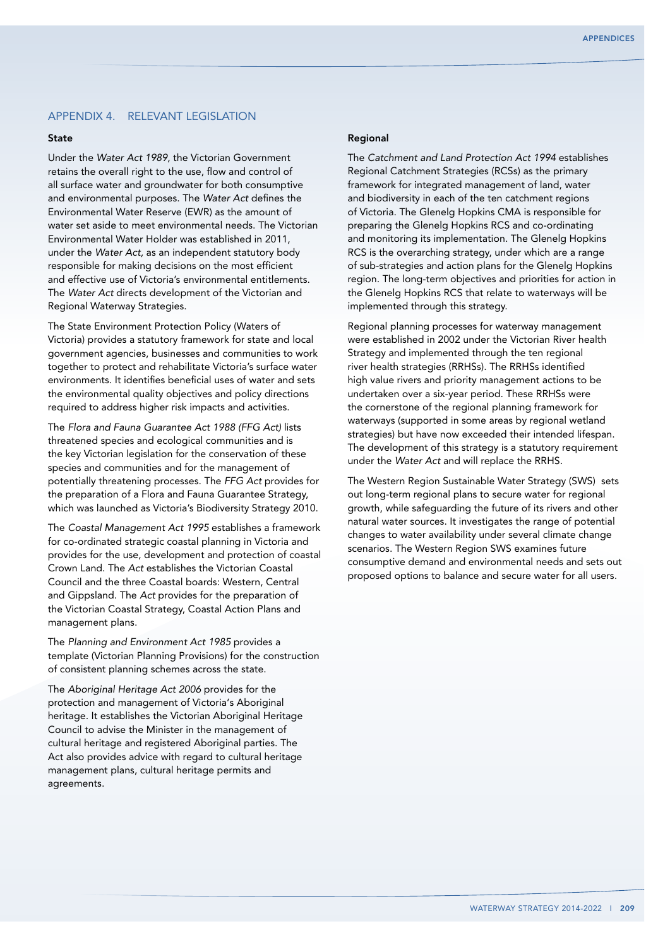## Appendix 4. Relevant legislation

#### State

Under the *Water Act 1989*, the Victorian Government retains the overall right to the use, flow and control of all surface water and groundwater for both consumptive and environmental purposes. The *Water Act* defines the Environmental Water Reserve (EWR) as the amount of water set aside to meet environmental needs. The Victorian Environmental Water Holder was established in 2011, under the *Water Act,* as an independent statutory body responsible for making decisions on the most efficient and effective use of Victoria's environmental entitlements. The *Water Act* directs development of the Victorian and Regional Waterway Strategies.

The State Environment Protection Policy (Waters of Victoria) provides a statutory framework for state and local government agencies, businesses and communities to work together to protect and rehabilitate Victoria's surface water environments. It identifies beneficial uses of water and sets the environmental quality objectives and policy directions required to address higher risk impacts and activities.

The *Flora and Fauna Guarantee Act 1988 (FFG Act)* lists threatened species and ecological communities and is the key Victorian legislation for the conservation of these species and communities and for the management of potentially threatening processes. The *FFG Act* provides for the preparation of a Flora and Fauna Guarantee Strategy, which was launched as Victoria's Biodiversity Strategy 2010.

The *Coastal Management Act 1995* establishes a framework for co-ordinated strategic coastal planning in Victoria and provides for the use, development and protection of coastal Crown Land. The *Act* establishes the Victorian Coastal Council and the three Coastal boards: Western, Central and Gippsland. The *Act* provides for the preparation of the Victorian Coastal Strategy, Coastal Action Plans and management plans.

The *Planning and Environment Act 1985* provides a template (Victorian Planning Provisions) for the construction of consistent planning schemes across the state.

The *Aboriginal Heritage Act 2006* provides for the protection and management of Victoria's Aboriginal heritage. It establishes the Victorian Aboriginal Heritage Council to advise the Minister in the management of cultural heritage and registered Aboriginal parties. The Act also provides advice with regard to cultural heritage management plans, cultural heritage permits and agreements.

#### Regional

The *Catchment and Land Protection Act 1994* establishes Regional Catchment Strategies (RCSs) as the primary framework for integrated management of land, water and biodiversity in each of the ten catchment regions of Victoria. The Glenelg Hopkins CMA is responsible for preparing the Glenelg Hopkins RCS and co-ordinating and monitoring its implementation. The Glenelg Hopkins RCS is the overarching strategy, under which are a range of sub-strategies and action plans for the Glenelg Hopkins region. The long-term objectives and priorities for action in the Glenelg Hopkins RCS that relate to waterways will be implemented through this strategy.

Regional planning processes for waterway management were established in 2002 under the Victorian River health Strategy and implemented through the ten regional river health strategies (RRHSs). The RRHSs identified high value rivers and priority management actions to be undertaken over a six-year period. These RRHSs were the cornerstone of the regional planning framework for waterways (supported in some areas by regional wetland strategies) but have now exceeded their intended lifespan. The development of this strategy is a statutory requirement under the *Water Act* and will replace the RRHS.

The Western Region Sustainable Water Strategy (SWS) sets out long-term regional plans to secure water for regional growth, while safeguarding the future of its rivers and other natural water sources. It investigates the range of potential changes to water availability under several climate change scenarios. The Western Region SWS examines future consumptive demand and environmental needs and sets out proposed options to balance and secure water for all users.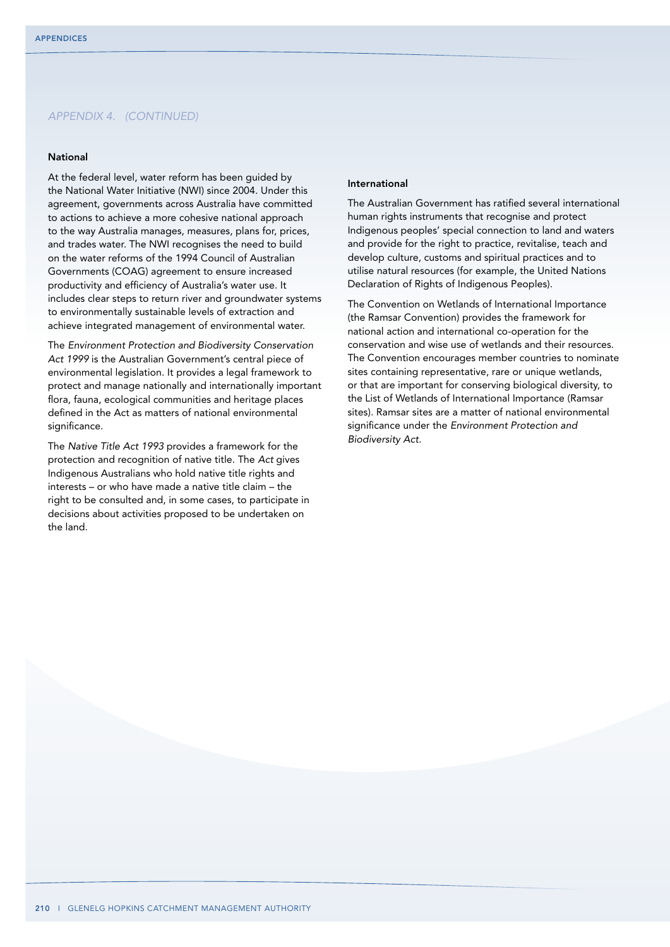#### National

At the federal level, water reform has been guided by the National Water Initiative (NWI) since 2004. Under this agreement, governments across Australia have committed to actions to achieve a more cohesive national approach to the way Australia manages, measures, plans for, prices, and trades water. The NWI recognises the need to build on the water reforms of the 1994 Council of Australian Governments (COAG) agreement to ensure increased productivity and efficiency of Australia's water use. It includes clear steps to return river and groundwater systems to environmentally sustainable levels of extraction and achieve integrated management of environmental water.

The *Environment Protection and Biodiversity Conservation Act 1999* is the Australian Government's central piece of environmental legislation. It provides a legal framework to protect and manage nationally and internationally important flora, fauna, ecological communities and heritage places defined in the Act as matters of national environmental significance.

The *Native Title Act 1993* provides a framework for the protection and recognition of native title. The *Act* gives Indigenous Australians who hold native title rights and interests – or who have made a native title claim – the right to be consulted and, in some cases, to participate in decisions about activities proposed to be undertaken on the land.

#### International

The Australian Government has ratified several international human rights instruments that recognise and protect Indigenous peoples' special connection to land and waters and provide for the right to practice, revitalise, teach and develop culture, customs and spiritual practices and to utilise natural resources (for example, the United Nations Declaration of Rights of Indigenous Peoples).

The Convention on Wetlands of International Importance (the Ramsar Convention) provides the framework for national action and international co-operation for the conservation and wise use of wetlands and their resources. The Convention encourages member countries to nominate sites containing representative, rare or unique wetlands, or that are important for conserving biological diversity, to the List of Wetlands of International Importance (Ramsar sites). Ramsar sites are a matter of national environmental significance under the *Environment Protection and Biodiversity Act.*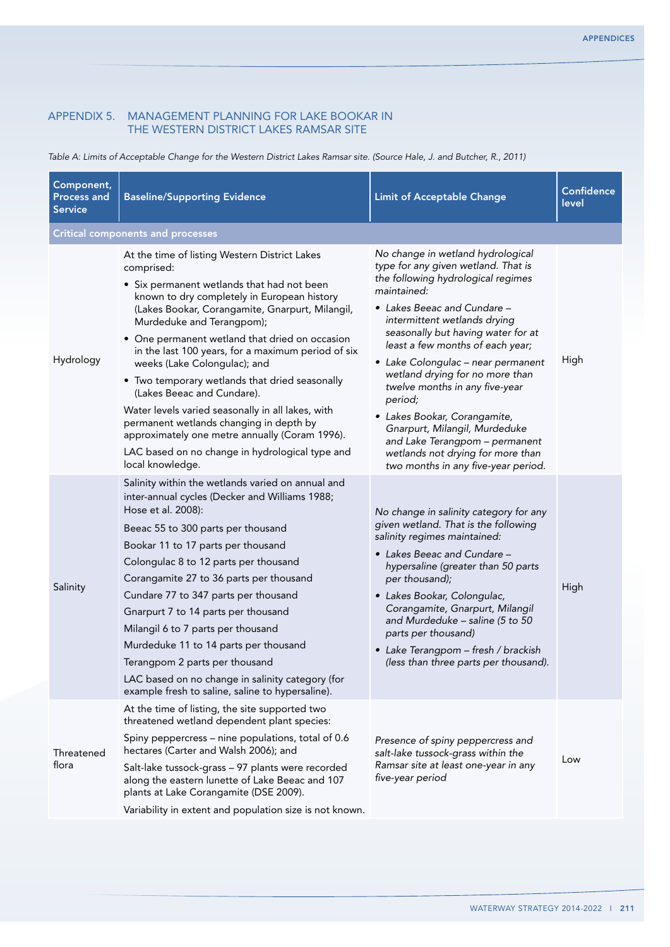## Appendix 5. Management planning for Lake Bookar in the Western District Lakes Ramsar site

*Table A: Limits of Acceptable Change for the Western District Lakes Ramsar site. (Source Hale, J. and Butcher, R., 2011)*

| Component,<br><b>Process and</b><br><b>Service</b> | <b>Baseline/Supporting Evidence</b>                                                                                                                                                                                                                                                                                                                                                                                                                                                                                                                                                                                                                                                       | <b>Limit of Acceptable Change</b>                                                                                                                                                                                                                                                                                                                                                                                                                                                                                                                                           | <b>Confidence</b><br>level |
|----------------------------------------------------|-------------------------------------------------------------------------------------------------------------------------------------------------------------------------------------------------------------------------------------------------------------------------------------------------------------------------------------------------------------------------------------------------------------------------------------------------------------------------------------------------------------------------------------------------------------------------------------------------------------------------------------------------------------------------------------------|-----------------------------------------------------------------------------------------------------------------------------------------------------------------------------------------------------------------------------------------------------------------------------------------------------------------------------------------------------------------------------------------------------------------------------------------------------------------------------------------------------------------------------------------------------------------------------|----------------------------|
|                                                    | <b>Critical components and processes</b>                                                                                                                                                                                                                                                                                                                                                                                                                                                                                                                                                                                                                                                  |                                                                                                                                                                                                                                                                                                                                                                                                                                                                                                                                                                             |                            |
| Hydrology                                          | At the time of listing Western District Lakes<br>comprised:<br>• Six permanent wetlands that had not been<br>known to dry completely in European history<br>(Lakes Bookar, Corangamite, Gnarpurt, Milangil,<br>Murdeduke and Terangpom);<br>• One permanent wetland that dried on occasion<br>in the last 100 years, for a maximum period of six<br>weeks (Lake Colongulac); and<br>• Two temporary wetlands that dried seasonally<br>(Lakes Beeac and Cundare).<br>Water levels varied seasonally in all lakes, with<br>permanent wetlands changing in depth by<br>approximately one metre annually (Coram 1996).<br>LAC based on no change in hydrological type and<br>local knowledge. | No change in wetland hydrological<br>type for any given wetland. That is<br>the following hydrological regimes<br>maintained:<br>• Lakes Beeac and Cundare -<br>intermittent wetlands drying<br>seasonally but having water for at<br>least a few months of each year;<br>· Lake Colongulac - near permanent<br>wetland drying for no more than<br>twelve months in any five-year<br>period;<br>• Lakes Bookar, Corangamite,<br>Gnarpurt, Milangil, Murdeduke<br>and Lake Terangpom - permanent<br>wetlands not drying for more than<br>two months in any five-year period. | High                       |
| Salinity                                           | Salinity within the wetlands varied on annual and<br>inter-annual cycles (Decker and Williams 1988;<br>Hose et al. 2008):<br>Beeac 55 to 300 parts per thousand<br>Bookar 11 to 17 parts per thousand<br>Colongulac 8 to 12 parts per thousand<br>Corangamite 27 to 36 parts per thousand<br>Cundare 77 to 347 parts per thousand<br>Gnarpurt 7 to 14 parts per thousand<br>Milangil 6 to 7 parts per thousand<br>Murdeduke 11 to 14 parts per thousand<br>Terangpom 2 parts per thousand<br>LAC based on no change in salinity category (for<br>example fresh to saline, saline to hypersaline).                                                                                         | No change in salinity category for any<br>given wetland. That is the following<br>salinity regimes maintained:<br>• Lakes Beeac and Cundare -<br>hypersaline (greater than 50 parts<br>per thousand);<br>· Lakes Bookar, Colongulac,<br>Corangamite, Gnarpurt, Milangil<br>and Murdeduke - saline (5 to 50<br>parts per thousand)<br>• Lake Terangpom - fresh / brackish<br>(less than three parts per thousand).                                                                                                                                                           | High                       |
| Threatened<br>flora                                | At the time of listing, the site supported two<br>threatened wetland dependent plant species:<br>Spiny peppercress – nine populations, total of 0.6<br>hectares (Carter and Walsh 2006); and<br>Salt-lake tussock-grass - 97 plants were recorded<br>along the eastern lunette of Lake Beeac and 107<br>plants at Lake Corangamite (DSE 2009).<br>Variability in extent and population size is not known.                                                                                                                                                                                                                                                                                 | Presence of spiny peppercress and<br>salt-lake tussock-grass within the<br>Ramsar site at least one-year in any<br>five-year period                                                                                                                                                                                                                                                                                                                                                                                                                                         | Low                        |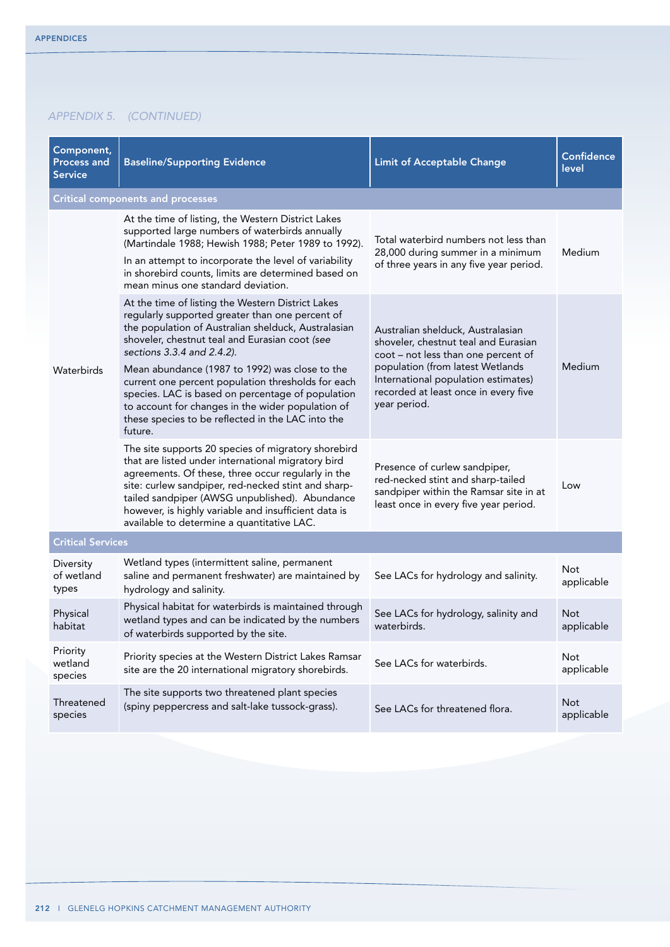| Component,<br><b>Process and</b><br><b>Service</b>         | <b>Baseline/Supporting Evidence</b>                                                                                                                                                                                                                                                                                                                                                                                                                                                                                | <b>Limit of Acceptable Change</b>                                                                                                                                                                                                                   | <b>Confidence</b><br>level |
|------------------------------------------------------------|--------------------------------------------------------------------------------------------------------------------------------------------------------------------------------------------------------------------------------------------------------------------------------------------------------------------------------------------------------------------------------------------------------------------------------------------------------------------------------------------------------------------|-----------------------------------------------------------------------------------------------------------------------------------------------------------------------------------------------------------------------------------------------------|----------------------------|
|                                                            | <b>Critical components and processes</b>                                                                                                                                                                                                                                                                                                                                                                                                                                                                           |                                                                                                                                                                                                                                                     |                            |
|                                                            | At the time of listing, the Western District Lakes<br>supported large numbers of waterbirds annually<br>(Martindale 1988; Hewish 1988; Peter 1989 to 1992).<br>In an attempt to incorporate the level of variability<br>in shorebird counts, limits are determined based on<br>mean minus one standard deviation.                                                                                                                                                                                                  | Total waterbird numbers not less than<br>28,000 during summer in a minimum<br>of three years in any five year period.                                                                                                                               | Medium                     |
| Waterbirds<br>Diversity<br>of wetland<br>types<br>Physical | At the time of listing the Western District Lakes<br>regularly supported greater than one percent of<br>the population of Australian shelduck, Australasian<br>shoveler, chestnut teal and Eurasian coot (see<br>sections 3.3.4 and 2.4.2).<br>Mean abundance (1987 to 1992) was close to the<br>current one percent population thresholds for each<br>species. LAC is based on percentage of population<br>to account for changes in the wider population of<br>these species to be reflected in the LAC into the | Australian shelduck, Australasian<br>shoveler, chestnut teal and Eurasian<br>coot - not less than one percent of<br>population (from latest Wetlands<br>International population estimates)<br>recorded at least once in every five<br>year period. | Medium                     |
|                                                            | future.<br>The site supports 20 species of migratory shorebird<br>that are listed under international migratory bird<br>agreements. Of these, three occur regularly in the<br>site: curlew sandpiper, red-necked stint and sharp-<br>tailed sandpiper (AWSG unpublished). Abundance<br>however, is highly variable and insufficient data is<br>available to determine a quantitative LAC.                                                                                                                          | Presence of curlew sandpiper,<br>red-necked stint and sharp-tailed<br>sandpiper within the Ramsar site in at<br>least once in every five year period.                                                                                               | Low                        |
| <b>Critical Services</b>                                   |                                                                                                                                                                                                                                                                                                                                                                                                                                                                                                                    |                                                                                                                                                                                                                                                     |                            |
|                                                            | Wetland types (intermittent saline, permanent<br>saline and permanent freshwater) are maintained by<br>hydrology and salinity.                                                                                                                                                                                                                                                                                                                                                                                     | See LACs for hydrology and salinity.                                                                                                                                                                                                                | Not<br>applicable          |
| habitat                                                    | Physical habitat for waterbirds is maintained through<br>wetland types and can be indicated by the numbers<br>of waterbirds supported by the site.                                                                                                                                                                                                                                                                                                                                                                 | See LACs for hydrology, salinity and<br>waterbirds.                                                                                                                                                                                                 | <b>Not</b><br>applicable   |
| Priority<br>wetland<br>species                             | Priority species at the Western District Lakes Ramsar<br>site are the 20 international migratory shorebirds.                                                                                                                                                                                                                                                                                                                                                                                                       | See LACs for waterbirds.                                                                                                                                                                                                                            | <b>Not</b><br>applicable   |
| Threatened<br>species                                      | The site supports two threatened plant species<br>(spiny peppercress and salt-lake tussock-grass).                                                                                                                                                                                                                                                                                                                                                                                                                 | See LACs for threatened flora.                                                                                                                                                                                                                      | <b>Not</b><br>applicable   |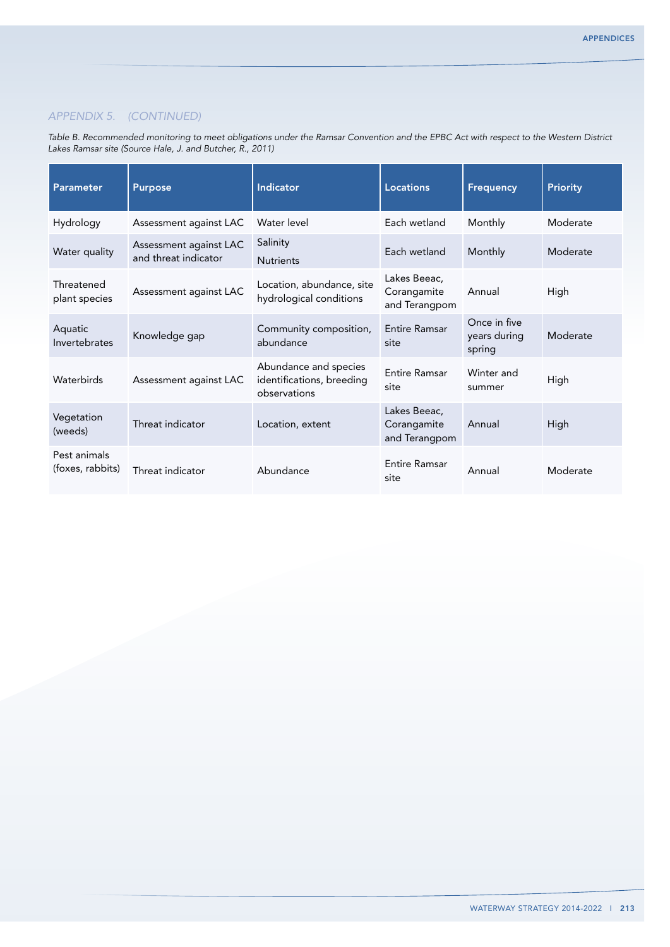*Table B. Recommended monitoring to meet obligations under the Ramsar Convention and the EPBC Act with respect to the Western District Lakes Ramsar site (Source Hale, J. and Butcher, R., 2011)*

| Parameter                        | <b>Purpose</b>                                 | <b>Indicator</b>                                                   | <b>Locations</b>                             | <b>Frequency</b>                       | <b>Priority</b> |
|----------------------------------|------------------------------------------------|--------------------------------------------------------------------|----------------------------------------------|----------------------------------------|-----------------|
| Hydrology                        | Assessment against LAC                         | Water level                                                        | Each wetland                                 | Monthly                                | Moderate        |
| Water quality                    | Assessment against LAC<br>and threat indicator | Salinity<br><b>Nutrients</b>                                       | Each wetland                                 | Monthly                                | Moderate        |
| Threatened<br>plant species      | Assessment against LAC                         | Location, abundance, site<br>hydrological conditions               | Lakes Beeac,<br>Corangamite<br>and Terangpom | Annual                                 | High            |
| Aquatic<br>Invertebrates         | Knowledge gap                                  | Community composition,<br>abundance                                | <b>Entire Ramsar</b><br>site                 | Once in five<br>years during<br>spring | Moderate        |
| Waterbirds                       | Assessment against LAC                         | Abundance and species<br>identifications, breeding<br>observations | <b>Fntire Ramsar</b><br>site                 | Winter and<br>summer                   | High            |
| Vegetation<br>(weeds)            | Threat indicator                               | Location, extent                                                   | Lakes Beeac,<br>Corangamite<br>and Terangpom | Annual                                 | High            |
| Pest animals<br>(foxes, rabbits) | Threat indicator                               | Abundance                                                          | <b>Entire Ramsar</b><br>site                 | Annual                                 | Moderate        |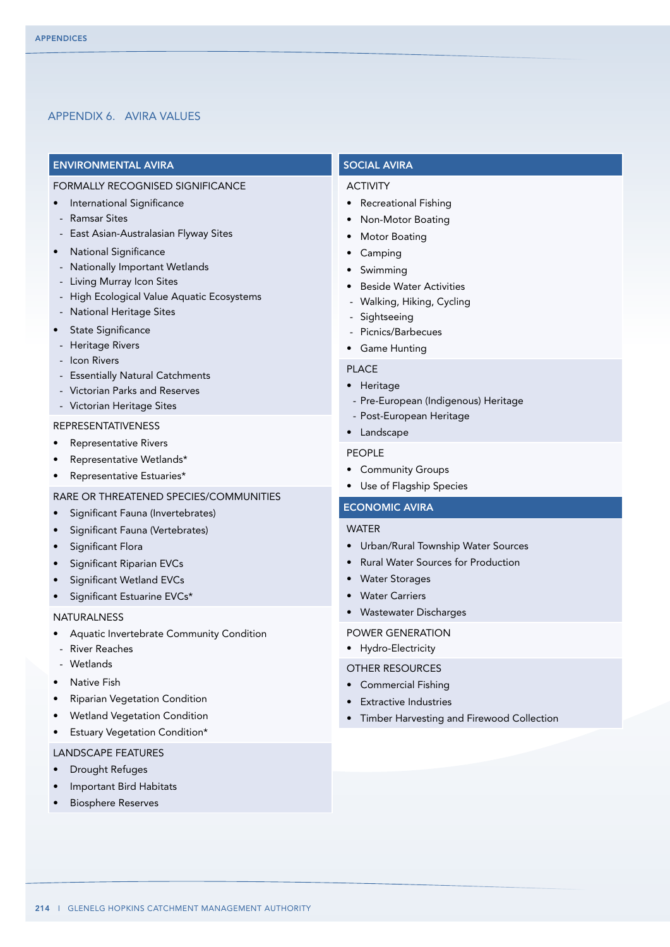## Appendix 6. AVIRA VALUES

## ENVIRONMENTAL AVIRA

## FORMALLY RECOGNISED SIGNIFICANCE

- International Significance
- Ramsar Sites
- East Asian-Australasian Flyway Sites
- **National Significance**
- Nationally Important Wetlands
- Living Murray Icon Sites
- High Ecological Value Aquatic Ecosystems
- National Heritage Sites
- State Significance
- Heritage Rivers
- Icon Rivers
- Essentially Natural Catchments
- Victorian Parks and Reserves
- Victorian Heritage Sites

## REPRESENTATIVENESS

- **Representative Rivers**
- Representative Wetlands\*
- Representative Estuaries\*

## RARE OR THREATENED SPECIES/COMMUNITIES

- • Significant Fauna (Invertebrates)
- Significant Fauna (Vertebrates)
- Significant Flora
- Significant Riparian EVCs
- Significant Wetland EVCs
- Significant Estuarine EVCs\*

#### **NATURALNESS**

- Aquatic Invertebrate Community Condition
- River Reaches
- Wetlands
- **Native Fish**
- **Riparian Vegetation Condition**
- **Wetland Vegetation Condition**
- Estuary Vegetation Condition\*

## LANDSCAPE FEATURES

- • Drought Refuges
- Important Bird Habitats
- **Biosphere Reserves**

#### SOCIAL AVIRA

#### **ACTIVITY**

- • Recreational Fishing
- Non-Motor Boating
- **Motor Boating**
- • Camping
- • Swimming
- • Beside Water Activities
- Walking, Hiking, Cycling
- Sightseeing
- Picnics/Barbecues
- • Game Hunting

#### PLACE

- • Heritage
- Pre-European (Indigenous) Heritage
- Post-European Heritage

# • Landscape

# PEOPLE

- • Community Groups
- • Use of Flagship Species

# ECONOMIC AVIRA

#### WATER

- • Urban/Rural Township Water Sources
- **Rural Water Sources for Production**
- • Water Storages
- • Water Carriers
- • Wastewater Discharges
- POWER GENERATION
- • Hydro-Electricity

#### OTHER RESOURCES

- • Commercial Fishing
- **Extractive Industries**
- • Timber Harvesting and Firewood Collection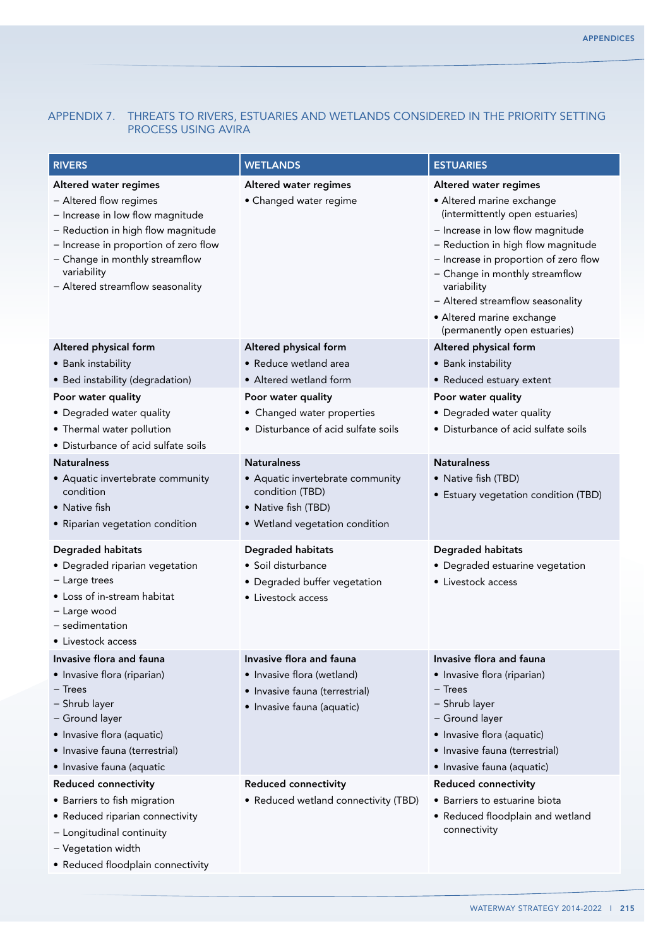# Appendix 7. Threats to rivers, estuaries and wetlands considered in the priority setting process using AVIRA

| <b>RIVERS</b>                                                                                                                                                                                                                                           | <b>WETLANDS</b>                                                                                                                                                     | <b>ESTUARIES</b>                                                                                                                                                                                                                                                                                                                                           |
|---------------------------------------------------------------------------------------------------------------------------------------------------------------------------------------------------------------------------------------------------------|---------------------------------------------------------------------------------------------------------------------------------------------------------------------|------------------------------------------------------------------------------------------------------------------------------------------------------------------------------------------------------------------------------------------------------------------------------------------------------------------------------------------------------------|
| Altered water regimes<br>- Altered flow regimes<br>- Increase in low flow magnitude<br>- Reduction in high flow magnitude<br>- Increase in proportion of zero flow<br>- Change in monthly streamflow<br>variability<br>- Altered streamflow seasonality | Altered water regimes<br>• Changed water regime                                                                                                                     | Altered water regimes<br>• Altered marine exchange<br>(intermittently open estuaries)<br>- Increase in low flow magnitude<br>- Reduction in high flow magnitude<br>- Increase in proportion of zero flow<br>- Change in monthly streamflow<br>variability<br>- Altered streamflow seasonality<br>• Altered marine exchange<br>(permanently open estuaries) |
| Altered physical form<br>• Bank instability<br>• Bed instability (degradation)<br>Poor water quality<br>• Degraded water quality<br>• Thermal water pollution<br>• Disturbance of acid sulfate soils                                                    | Altered physical form<br>• Reduce wetland area<br>• Altered wetland form<br>Poor water quality<br>• Changed water properties<br>• Disturbance of acid sulfate soils | Altered physical form<br>• Bank instability<br>• Reduced estuary extent<br>Poor water quality<br>• Degraded water quality<br>• Disturbance of acid sulfate soils                                                                                                                                                                                           |
| <b>Naturalness</b><br>• Aquatic invertebrate community<br>condition<br>• Native fish<br>• Riparian vegetation condition                                                                                                                                 | <b>Naturalness</b><br>• Aquatic invertebrate community<br>condition (TBD)<br>• Native fish (TBD)<br>• Wetland vegetation condition                                  | <b>Naturalness</b><br>• Native fish (TBD)<br>• Estuary vegetation condition (TBD)                                                                                                                                                                                                                                                                          |
| <b>Degraded habitats</b><br>• Degraded riparian vegetation<br>- Large trees<br>• Loss of in-stream habitat<br>- Large wood<br>- sedimentation<br>• Livestock access                                                                                     | Degraded habitats<br>• Soil disturbance<br>• Degraded buffer vegetation<br>• Livestock access                                                                       | <b>Degraded habitats</b><br>• Degraded estuarine vegetation<br>• Livestock access                                                                                                                                                                                                                                                                          |
| Invasive flora and fauna<br>• Invasive flora (riparian)<br>– Trees<br>- Shrub layer<br>- Ground layer<br>· Invasive flora (aquatic)<br>· Invasive fauna (terrestrial)<br>· Invasive fauna (aquatic                                                      | Invasive flora and fauna<br>• Invasive flora (wetland)<br>• Invasive fauna (terrestrial)<br>· Invasive fauna (aquatic)                                              | Invasive flora and fauna<br>• Invasive flora (riparian)<br>$-$ Trees<br>- Shrub layer<br>- Ground layer<br>· Invasive flora (aquatic)<br>• Invasive fauna (terrestrial)<br>· Invasive fauna (aquatic)                                                                                                                                                      |
| <b>Reduced connectivity</b><br>• Barriers to fish migration<br>• Reduced riparian connectivity<br>- Longitudinal continuity<br>- Vegetation width<br>• Reduced floodplain connectivity                                                                  | <b>Reduced connectivity</b><br>• Reduced wetland connectivity (TBD)                                                                                                 | <b>Reduced connectivity</b><br>• Barriers to estuarine biota<br>• Reduced floodplain and wetland<br>connectivity                                                                                                                                                                                                                                           |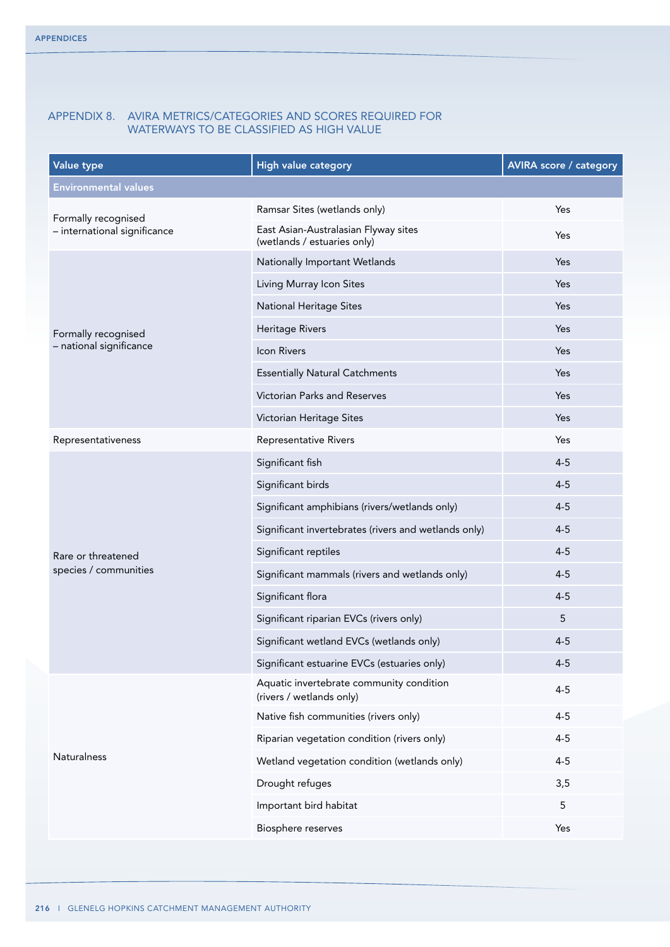## Appendix 8. AVIRA metrics/categories and scores required for waterways to be classified as high value

| Value type                   | <b>High value category</b>                                           | <b>AVIRA score / category</b> |
|------------------------------|----------------------------------------------------------------------|-------------------------------|
| <b>Environmental values</b>  |                                                                      |                               |
| Formally recognised          | Ramsar Sites (wetlands only)                                         | Yes                           |
| - international significance | East Asian-Australasian Flyway sites<br>(wetlands / estuaries only)  | Yes                           |
|                              | Nationally Important Wetlands                                        | Yes                           |
|                              | Living Murray Icon Sites                                             | Yes                           |
|                              | <b>National Heritage Sites</b>                                       | Yes                           |
| Formally recognised          | <b>Heritage Rivers</b>                                               | Yes                           |
| - national significance      | Icon Rivers                                                          | Yes                           |
|                              | <b>Essentially Natural Catchments</b>                                | Yes                           |
|                              | Victorian Parks and Reserves                                         | Yes                           |
|                              | Victorian Heritage Sites                                             | Yes                           |
| Representativeness           | Representative Rivers                                                | Yes                           |
|                              | Significant fish                                                     | $4 - 5$                       |
|                              | Significant birds                                                    | $4 - 5$                       |
|                              | Significant amphibians (rivers/wetlands only)                        | $4 - 5$                       |
|                              | Significant invertebrates (rivers and wetlands only)                 | $4 - 5$                       |
| Rare or threatened           | Significant reptiles                                                 | $4 - 5$                       |
| species / communities        | Significant mammals (rivers and wetlands only)                       | $4 - 5$                       |
|                              | Significant flora                                                    | $4 - 5$                       |
|                              | Significant riparian EVCs (rivers only)                              | 5                             |
|                              | Significant wetland EVCs (wetlands only)                             | $4 - 5$                       |
|                              | Significant estuarine EVCs (estuaries only)                          | $4 - 5$                       |
|                              | Aquatic invertebrate community condition<br>(rivers / wetlands only) | $4 - 5$                       |
|                              | Native fish communities (rivers only)                                | $4 - 5$                       |
|                              | Riparian vegetation condition (rivers only)                          | $4 - 5$                       |
| <b>Naturalness</b>           | Wetland vegetation condition (wetlands only)                         | $4 - 5$                       |
|                              | Drought refuges                                                      | 3,5                           |
|                              | Important bird habitat                                               | 5                             |
|                              | Biosphere reserves                                                   | Yes                           |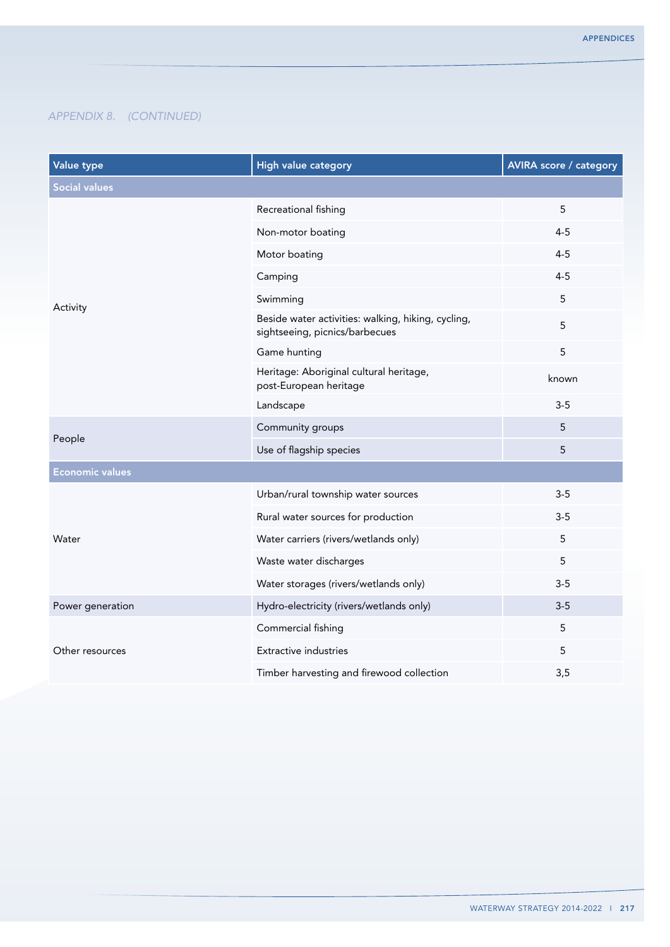| Value type             | <b>High value category</b>                                                           | <b>AVIRA score / category</b> |
|------------------------|--------------------------------------------------------------------------------------|-------------------------------|
| <b>Social values</b>   |                                                                                      |                               |
|                        | Recreational fishing                                                                 | 5                             |
|                        | Non-motor boating                                                                    | $4 - 5$                       |
|                        | Motor boating                                                                        | $4 - 5$                       |
|                        | Camping                                                                              | $4 - 5$                       |
| Activity               | Swimming                                                                             | 5                             |
|                        | Beside water activities: walking, hiking, cycling,<br>sightseeing, picnics/barbecues | 5                             |
|                        | Game hunting                                                                         | 5                             |
|                        | Heritage: Aboriginal cultural heritage,<br>post-European heritage                    | known                         |
|                        | Landscape                                                                            | $3-5$                         |
| People                 | Community groups                                                                     | 5                             |
|                        | Use of flagship species                                                              | 5                             |
| <b>Economic values</b> |                                                                                      |                               |
|                        | Urban/rural township water sources                                                   | $3-5$                         |
|                        | Rural water sources for production                                                   | $3-5$                         |
| Water                  | Water carriers (rivers/wetlands only)                                                | 5                             |
|                        | Waste water discharges                                                               | 5                             |
|                        | Water storages (rivers/wetlands only)                                                | $3-5$                         |
| Power generation       | Hydro-electricity (rivers/wetlands only)                                             | $3 - 5$                       |
|                        | Commercial fishing                                                                   | 5                             |
| Other resources        | <b>Extractive industries</b>                                                         | 5                             |
|                        | Timber harvesting and firewood collection                                            | 3,5                           |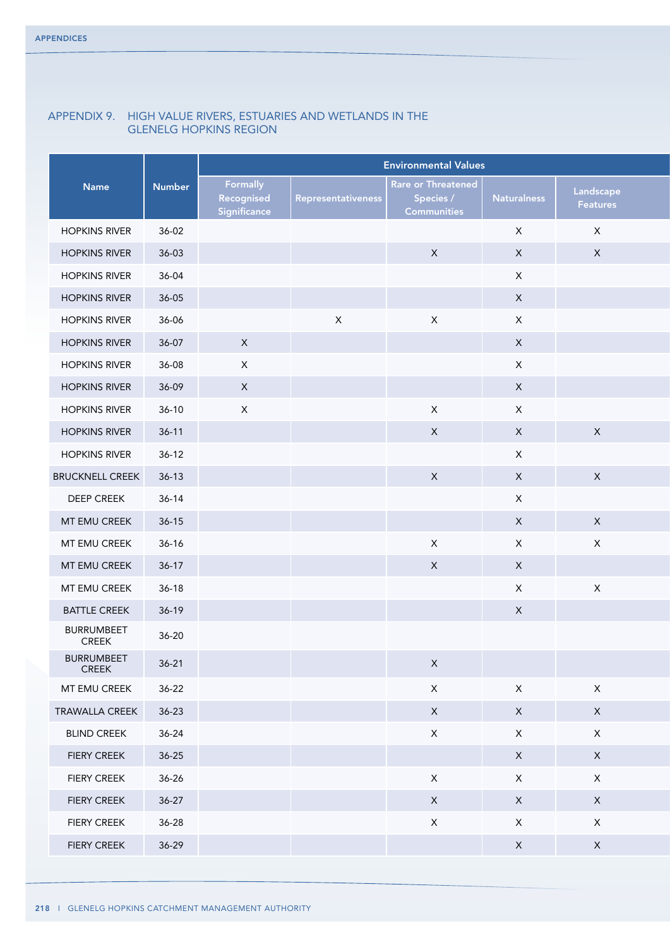# Appendix 9. High Value rivers, estuaries and wetlands in the Glenelg Hopkins region

|                            |               |                                        |                           | <b>Environmental Values</b>                           |                    |                       |
|----------------------------|---------------|----------------------------------------|---------------------------|-------------------------------------------------------|--------------------|-----------------------|
| Name                       | <b>Number</b> | Formally<br>Recognised<br>Significance | <b>Representativeness</b> | Rare or Threatened<br>Species /<br><b>Communities</b> | <b>Naturalness</b> | Landscape<br>Features |
| <b>HOPKINS RIVER</b>       | $36 - 02$     |                                        |                           |                                                       | $\mathsf X$        | $\mathsf{X}$          |
| <b>HOPKINS RIVER</b>       | $36-03$       |                                        |                           | $\mathsf{X}$                                          | $\mathsf X$        | $\mathsf X$           |
| <b>HOPKINS RIVER</b>       | 36-04         |                                        |                           |                                                       | $\mathsf X$        |                       |
| <b>HOPKINS RIVER</b>       | $36 - 05$     |                                        |                           |                                                       | $\mathsf X$        |                       |
| <b>HOPKINS RIVER</b>       | 36-06         |                                        | $\mathsf{X}$              | $\mathsf{X}$                                          | $\mathsf X$        |                       |
| <b>HOPKINS RIVER</b>       | 36-07         | $\mathsf{X}$                           |                           |                                                       | $\mathsf X$        |                       |
| <b>HOPKINS RIVER</b>       | 36-08         | $\mathsf{X}$                           |                           |                                                       | $\mathsf X$        |                       |
| <b>HOPKINS RIVER</b>       | 36-09         | $\mathsf{X}$                           |                           |                                                       | $\mathsf{X}$       |                       |
| <b>HOPKINS RIVER</b>       | $36-10$       | $\mathsf{X}$                           |                           | $\mathsf{X}$                                          | $\mathsf X$        |                       |
| <b>HOPKINS RIVER</b>       | $36-11$       |                                        |                           | $\mathsf{X}$                                          | $\mathsf X$        | $\mathsf X$           |
| <b>HOPKINS RIVER</b>       | $36-12$       |                                        |                           |                                                       | $\mathsf X$        |                       |
| <b>BRUCKNELL CREEK</b>     | $36-13$       |                                        |                           | $\mathsf{X}$                                          | $\mathsf X$        | $\mathsf{X}$          |
| DEEP CREEK                 | $36-14$       |                                        |                           |                                                       | $\mathsf X$        |                       |
| MT EMU CREEK               | $36-15$       |                                        |                           |                                                       | $\mathsf X$        | $\mathsf{X}$          |
| MT EMU CREEK               | $36-16$       |                                        |                           | $\mathsf{X}$                                          | $\mathsf X$        | $\mathsf X$           |
| MT EMU CREEK               | $36-17$       |                                        |                           | $\mathsf{X}$                                          | $\mathsf X$        |                       |
| MT EMU CREEK               | $36-18$       |                                        |                           |                                                       | $\mathsf X$        | $\mathsf{X}$          |
| <b>BATTLE CREEK</b>        | $36-19$       |                                        |                           |                                                       | $\mathsf X$        |                       |
| <b>BURRUMBEET</b><br>CREEK | $36 - 20$     |                                        |                           |                                                       |                    |                       |
| <b>BURRUMBEET</b><br>CREEK | $36-21$       |                                        |                           | $\mathsf{X}$                                          |                    |                       |
| MT EMU CREEK               | $36 - 22$     |                                        |                           | $\mathsf X$                                           | $\mathsf X$        | $\mathsf X$           |
| TRAWALLA CREEK             | $36 - 23$     |                                        |                           | $\mathsf{X}$                                          | $\mathsf{X}$       | $\mathsf{X}$          |
| <b>BLIND CREEK</b>         | $36 - 24$     |                                        |                           | $\mathsf X$                                           | $\mathsf X$        | $\mathsf{X}$          |
| <b>FIERY CREEK</b>         | $36 - 25$     |                                        |                           |                                                       | $\mathsf X$        | $\mathsf{X}$          |
| <b>FIERY CREEK</b>         | 36-26         |                                        |                           | $\mathsf{X}$                                          | $\mathsf X$        | $\mathsf{X}$          |
| <b>FIERY CREEK</b>         | $36-27$       |                                        |                           | $\mathsf{X}$                                          | $\mathsf{X}$       | $\mathsf{X}$          |
| <b>FIERY CREEK</b>         | 36-28         |                                        |                           | $\mathsf X$                                           | $\mathsf X$        | $\mathsf{X}$          |
| FIERY CREEK                | $36-29$       |                                        |                           |                                                       | $\mathsf X$        | $\mathsf{X}$          |
|                            |               |                                        |                           |                                                       |                    |                       |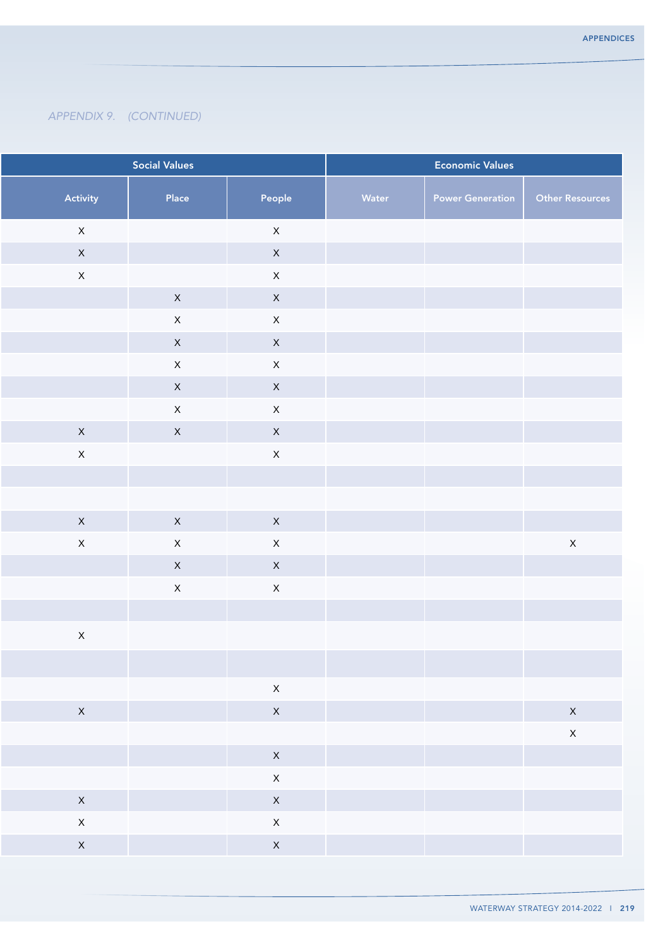|                | <b>Social Values</b> |                    |       | <b>Economic Values</b>  |                    |
|----------------|----------------------|--------------------|-------|-------------------------|--------------------|
| Activity       | Place                | People             | Water | <b>Power Generation</b> | Other Resources    |
| $\mathsf{X}$   |                      | $\mathsf{X}$       |       |                         |                    |
| $\mathsf{X}$   |                      | $\mathsf{X}$       |       |                         |                    |
| $\mathsf{X}$   |                      | $\mathsf X$        |       |                         |                    |
|                | $\mathsf{X}$         | $\mathsf{X}$       |       |                         |                    |
|                | $\mathsf X$          | $\mathsf X$        |       |                         |                    |
|                | $\mathsf{X}$         | $\mathsf X$        |       |                         |                    |
|                | $\mathsf{X}$         | $\mathsf X$        |       |                         |                    |
|                | $\mathsf{X}$         | $\mathsf X$        |       |                         |                    |
|                | $\mathsf{X}% _{0}$   | $\mathsf{X}% _{0}$ |       |                         |                    |
| $\mathsf{X}$   | $\mathsf{X}$         | $\mathsf{X}$       |       |                         |                    |
| $\mathsf{X}^-$ |                      | $\mathsf X$        |       |                         |                    |
|                |                      |                    |       |                         |                    |
|                |                      |                    |       |                         |                    |
| $\mathsf{X}$   | $\mathsf{X}$         | $\mathsf{X}$       |       |                         |                    |
| $\mathsf{X}$   | $\mathsf{X}$         | $\mathsf X$        |       |                         | $\mathsf{X}% _{0}$ |
|                | $\mathsf{X}$         | $\mathsf X$        |       |                         |                    |
|                | $\mathsf{X}% _{0}$   | $\mathsf X$        |       |                         |                    |
|                |                      |                    |       |                         |                    |
| $\mathsf{X}$   |                      |                    |       |                         |                    |
|                |                      |                    |       |                         |                    |
|                |                      | $\mathsf{X}$       |       |                         |                    |
| $\mathsf{X}$   |                      | $\mathsf{X}$       |       |                         | $\mathsf{X}$       |
|                |                      |                    |       |                         | $\mathsf X$        |
|                |                      | $\mathsf{X}$       |       |                         |                    |
|                |                      | $\mathsf{X}$       |       |                         |                    |
| $\mathsf{X}$   |                      | $\mathsf{X}$       |       |                         |                    |
| $\mathsf{X}$   |                      | $\mathsf{X}^-$     |       |                         |                    |
| $\mathsf{X}$   |                      | $\mathsf{X}$       |       |                         |                    |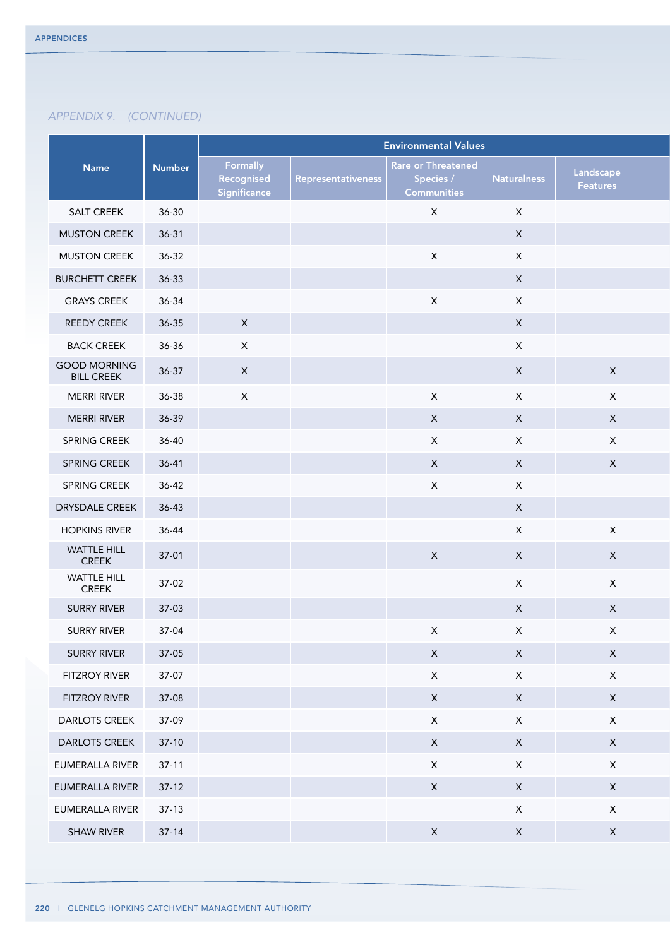|                                    | <b>Environmental Values</b> |                                        |                    |                                        |                    |                       |
|------------------------------------|-----------------------------|----------------------------------------|--------------------|----------------------------------------|--------------------|-----------------------|
| Name                               | <b>Number</b>               | Formally<br>Recognised<br>Significance | Representativeness | <b>Rare or Threatened</b><br>Species / | <b>Naturalness</b> | Landscape<br>Features |
| SALT CREEK                         | $36 - 30$                   |                                        |                    | <b>Communities</b><br>$\mathsf{X}$     | $\mathsf X$        |                       |
| <b>MUSTON CREEK</b>                | $36-31$                     |                                        |                    |                                        | $\mathsf X$        |                       |
| <b>MUSTON CREEK</b>                | $36 - 32$                   |                                        |                    | $\mathsf{X}$                           | $\mathsf X$        |                       |
| <b>BURCHETT CREEK</b>              | 36-33                       |                                        |                    |                                        | $\mathsf X$        |                       |
| <b>GRAYS CREEK</b>                 | 36-34                       |                                        |                    | $\mathsf{X}$                           | $\mathsf X$        |                       |
| <b>REEDY CREEK</b>                 | $36 - 35$                   | $\mathsf{X}$                           |                    |                                        | $\mathsf X$        |                       |
| <b>BACK CREEK</b>                  | 36-36                       | $\mathsf{X}$                           |                    |                                        | $\mathsf X$        |                       |
| <b>GOOD MORNING</b>                | $36-37$                     | $\mathsf{X}$                           |                    |                                        | $\mathsf X$        | $\mathsf{X}$          |
| <b>BILL CREEK</b>                  |                             |                                        |                    |                                        |                    |                       |
| <b>MERRI RIVER</b>                 | 36-38                       | $\mathsf{X}$                           |                    | $\mathsf{X}$                           | $\mathsf X$        | $\mathsf{X}$          |
| <b>MERRI RIVER</b>                 | 36-39                       |                                        |                    | $\mathsf{X}$                           | $\mathsf X$        | $\mathsf{X}$          |
| SPRING CREEK                       | 36-40                       |                                        |                    | $\mathsf{X}$                           | $\mathsf X$        | $\mathsf X$           |
| SPRING CREEK                       | $36 - 41$                   |                                        |                    | $\mathsf{X}$                           | $\mathsf X$        | $\mathsf X$           |
| SPRING CREEK                       | $36-42$                     |                                        |                    | $\mathsf{X}$                           | $\mathsf X$        |                       |
| DRYSDALE CREEK                     | 36-43                       |                                        |                    |                                        | $\mathsf X$        |                       |
| <b>HOPKINS RIVER</b>               | 36-44                       |                                        |                    |                                        | $\mathsf X$        | $\mathsf{X}$          |
| <b>WATTLE HILL</b><br><b>CREEK</b> | $37-01$                     |                                        |                    | $\mathsf{X}$                           | $\mathsf X$        | $\mathsf{X}$          |
| <b>WATTLE HILL</b><br>CREEK        | 37-02                       |                                        |                    |                                        | $\mathsf X$        | $\mathsf{X}$          |
| <b>SURRY RIVER</b>                 | $37-03$                     |                                        |                    |                                        | $\mathsf X$        | $\mathsf{X}$          |
| <b>SURRY RIVER</b>                 | 37-04                       |                                        |                    | $\mathsf X$                            | $\mathsf X$        | $\mathsf X$           |
| SURRY RIVER                        | $37-05$                     |                                        |                    | $\mathsf{X}$                           | $\mathsf{X}$       | $\mathsf{X}$          |
| <b>FITZROY RIVER</b>               | 37-07                       |                                        |                    | $\mathsf{X}$                           | $\mathsf X$        | $\mathsf{X}$          |
| <b>FITZROY RIVER</b>               | 37-08                       |                                        |                    | $\mathsf{X}$                           | $\mathsf X$        | $\mathsf X$           |
| <b>DARLOTS CREEK</b>               | 37-09                       |                                        |                    | $\mathsf{X}$                           | $\mathsf X$        | $\mathsf{X}$          |
| DARLOTS CREEK                      | $37-10$                     |                                        |                    | $\mathsf{X}$                           | $\mathsf X$        | $\mathsf{X}$          |
| EUMERALLA RIVER                    | $37-11$                     |                                        |                    | $\mathsf{X}$                           | $\mathsf X$        | $\mathsf{X}$          |
| EUMERALLA RIVER                    | $37-12$                     |                                        |                    | $\mathsf{X}$                           | $\mathsf{X}$       | $\mathsf{X}$          |
| EUMERALLA RIVER                    | $37-13$                     |                                        |                    |                                        | $\mathsf X$        | $\mathsf{X}$          |
| <b>SHAW RIVER</b>                  | $37-14$                     |                                        |                    | $\mathsf X$                            | $\mathsf X$        | $\mathsf X$           |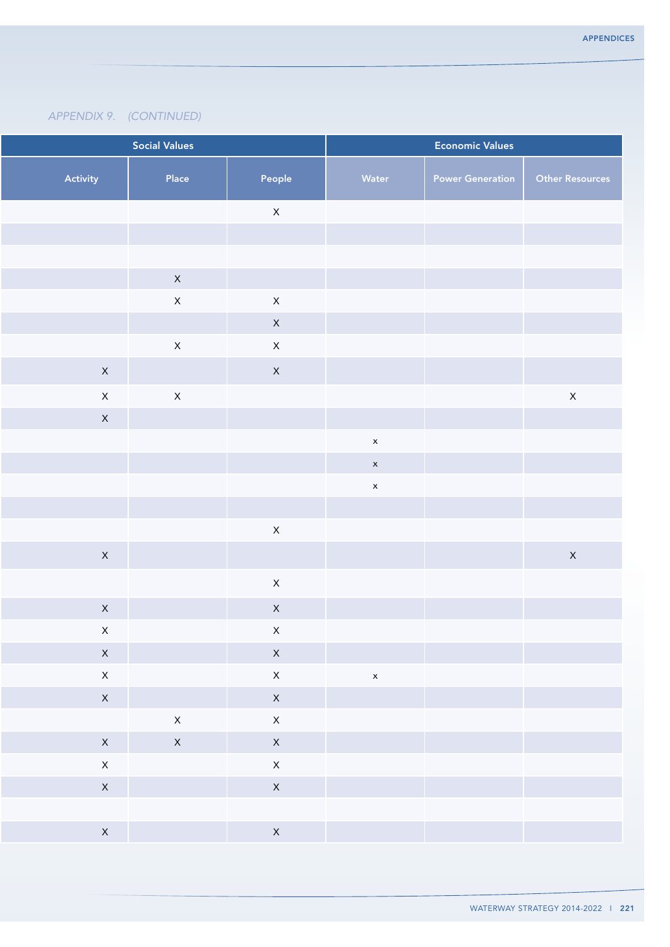|                              | <b>Social Values</b> |                              |              | <b>Economic Values</b>  |                        |
|------------------------------|----------------------|------------------------------|--------------|-------------------------|------------------------|
| Activity                     | Place                | People                       | Water        | <b>Power Generation</b> | <b>Other Resources</b> |
|                              |                      | $\mathsf{X}$                 |              |                         |                        |
|                              |                      |                              |              |                         |                        |
|                              |                      |                              |              |                         |                        |
|                              | $\mathsf{X}$         |                              |              |                         |                        |
|                              | $\mathsf{X}$         | $\mathsf X$                  |              |                         |                        |
|                              |                      | $\mathsf{X}$                 |              |                         |                        |
|                              | $\mathsf X$          | $\mathsf X$                  |              |                         |                        |
| $\mathsf{X}$                 |                      | $\mathsf X$                  |              |                         |                        |
| $\mathsf{X}$                 | $\mathsf{X}$         |                              |              |                         | $\mathsf{X}$           |
| $\mathsf{X}$                 |                      |                              |              |                         |                        |
|                              |                      |                              | $\mathsf{x}$ |                         |                        |
|                              |                      |                              | $\mathsf{x}$ |                         |                        |
|                              |                      |                              | $\mathsf{x}$ |                         |                        |
|                              |                      | $\mathsf X$                  |              |                         |                        |
| $\mathsf{X}$                 |                      |                              |              |                         | $\mathsf{X}$           |
|                              |                      |                              |              |                         |                        |
|                              |                      | $\mathsf{X}$                 |              |                         |                        |
| $\mathsf{X}$                 |                      | $\mathsf{X}$                 |              |                         |                        |
| $\mathsf{X}$                 |                      | $\mathsf{X}^-$               |              |                         |                        |
| $\mathsf{X}$<br>$\mathsf{X}$ |                      | $\mathsf{X}$                 |              |                         |                        |
| $\mathsf{X}$                 |                      | $\mathsf{X}$<br>$\mathsf{X}$ | $\mathsf{x}$ |                         |                        |
|                              | $\mathsf{X}$         | $\mathsf{X}$                 |              |                         |                        |
| $\mathsf{X}$                 | $\mathsf{X}$         | $\mathsf{X}$                 |              |                         |                        |
| $\mathsf{X}$                 |                      | $\mathsf{X}$                 |              |                         |                        |
| $\mathsf{X}$                 |                      | $\mathsf{X}$                 |              |                         |                        |
|                              |                      |                              |              |                         |                        |
| $\mathsf{X}$                 |                      | $\mathsf{X}$                 |              |                         |                        |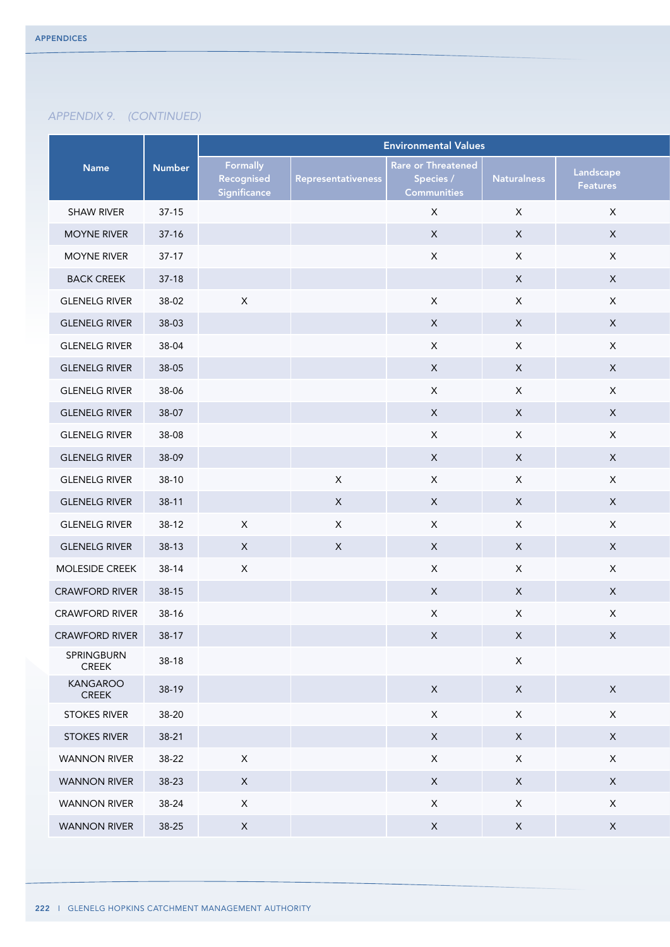|                            |               | <b>Environmental Values</b>            |                    |                                                              |                           |                       |  |
|----------------------------|---------------|----------------------------------------|--------------------|--------------------------------------------------------------|---------------------------|-----------------------|--|
| <b>Name</b>                | <b>Number</b> | Formally<br>Recognised<br>Significance | Representativeness | <b>Rare or Threatened</b><br>Species /<br><b>Communities</b> | <b>Naturalness</b>        | Landscape<br>Features |  |
| <b>SHAW RIVER</b>          | $37-15$       |                                        |                    | $\mathsf X$                                                  | $\mathsf X$               | $\mathsf X$           |  |
| <b>MOYNE RIVER</b>         | $37-16$       |                                        |                    | $\mathsf{X}$                                                 | $\boldsymbol{\mathsf{X}}$ | $\mathsf X$           |  |
| <b>MOYNE RIVER</b>         | $37-17$       |                                        |                    | $\mathsf X$                                                  | $\mathsf X$               | $\mathsf X$           |  |
| <b>BACK CREEK</b>          | $37-18$       |                                        |                    |                                                              | $\mathsf X$               | $\mathsf{X}$          |  |
| <b>GLENELG RIVER</b>       | 38-02         | $\mathsf{X}$                           |                    | $\mathsf X$                                                  | $\mathsf X$               | $\mathsf X$           |  |
| <b>GLENELG RIVER</b>       | 38-03         |                                        |                    | $\mathsf{X}$                                                 | $\mathsf X$               | $\mathsf{X}$          |  |
| <b>GLENELG RIVER</b>       | 38-04         |                                        |                    | $\mathsf X$                                                  | $\mathsf X$               | $\mathsf X$           |  |
| <b>GLENELG RIVER</b>       | 38-05         |                                        |                    | $\mathsf X$                                                  | $\mathsf X$               | $\mathsf{X}$          |  |
| <b>GLENELG RIVER</b>       | 38-06         |                                        |                    | $\mathsf X$                                                  | $\boldsymbol{\mathsf{X}}$ | $\mathsf{X}$          |  |
| <b>GLENELG RIVER</b>       | 38-07         |                                        |                    | $\mathsf{X}$                                                 | $\mathsf X$               | $\mathsf{X}$          |  |
| <b>GLENELG RIVER</b>       | 38-08         |                                        |                    | $\mathsf X$                                                  | $\mathsf X$               | $\mathsf X$           |  |
| <b>GLENELG RIVER</b>       | 38-09         |                                        |                    | $\mathsf X$                                                  | $\boldsymbol{\mathsf{X}}$ | $\mathsf{X}$          |  |
| <b>GLENELG RIVER</b>       | $38-10$       |                                        | $\mathsf X$        | $\mathsf{X}$                                                 | $\mathsf X$               | $\mathsf{X}$          |  |
| <b>GLENELG RIVER</b>       | $38-11$       |                                        | $\mathsf X$        | $\mathsf{X}$                                                 | $\mathsf X$               | $\mathsf X$           |  |
| <b>GLENELG RIVER</b>       | $38-12$       | $\mathsf{X}$                           | $\mathsf X$        | $\mathsf{X}$                                                 | $\mathsf X$               | $\mathsf X$           |  |
| <b>GLENELG RIVER</b>       | $38-13$       | $\mathsf{X}$                           | $\mathsf X$        | $\mathsf{X}$                                                 | $\mathsf X$               | $\mathsf{X}$          |  |
| MOLESIDE CREEK             | 38-14         | $\mathsf{X}$                           |                    | $\mathsf{X}$                                                 | $\mathsf X$               | $\mathsf X$           |  |
| <b>CRAWFORD RIVER</b>      | $38-15$       |                                        |                    | $\mathsf X$                                                  | $\mathsf X$               | $\mathsf{X}$          |  |
| <b>CRAWFORD RIVER</b>      | 38-16         |                                        |                    | $\mathsf{X}$                                                 | $\mathsf X$               | $\mathsf X$           |  |
| <b>CRAWFORD RIVER</b>      | $38-17$       |                                        |                    | $\mathsf{X}$                                                 | $\mathsf{X}$              | X                     |  |
| SPRINGBURN<br><b>CREEK</b> | $38-18$       |                                        |                    |                                                              | $\mathsf X$               |                       |  |
| KANGAROO<br>CREEK          | 38-19         |                                        |                    | $\mathsf{X}$                                                 | $\mathsf X$               | $\mathsf X$           |  |
| <b>STOKES RIVER</b>        | 38-20         |                                        |                    | $\mathsf{X}$                                                 | $\mathsf X$               | $\mathsf X$           |  |
| <b>STOKES RIVER</b>        | $38-21$       |                                        |                    | $\mathsf{X}$                                                 | $\mathsf{X}$              | $\mathsf{X}$          |  |
| <b>WANNON RIVER</b>        | 38-22         | $\mathsf{X}$                           |                    | $\mathsf{X}$                                                 | $\mathsf X$               | $\mathsf X$           |  |
| <b>WANNON RIVER</b>        | 38-23         | $\mathsf{X}$                           |                    | $\mathsf{X}$                                                 | $\mathsf{X}$              | $\mathsf{X}$          |  |
| <b>WANNON RIVER</b>        | 38-24         | $\mathsf{X}$                           |                    | $\mathsf{X}$                                                 | $\mathsf X$               | $\mathsf{X}^-$        |  |
| <b>WANNON RIVER</b>        | $38-25$       | $\mathsf{X}$                           |                    | $\mathsf{X}$                                                 | $\mathsf X$               | $\mathsf X$           |  |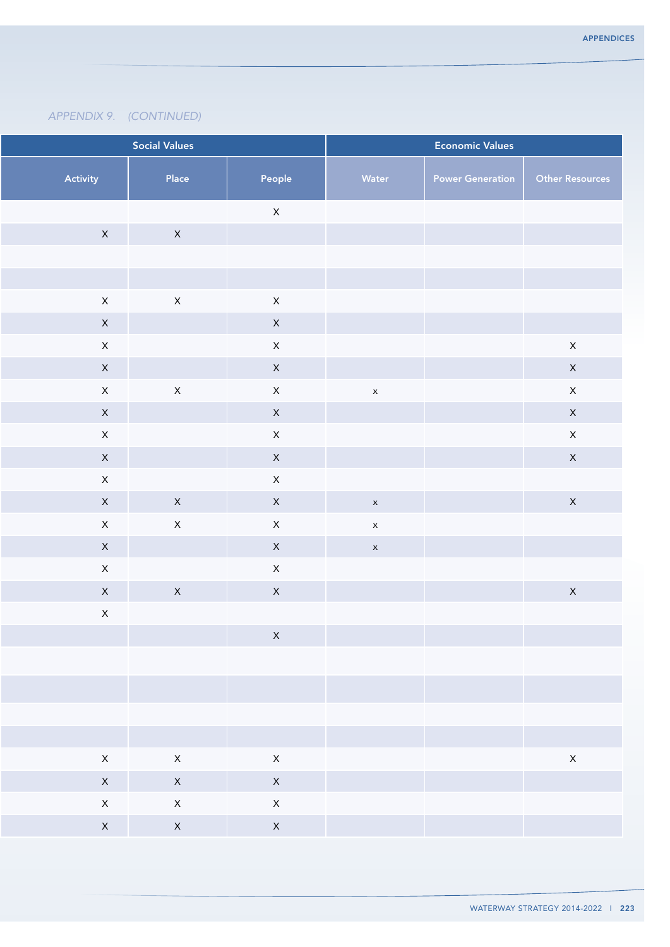| <b>Social Values</b><br><b>Economic Values</b> |              |              |              |                         |                        |
|------------------------------------------------|--------------|--------------|--------------|-------------------------|------------------------|
| Activity                                       | Place        | People       | Water        | <b>Power Generation</b> | <b>Other Resources</b> |
|                                                |              | $\mathsf X$  |              |                         |                        |
| $\mathsf{X}$                                   | $\mathsf{X}$ |              |              |                         |                        |
|                                                |              |              |              |                         |                        |
|                                                |              |              |              |                         |                        |
| $\mathsf{X}$                                   | $\mathsf{X}$ | $\mathsf X$  |              |                         |                        |
| $\mathsf{X}$                                   |              | $\mathsf{X}$ |              |                         |                        |
| $\mathsf{X}$                                   |              | $\mathsf{X}$ |              |                         | $\mathsf{X}$           |
| $\mathsf{X}$                                   |              | $\mathsf{X}$ |              |                         | $\mathsf X$            |
| $\mathsf{X}$                                   | $\mathsf X$  | $\mathsf X$  | $\mathsf{x}$ |                         | $\mathsf X$            |
| $\mathsf{X}$                                   |              | $\mathsf{X}$ |              |                         | $\mathsf{X}$           |
| $\mathsf{X}$                                   |              | $\mathsf X$  |              |                         | $\mathsf X$            |
| $\mathsf{X}$                                   |              | $\mathsf X$  |              |                         | $\mathsf{X}$           |
| $\mathsf{X}$                                   |              | $\mathsf{X}$ |              |                         |                        |
| $\mathsf{X}$                                   | $\mathsf{X}$ | $\mathsf{X}$ | $\mathbf{x}$ |                         | $\mathsf{X}$           |
| $\mathsf{X}$                                   | $\mathsf X$  | $\mathsf{X}$ | $\mathsf{x}$ |                         |                        |
| $\mathsf{X}$                                   |              | $\mathsf X$  | $\mathsf X$  |                         |                        |
| $\mathsf X$                                    |              | $\mathsf X$  |              |                         |                        |
| $\mathsf{X}$                                   | $\mathsf X$  | $\mathsf X$  |              |                         | $\mathsf{X}$           |
| $\mathsf{X}$                                   |              |              |              |                         |                        |
|                                                |              | $\mathsf{X}$ |              |                         |                        |
|                                                |              |              |              |                         |                        |
|                                                |              |              |              |                         |                        |
|                                                |              |              |              |                         |                        |
|                                                |              |              |              |                         |                        |
| $\mathsf{X}$                                   | $\mathsf{X}$ | $\mathsf X$  |              |                         | $\mathsf{X}$           |
| $\mathsf{X}$                                   | $\mathsf{X}$ | $\mathsf{X}$ |              |                         |                        |
| $\mathsf{X}$                                   | $\mathsf{X}$ | $\mathsf{X}$ |              |                         |                        |
| $\mathsf{X}$                                   | $\mathsf{X}$ | $\mathsf{X}$ |              |                         |                        |
|                                                |              |              |              |                         |                        |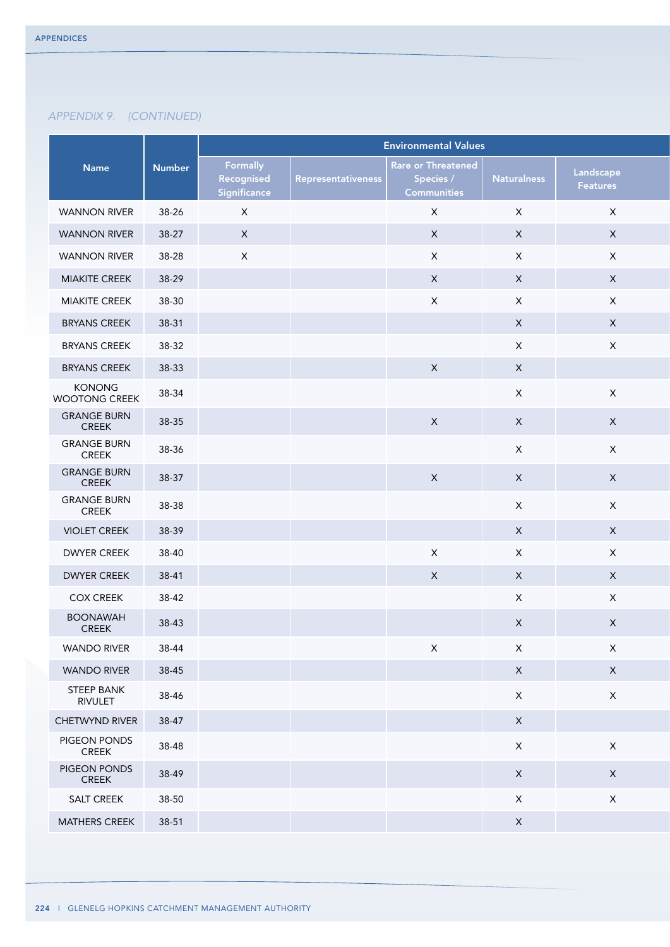|                                    |               | <b>Environmental Values</b>            |                    |                                                              |                           |                       |  |  |
|------------------------------------|---------------|----------------------------------------|--------------------|--------------------------------------------------------------|---------------------------|-----------------------|--|--|
| Name                               | <b>Number</b> | Formally<br>Recognised<br>Significance | Representativeness | <b>Rare or Threatened</b><br>Species /<br><b>Communities</b> | <b>Naturalness</b>        | Landscape<br>Features |  |  |
| <b>WANNON RIVER</b>                | 38-26         | $\mathsf{X}$                           |                    | $\mathsf{X}$                                                 | $\mathsf X$               | $\mathsf{X}$          |  |  |
| <b>WANNON RIVER</b>                | 38-27         | $\mathsf{X}$                           |                    | $\mathsf{X}$                                                 | $\mathsf X$               | $\mathsf{X}$          |  |  |
| <b>WANNON RIVER</b>                | 38-28         | $\mathsf{X}$                           |                    | $\mathsf{X}$                                                 | $\mathsf X$               | $\mathsf{X}$          |  |  |
| <b>MIAKITE CREEK</b>               | 38-29         |                                        |                    | $\mathsf X$                                                  | $\mathsf X$               | $\mathsf{X}$          |  |  |
| <b>MIAKITE CREEK</b>               | 38-30         |                                        |                    | $\mathsf X$                                                  | $\mathsf X$               | $\mathsf{X}$          |  |  |
| <b>BRYANS CREEK</b>                | 38-31         |                                        |                    |                                                              | $\mathsf X$               | $\mathsf{X}$          |  |  |
| <b>BRYANS CREEK</b>                | 38-32         |                                        |                    |                                                              | $\mathsf X$               | $\mathsf X$           |  |  |
| <b>BRYANS CREEK</b>                | 38-33         |                                        |                    | $\mathsf X$                                                  | $\mathsf X$               |                       |  |  |
| KONONG<br><b>WOOTONG CREEK</b>     | 38-34         |                                        |                    |                                                              | $\mathsf X$               | $\mathsf X$           |  |  |
| <b>GRANGE BURN</b><br>CREEK        | 38-35         |                                        |                    | $\boldsymbol{X}$                                             | $\mathsf X$               | $\mathsf X$           |  |  |
| <b>GRANGE BURN</b><br>CREEK        | 38-36         |                                        |                    |                                                              | $\mathsf X$               | $\mathsf X$           |  |  |
| <b>GRANGE BURN</b><br><b>CREEK</b> | 38-37         |                                        |                    | $\mathsf{X}$                                                 | $\mathsf X$               | $\mathsf X$           |  |  |
| <b>GRANGE BURN</b><br>CREEK        | 38-38         |                                        |                    |                                                              | $\mathsf X$               | $\mathsf{X}$          |  |  |
| <b>VIOLET CREEK</b>                | 38-39         |                                        |                    |                                                              | $\mathsf X$               | $\mathsf{X}$          |  |  |
| <b>DWYER CREEK</b>                 | 38-40         |                                        |                    | $\mathsf{X}$                                                 | $\mathsf X$               | $\mathsf{X}$          |  |  |
| <b>DWYER CREEK</b>                 | 38-41         |                                        |                    | $\boldsymbol{X}$                                             | $\mathsf X$               | $\mathsf{X}$          |  |  |
| <b>COX CREEK</b>                   | 38-42         |                                        |                    |                                                              | $\mathsf X$               | $\mathsf X$           |  |  |
| <b>BOONAWAH</b><br><b>CREEK</b>    | 38-43         |                                        |                    |                                                              | $\boldsymbol{\mathsf{X}}$ | $\mathsf X$           |  |  |
| <b>WANDO RIVER</b>                 | 38-44         |                                        |                    | $\mathsf X$                                                  | $\mathsf X$               | $\mathsf X$           |  |  |
| <b>WANDO RIVER</b>                 | 38-45         |                                        |                    |                                                              | $\mathsf X$               | $\mathsf X$           |  |  |
| <b>STEEP BANK</b><br>RIVULET       | 38-46         |                                        |                    |                                                              | $\mathsf X$               | $\mathsf X$           |  |  |
| CHETWYND RIVER                     | 38-47         |                                        |                    |                                                              | $\mathsf X$               |                       |  |  |
| PIGEON PONDS<br><b>CREEK</b>       | 38-48         |                                        |                    |                                                              | $\mathsf X$               | $\mathsf X$           |  |  |
| PIGEON PONDS<br>CREEK              | 38-49         |                                        |                    |                                                              | $\mathsf X$               | $\mathsf{X}$          |  |  |
| SALT CREEK                         | 38-50         |                                        |                    |                                                              | $\mathsf X$               | $\mathsf X$           |  |  |
| MATHERS CREEK                      | $38 - 51$     |                                        |                    |                                                              | $\mathsf X$               |                       |  |  |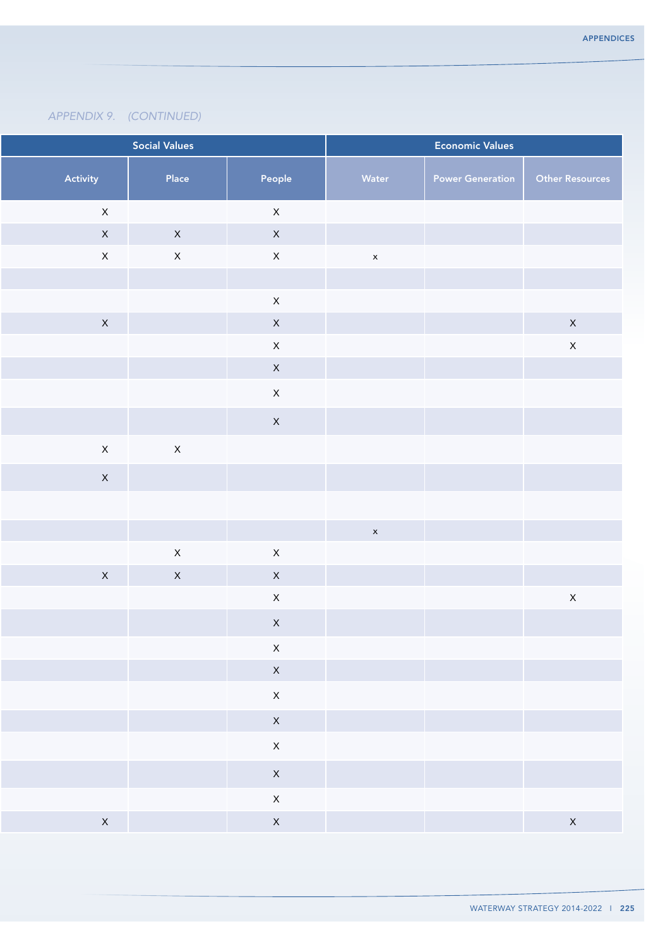| <b>Social Values</b><br><b>Economic Values</b> |              |                    |              |                         |                    |
|------------------------------------------------|--------------|--------------------|--------------|-------------------------|--------------------|
| Activity                                       | Place        | People             | Water        | <b>Power Generation</b> | Other Resources    |
| $\mathsf{X}$                                   |              | $\mathsf{X}% _{0}$ |              |                         |                    |
| $\mathsf{X}$                                   | $\mathsf{X}$ | $\mathsf X$        |              |                         |                    |
| $\mathsf{X}$                                   | $\mathsf X$  | $\mathsf X$        | $\mathsf{x}$ |                         |                    |
|                                                |              |                    |              |                         |                    |
|                                                |              | $\mathsf X$        |              |                         |                    |
| $\mathsf{X}$                                   |              | $\mathsf X$        |              |                         | $\mathsf{X}% _{0}$ |
|                                                |              | $\mathsf X$        |              |                         | $\mathsf{X}% _{0}$ |
|                                                |              | $\mathsf{X}$       |              |                         |                    |
|                                                |              | $\mathsf X$        |              |                         |                    |
|                                                |              | $\mathsf{X}$       |              |                         |                    |
| $\mathsf{X}$                                   | $\mathsf X$  |                    |              |                         |                    |
| $\mathsf{X}$                                   |              |                    |              |                         |                    |
|                                                |              |                    |              |                         |                    |
|                                                |              |                    | $\mathsf{x}$ |                         |                    |
|                                                | $\mathsf{X}$ | $\mathsf X$        |              |                         |                    |
| $\mathsf{X}$                                   | $\mathsf{X}$ | $\mathsf X$        |              |                         |                    |
|                                                |              | $\mathsf X$        |              |                         | $\mathsf X$        |
|                                                |              | $\mathsf X$        |              |                         |                    |
|                                                |              | $\mathsf X$        |              |                         |                    |
|                                                |              | $\mathsf{X}$       |              |                         |                    |
|                                                |              | $\mathsf X$        |              |                         |                    |
|                                                |              | $\mathsf{X}$       |              |                         |                    |
|                                                |              | $\mathsf X$        |              |                         |                    |
|                                                |              | $\mathsf X$        |              |                         |                    |
|                                                |              |                    |              |                         |                    |
|                                                |              | $\mathsf{X}^-$     |              |                         |                    |
| $\mathsf{X}$                                   |              | $\mathsf{X}$       |              |                         | $\mathsf{X}$       |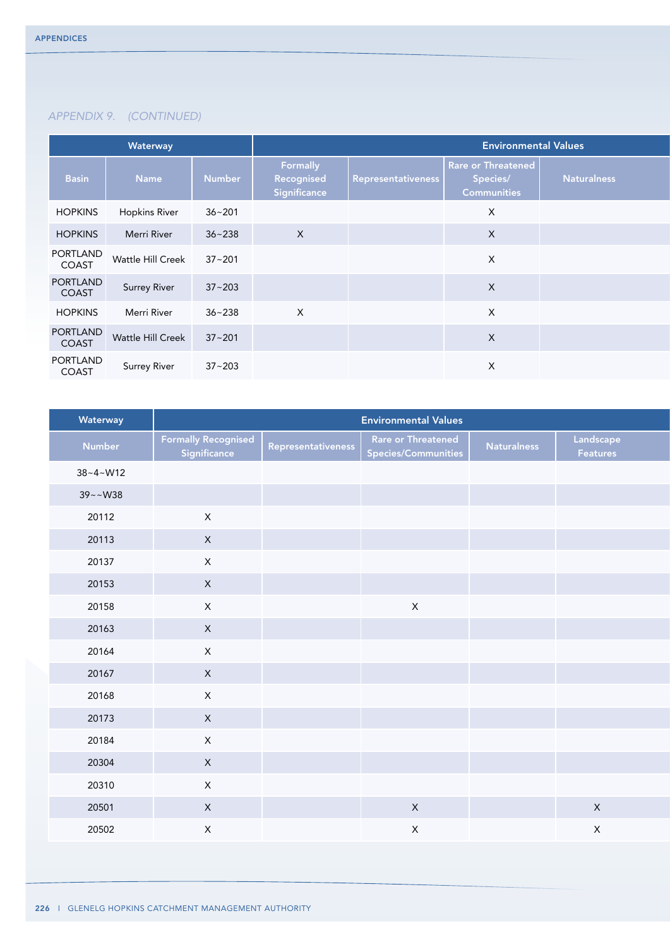|                   | Waterway                            |            | <b>Environmental Values</b>            |                    |                                                      |             |  |  |
|-------------------|-------------------------------------|------------|----------------------------------------|--------------------|------------------------------------------------------|-------------|--|--|
| <b>Basin</b>      | <b>Name</b>                         | Number     | Formally<br>Recognised<br>Significance | Representativeness | Rare or Threatened<br>Species/<br><b>Communities</b> | Naturalness |  |  |
| <b>HOPKINS</b>    | <b>Hopkins River</b>                | $36 - 201$ |                                        |                    | $\times$                                             |             |  |  |
| <b>HOPKINS</b>    | Merri River                         | $36 - 238$ | $\mathsf{X}$                           |                    | $\mathsf{X}$                                         |             |  |  |
| PORTLAND<br>COAST | Wattle Hill Creek                   | $37 - 201$ |                                        |                    | $\boldsymbol{\mathsf{X}}$                            |             |  |  |
| PORTLAND<br>COAST | Surrey River                        | $37 - 203$ |                                        |                    | $\boldsymbol{\mathsf{X}}$                            |             |  |  |
| <b>HOPKINS</b>    | Merri River                         | $36 - 238$ | $\mathsf{X}$                           |                    | $\boldsymbol{\mathsf{X}}$                            |             |  |  |
|                   | PORTLAND<br>COAST Wattle Hill Creek | $37 - 201$ |                                        |                    | $\mathsf{X}$                                         |             |  |  |
| PORTLAND<br>COAST | Surrey River                        | $37 - 203$ |                                        |                    | $\times$                                             |             |  |  |

| Waterway       |                                            |                    | <b>Environmental Values</b>               |                    |                       |
|----------------|--------------------------------------------|--------------------|-------------------------------------------|--------------------|-----------------------|
| Number         | <b>Formally Recognised</b><br>Significance | Representativeness | Rare or Threatened<br>Species/Communities | <b>Naturalness</b> | Landscape<br>Features |
| $38 - 4 - W12$ |                                            |                    |                                           |                    |                       |
| $39 - W38$     |                                            |                    |                                           |                    |                       |
| 20112          | $\mathsf{X}$                               |                    |                                           |                    |                       |
| 20113          | $\mathsf{X}^-$                             |                    |                                           |                    |                       |
| 20137          | $\mathsf{X}^-$                             |                    |                                           |                    |                       |
| 20153          | $\mathsf{X}$                               |                    |                                           |                    |                       |
| 20158          | $\mathsf{X}$                               |                    | $\mathsf{X}$                              |                    |                       |
| 20163          | $\mathsf{X}$                               |                    |                                           |                    |                       |
| 20164          | $\mathsf{X}^-$                             |                    |                                           |                    |                       |
| 20167          | $\mathsf{X}$                               |                    |                                           |                    |                       |
| 20168          | $\mathsf{X}^-$                             |                    |                                           |                    |                       |
| 20173          | $\mathsf{X}$                               |                    |                                           |                    |                       |
| 20184          | $\mathsf{X}^-$                             |                    |                                           |                    |                       |
| 20304          | $\mathsf{X}$                               |                    |                                           |                    |                       |
| 20310          | $\mathsf{X}^-$                             |                    |                                           |                    |                       |
| 20501          | $\mathsf{X}^-$                             |                    | $\mathsf X$                               |                    | $\mathsf{X}$          |
| 20502          | $\mathsf{X}^-$                             |                    | $\mathsf X$                               |                    | $\mathsf{X}$          |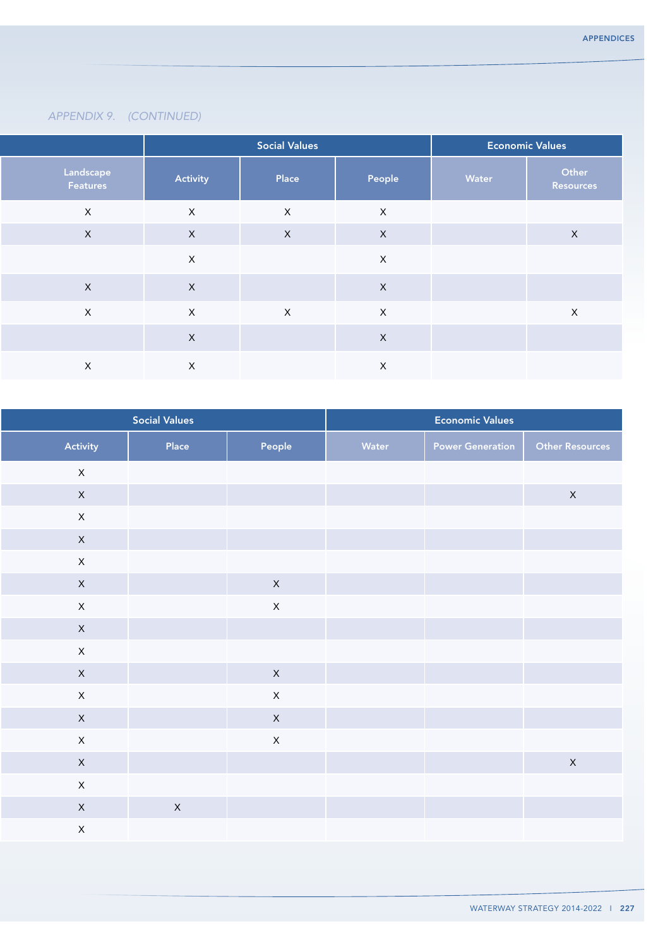|                       |              | <b>Social Values</b> |             | <b>Economic Values</b> |                    |
|-----------------------|--------------|----------------------|-------------|------------------------|--------------------|
| Landscape<br>Features | Activity     | Place                | People      | Water                  | Other<br>Resources |
| $\mathsf{X}$          | $\mathsf{X}$ | $\mathsf{X}$         | $\mathsf X$ |                        |                    |
| $\mathsf{X}$          | $\mathsf{X}$ | $\mathsf X$          | $\mathsf X$ |                        | $\mathsf X$        |
|                       | $\mathsf{X}$ |                      | $\mathsf X$ |                        |                    |
| $\mathsf{X}$          | $\mathsf{X}$ |                      | $\mathsf X$ |                        |                    |
| $\mathsf{X}$          | $\mathsf{X}$ | $\mathsf{X}$         | $\mathsf X$ |                        | $\mathsf{X}$       |
|                       | $\mathsf X$  |                      | $\mathsf X$ |                        |                    |
| $\mathsf{X}$          | $\mathsf{X}$ |                      | $\mathsf X$ |                        |                    |

|              | <b>Social Values</b> |                |       | <b>Economic Values</b>  |                        |
|--------------|----------------------|----------------|-------|-------------------------|------------------------|
| Activity     | Place                | People         | Water | <b>Power Generation</b> | <b>Other Resources</b> |
| $\mathsf{X}$ |                      |                |       |                         |                        |
| $\mathsf{X}$ |                      |                |       |                         | $\mathsf{X}% _{0}$     |
| $\mathsf X$  |                      |                |       |                         |                        |
| $\mathsf{X}$ |                      |                |       |                         |                        |
| $\mathsf X$  |                      |                |       |                         |                        |
| $\mathsf X$  |                      | $\mathsf X$    |       |                         |                        |
| $\mathsf X$  |                      | $\mathsf X$    |       |                         |                        |
| $\mathsf{X}$ |                      |                |       |                         |                        |
| $\mathsf X$  |                      |                |       |                         |                        |
| $\mathsf X$  |                      | $\mathsf{X}$   |       |                         |                        |
| $\mathsf{X}$ |                      | $\mathsf{X}^-$ |       |                         |                        |
| $\mathsf X$  |                      | $\mathsf X$    |       |                         |                        |
| $\mathsf{X}$ |                      | $\mathsf{X}$   |       |                         |                        |
| $\mathsf X$  |                      |                |       |                         | $\mathsf{X}$           |
| $\mathsf X$  |                      |                |       |                         |                        |
| $\mathsf{X}$ | $\mathsf{X}$         |                |       |                         |                        |
| $\mathsf{X}$ |                      |                |       |                         |                        |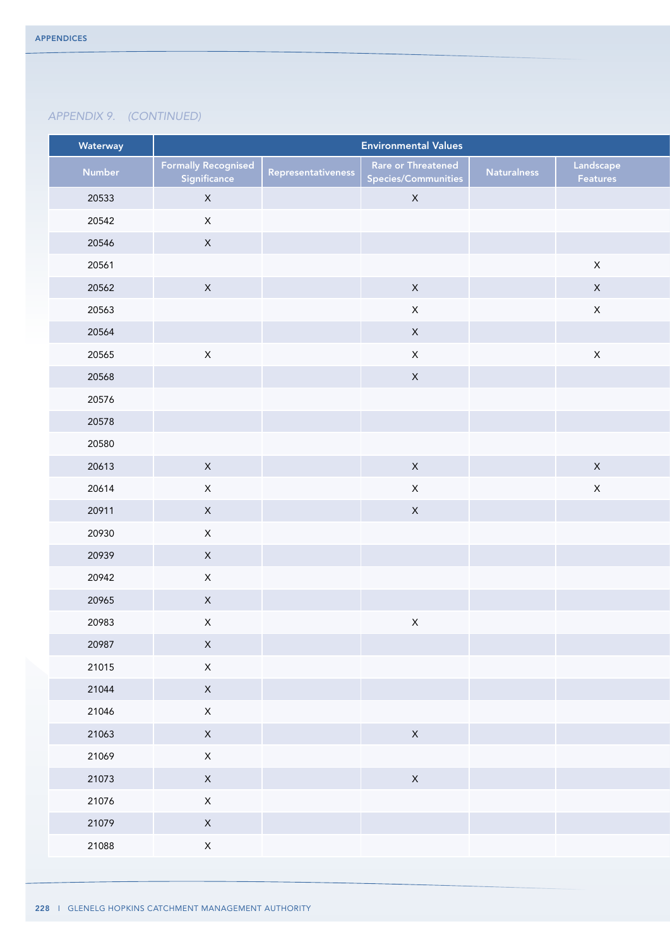| Waterway |                                            |                    | <b>Environmental Values</b>               |                    |                       |
|----------|--------------------------------------------|--------------------|-------------------------------------------|--------------------|-----------------------|
| Number   | <b>Formally Recognised</b><br>Significance | Representativeness | Rare or Threatened<br>Species/Communities | <b>Naturalness</b> | Landscape<br>Features |
| 20533    | $\mathsf{X}$                               |                    | $\mathsf{X}$                              |                    |                       |
| 20542    | $\mathsf X$                                |                    |                                           |                    |                       |
| 20546    | $\mathsf X$                                |                    |                                           |                    |                       |
| 20561    |                                            |                    |                                           |                    | $\mathsf X$           |
| 20562    | $\mathsf{X}$                               |                    | $\mathsf{X}$                              |                    | $\mathsf X$           |
| 20563    |                                            |                    | $\mathsf X$                               |                    | $\mathsf X$           |
| 20564    |                                            |                    | $\mathsf{X}^-$                            |                    |                       |
| 20565    | $\mathsf X$                                |                    | $\mathsf X$                               |                    | $\mathsf X$           |
| 20568    |                                            |                    | $\mathsf X$                               |                    |                       |
| 20576    |                                            |                    |                                           |                    |                       |
| 20578    |                                            |                    |                                           |                    |                       |
| 20580    |                                            |                    |                                           |                    |                       |
| 20613    | $\mathsf{X}$                               |                    | $\mathsf{X}$                              |                    | $\mathsf{X}^-$        |
| 20614    | $\mathsf X$                                |                    | $\mathsf X$                               |                    | $\mathsf X$           |
| 20911    | $\mathsf{X}^-$                             |                    | $\mathsf X$                               |                    |                       |
| 20930    | $\mathsf{X}^-$                             |                    |                                           |                    |                       |
| 20939    | $\mathsf X$                                |                    |                                           |                    |                       |
| 20942    | $\mathsf{X}$                               |                    |                                           |                    |                       |
| 20965    | $\mathsf{X}$                               |                    |                                           |                    |                       |
| 20983    | $\mathsf X$                                |                    | $\mathsf X$                               |                    |                       |
| 20987    | $\mathsf X$                                |                    |                                           |                    |                       |
| 21015    | $\mathsf X$                                |                    |                                           |                    |                       |
| 21044    | $\mathsf{X}^-$                             |                    |                                           |                    |                       |
| 21046    | $\mathsf X$                                |                    |                                           |                    |                       |
|          |                                            |                    |                                           |                    |                       |
| 21063    | $\mathsf{X}$                               |                    | $\mathsf X$                               |                    |                       |
| 21069    | $\mathsf{X}^-$                             |                    |                                           |                    |                       |
| 21073    | $\mathsf X$                                |                    | $\mathsf{X}% _{0}$                        |                    |                       |
| 21076    | $\mathsf X$                                |                    |                                           |                    |                       |
| 21079    | $\mathsf X$                                |                    |                                           |                    |                       |
| 21088    | $\mathsf X$                                |                    |                                           |                    |                       |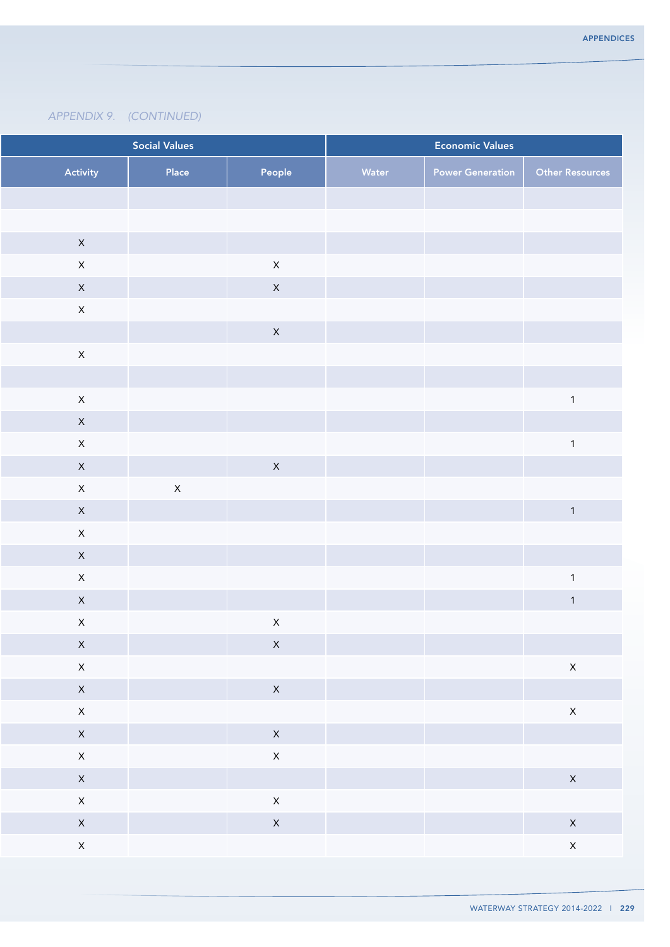| <b>Social Values</b> |                |              | <b>Economic Values</b> |       |                         |                         |
|----------------------|----------------|--------------|------------------------|-------|-------------------------|-------------------------|
|                      | Activity       | Place        | People                 | Water | <b>Power Generation</b> | <b>Other Resources</b>  |
|                      |                |              |                        |       |                         |                         |
|                      |                |              |                        |       |                         |                         |
|                      | $\mathsf X$    |              |                        |       |                         |                         |
|                      | $\mathsf X$    |              | $\mathsf X$            |       |                         |                         |
|                      | $\mathsf X$    |              | $\mathsf X$            |       |                         |                         |
|                      | $\mathsf X$    |              |                        |       |                         |                         |
|                      |                |              | $\mathsf X$            |       |                         |                         |
|                      | $\mathsf X$    |              |                        |       |                         |                         |
|                      |                |              |                        |       |                         |                         |
|                      | $\mathsf{X}$   |              |                        |       |                         | $\overline{\mathbf{1}}$ |
|                      | $\mathsf X$    |              |                        |       |                         |                         |
|                      | $\mathsf X$    |              |                        |       |                         | $\overline{1}$          |
|                      | $\mathsf{X}^-$ |              | $\mathsf X$            |       |                         |                         |
|                      | $\mathsf X$    | $\mathsf{X}$ |                        |       |                         |                         |
|                      | $\mathsf X$    |              |                        |       |                         | $\overline{1}$          |
|                      | $\mathsf{X}$   |              |                        |       |                         |                         |
|                      | $\mathsf X$    |              |                        |       |                         |                         |
|                      | $\mathsf{X}$   |              |                        |       |                         | -1                      |
|                      | $\mathsf X$    |              |                        |       |                         | $\overline{1}$          |
|                      | $\mathsf X$    |              | $\mathsf X$            |       |                         |                         |
|                      | $\mathsf{X}$   |              | $\mathsf X$            |       |                         |                         |
|                      | $\mathsf{X}$   |              |                        |       |                         | $\mathsf X$             |
|                      | $\mathsf{X}$   |              | $\mathsf{X}$           |       |                         |                         |
|                      | $\mathsf{X}$   |              |                        |       |                         | $\mathsf{X}$            |
|                      | $\mathsf{X}$   |              | $\mathsf{X}$           |       |                         |                         |
|                      | $\mathsf{X}$   |              | $\mathsf{X}$           |       |                         |                         |
|                      | $\mathsf{X}$   |              |                        |       |                         | $\mathsf{X}$            |
|                      | $\mathsf{X}$   |              | $\mathsf{X}$           |       |                         |                         |
|                      | $\mathsf{X}$   |              | $\mathsf{X}$           |       |                         | $\mathsf{X}$            |
|                      | $\mathsf{X}$   |              |                        |       |                         | $\mathsf{X}$            |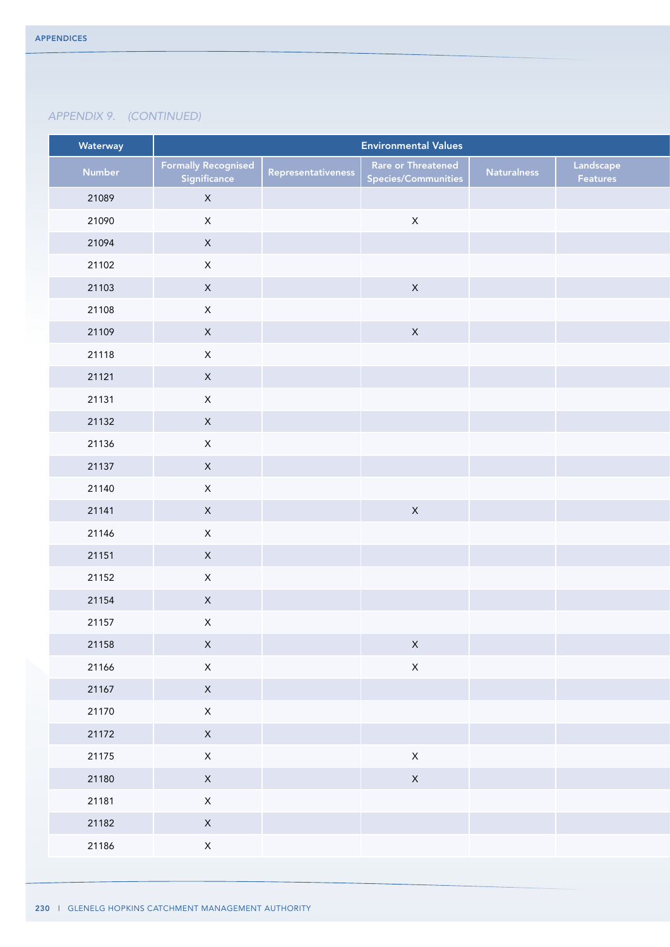| Waterway |                                            |                    | <b>Environmental Values</b>               |                    |                       |
|----------|--------------------------------------------|--------------------|-------------------------------------------|--------------------|-----------------------|
| Number   | <b>Formally Recognised</b><br>Significance | Representativeness | Rare or Threatened<br>Species/Communities | <b>Naturalness</b> | Landscape<br>Features |
| 21089    | $\mathsf X$                                |                    |                                           |                    |                       |
| 21090    | $\mathsf X$                                |                    | $\mathsf X$                               |                    |                       |
| 21094    | $\mathsf{X}$                               |                    |                                           |                    |                       |
| 21102    | $\mathsf X$                                |                    |                                           |                    |                       |
| 21103    | $\mathsf X$                                |                    | $\mathsf X$                               |                    |                       |
| 21108    | $\mathsf{X}^-$                             |                    |                                           |                    |                       |
| 21109    | $\mathsf X$                                |                    | $\mathsf X$                               |                    |                       |
| 21118    | $\mathsf X$                                |                    |                                           |                    |                       |
| 21121    | $\mathsf{X}$                               |                    |                                           |                    |                       |
| 21131    | $\mathsf{X}^-$                             |                    |                                           |                    |                       |
| 21132    | $\mathsf X$                                |                    |                                           |                    |                       |
| 21136    | $\mathsf{X}$                               |                    |                                           |                    |                       |
| 21137    | $\mathsf X$                                |                    |                                           |                    |                       |
| 21140    | $\mathsf X$                                |                    |                                           |                    |                       |
| 21141    | $\mathsf{X}$                               |                    | $\mathsf X$                               |                    |                       |
| 21146    | $\mathsf{X}^-$                             |                    |                                           |                    |                       |
| 21151    | $\mathsf X$                                |                    |                                           |                    |                       |
| 21152    | $\mathsf X$                                |                    |                                           |                    |                       |
| 21154    | $\mathsf{X}$                               |                    |                                           |                    |                       |
| 21157    | $\mathsf X$                                |                    |                                           |                    |                       |
| 21158    | $\mathsf X$                                |                    | $\mathsf X$                               |                    |                       |
| 21166    | $\mathsf X$                                |                    | $\mathsf X$                               |                    |                       |
| 21167    | $\mathsf X$                                |                    |                                           |                    |                       |
| 21170    | $\mathsf{X}^-$                             |                    |                                           |                    |                       |
| 21172    | $\mathsf{X}$                               |                    |                                           |                    |                       |
| 21175    | $\mathsf X$                                |                    | $\mathsf X$                               |                    |                       |
| 21180    | $\mathsf X$                                |                    | $\mathsf X$                               |                    |                       |
| 21181    | $\mathsf X$                                |                    |                                           |                    |                       |
| 21182    | $\mathsf{X}^-$                             |                    |                                           |                    |                       |
| 21186    | $\mathsf{X}^-$                             |                    |                                           |                    |                       |
|          |                                            |                    |                                           |                    |                       |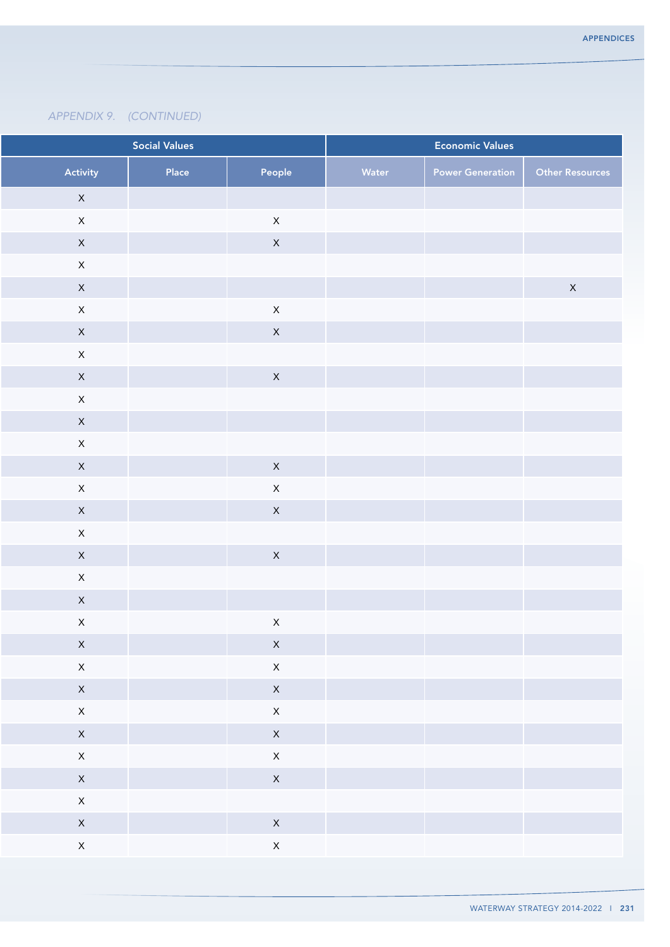|              | <b>Social Values</b><br><b>Economic Values</b> |       |                |       |                         |                        |
|--------------|------------------------------------------------|-------|----------------|-------|-------------------------|------------------------|
| Activity     |                                                | Place | People         | Water | <b>Power Generation</b> | <b>Other Resources</b> |
| $\mathsf{X}$ |                                                |       |                |       |                         |                        |
| $\mathsf{X}$ |                                                |       | $\mathsf{X}$   |       |                         |                        |
| $\mathsf{X}$ |                                                |       | $\mathsf X$    |       |                         |                        |
| $\mathsf{X}$ |                                                |       |                |       |                         |                        |
| $\mathsf{X}$ |                                                |       |                |       |                         | $\mathsf X$            |
| $\mathsf X$  |                                                |       | $\mathsf X$    |       |                         |                        |
| $\mathsf{X}$ |                                                |       | $\mathsf{X}$   |       |                         |                        |
| $\mathsf X$  |                                                |       |                |       |                         |                        |
| $\mathsf{X}$ |                                                |       | $\mathsf X$    |       |                         |                        |
| $\mathsf{X}$ |                                                |       |                |       |                         |                        |
| $\mathsf{X}$ |                                                |       |                |       |                         |                        |
| $\mathsf{X}$ |                                                |       |                |       |                         |                        |
| $\mathsf{X}$ |                                                |       | $\mathsf{X}$   |       |                         |                        |
| $\mathsf X$  |                                                |       | $\mathsf X$    |       |                         |                        |
| $\mathsf{X}$ |                                                |       | $\mathsf X$    |       |                         |                        |
| $\mathsf{X}$ |                                                |       |                |       |                         |                        |
| $\mathsf{X}$ |                                                |       | $\mathsf X$    |       |                         |                        |
| $\mathsf{X}$ |                                                |       |                |       |                         |                        |
| $\mathsf{X}$ |                                                |       |                |       |                         |                        |
| $\mathsf X$  |                                                |       | $\mathsf X$    |       |                         |                        |
| $\mathsf{X}$ |                                                |       | $\mathsf{X}$   |       |                         |                        |
| $\mathsf{X}$ |                                                |       | $\mathsf{X}$   |       |                         |                        |
| $\mathsf{X}$ |                                                |       | $\mathsf{X}^-$ |       |                         |                        |
| $\mathsf{X}$ |                                                |       | $\mathsf{X}$   |       |                         |                        |
| $\mathsf{X}$ |                                                |       | $\mathsf{X}$   |       |                         |                        |
| $\mathsf{X}$ |                                                |       | $\mathsf{X}$   |       |                         |                        |
| $\mathsf{X}$ |                                                |       | $\mathsf{X}$   |       |                         |                        |
| $\mathsf{X}$ |                                                |       |                |       |                         |                        |
| $\mathsf{X}$ |                                                |       | $\mathsf{X}$   |       |                         |                        |
| $\mathsf{X}$ |                                                |       | $\mathsf{X}$   |       |                         |                        |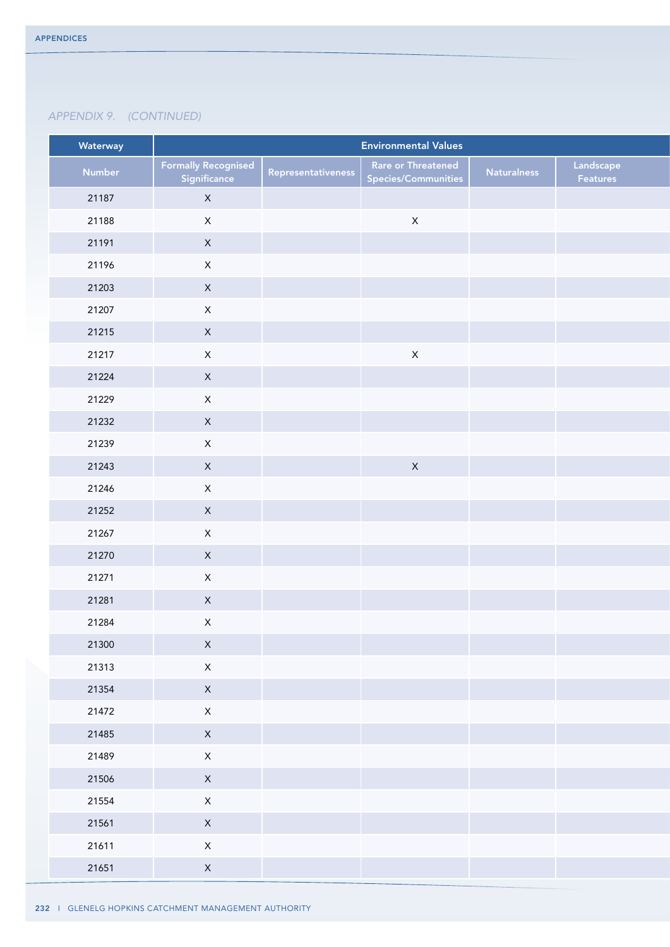| Waterway |                                            |                    | <b>Environmental Values</b>               |                    |                       |
|----------|--------------------------------------------|--------------------|-------------------------------------------|--------------------|-----------------------|
| Number   | <b>Formally Recognised</b><br>Significance | Representativeness | Rare or Threatened<br>Species/Communities | <b>Naturalness</b> | Landscape<br>Features |
| 21187    | $\mathsf X$                                |                    |                                           |                    |                       |
| 21188    | $\mathsf X$                                |                    | $\mathsf X$                               |                    |                       |
| 21191    | $\mathsf X$                                |                    |                                           |                    |                       |
| 21196    | $\mathsf{X}^-$                             |                    |                                           |                    |                       |
| 21203    | $\mathsf{X}$                               |                    |                                           |                    |                       |
| 21207    | $\mathsf{X}^-$                             |                    |                                           |                    |                       |
| 21215    | $\mathsf X$                                |                    |                                           |                    |                       |
| 21217    | $\mathsf X$                                |                    | $\mathsf X$                               |                    |                       |
| 21224    | $\mathsf X$                                |                    |                                           |                    |                       |
| 21229    | $\mathsf{X}^-$                             |                    |                                           |                    |                       |
| 21232    | $\mathsf X$                                |                    |                                           |                    |                       |
| 21239    | $\mathsf X$                                |                    |                                           |                    |                       |
| 21243    | $\mathsf{X}^-$                             |                    | $\mathsf X$                               |                    |                       |
| 21246    | $\mathsf X$                                |                    |                                           |                    |                       |
| 21252    | $\mathsf X$                                |                    |                                           |                    |                       |
| 21267    | $\mathsf{X}^-$                             |                    |                                           |                    |                       |
| 21270    | $\mathsf X$                                |                    |                                           |                    |                       |
| 21271    | $\mathsf{X}$                               |                    |                                           |                    |                       |
| 21281    | $\mathsf{X}$                               |                    |                                           |                    |                       |
| 21284    | $\mathsf X$                                |                    |                                           |                    |                       |
| 21300    | $\mathsf{X}^-$                             |                    |                                           |                    |                       |
| 21313    | $\mathsf X$                                |                    |                                           |                    |                       |
| 21354    | $\mathsf X$                                |                    |                                           |                    |                       |
| 21472    | $\mathsf{X}^-$                             |                    |                                           |                    |                       |
| 21485    | $\mathsf{X}$                               |                    |                                           |                    |                       |
| 21489    | $\mathsf X$                                |                    |                                           |                    |                       |
| 21506    | $\mathsf{X}^-$                             |                    |                                           |                    |                       |
| 21554    | $\mathsf X$                                |                    |                                           |                    |                       |
| 21561    | $\mathsf{X}^-$                             |                    |                                           |                    |                       |
| 21611    | $\mathsf{X}^-$                             |                    |                                           |                    |                       |
| 21651    | $\mathsf X$                                |                    |                                           |                    |                       |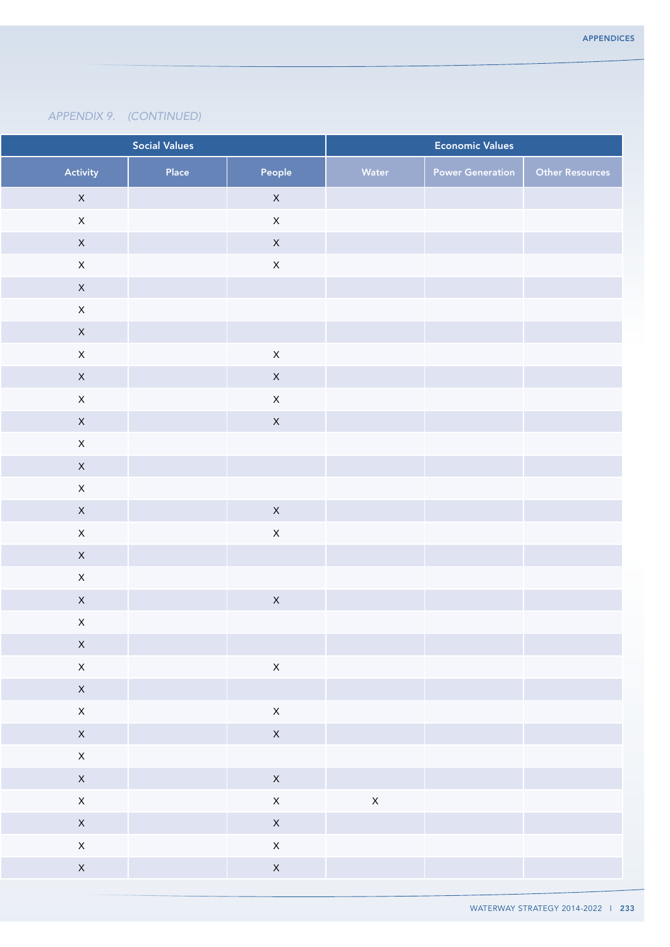| <b>Social Values</b> |                                                                                                                                                                                                                 |                | <b>Economic Values</b>                                                                                               |                         |                        |
|----------------------|-----------------------------------------------------------------------------------------------------------------------------------------------------------------------------------------------------------------|----------------|----------------------------------------------------------------------------------------------------------------------|-------------------------|------------------------|
| Activity             | Place                                                                                                                                                                                                           | People         | Water                                                                                                                | <b>Power Generation</b> | <b>Other Resources</b> |
| $\mathsf X$          |                                                                                                                                                                                                                 | $\mathsf X$    |                                                                                                                      |                         |                        |
| $\mathsf X$          |                                                                                                                                                                                                                 | $\mathsf X$    |                                                                                                                      |                         |                        |
| $\mathsf X$          |                                                                                                                                                                                                                 | $\mathsf X$    |                                                                                                                      |                         |                        |
| $\mathsf X$          |                                                                                                                                                                                                                 | $\mathsf X$    |                                                                                                                      |                         |                        |
| $\mathsf X$          |                                                                                                                                                                                                                 |                |                                                                                                                      |                         |                        |
| $\mathsf X$          |                                                                                                                                                                                                                 |                |                                                                                                                      |                         |                        |
|                      |                                                                                                                                                                                                                 |                |                                                                                                                      |                         |                        |
|                      |                                                                                                                                                                                                                 |                |                                                                                                                      |                         |                        |
|                      |                                                                                                                                                                                                                 |                |                                                                                                                      |                         |                        |
|                      |                                                                                                                                                                                                                 |                |                                                                                                                      |                         |                        |
|                      |                                                                                                                                                                                                                 |                |                                                                                                                      |                         |                        |
|                      |                                                                                                                                                                                                                 |                |                                                                                                                      |                         |                        |
|                      |                                                                                                                                                                                                                 |                |                                                                                                                      |                         |                        |
|                      |                                                                                                                                                                                                                 |                |                                                                                                                      |                         |                        |
|                      |                                                                                                                                                                                                                 |                |                                                                                                                      |                         |                        |
|                      |                                                                                                                                                                                                                 |                |                                                                                                                      |                         |                        |
|                      |                                                                                                                                                                                                                 |                |                                                                                                                      |                         |                        |
|                      |                                                                                                                                                                                                                 |                |                                                                                                                      |                         |                        |
| $\mathsf X$          |                                                                                                                                                                                                                 |                |                                                                                                                      |                         |                        |
|                      |                                                                                                                                                                                                                 |                |                                                                                                                      |                         |                        |
| $\mathsf{X}$         |                                                                                                                                                                                                                 | $\mathsf{X}$   |                                                                                                                      |                         |                        |
| $\mathsf{X}$         |                                                                                                                                                                                                                 |                |                                                                                                                      |                         |                        |
| $\mathsf{X}$         |                                                                                                                                                                                                                 | $\mathsf X$    |                                                                                                                      |                         |                        |
| $\mathsf{X}$         |                                                                                                                                                                                                                 | $\mathsf{X}$   |                                                                                                                      |                         |                        |
| $\mathsf{X}$         |                                                                                                                                                                                                                 |                |                                                                                                                      |                         |                        |
| $\mathsf{X}$         |                                                                                                                                                                                                                 | $\mathsf{X}$   |                                                                                                                      |                         |                        |
| $\mathsf{X}$         |                                                                                                                                                                                                                 | $\mathsf{X}$   | $\mathsf{X}$                                                                                                         |                         |                        |
| $\mathsf{X}$         |                                                                                                                                                                                                                 | $\mathsf{X}^-$ |                                                                                                                      |                         |                        |
| $\mathsf{X}$         |                                                                                                                                                                                                                 | $\mathsf{X}^-$ |                                                                                                                      |                         |                        |
| $\mathsf{X}$         |                                                                                                                                                                                                                 | $\mathsf{X}$   |                                                                                                                      |                         |                        |
|                      | $\mathsf X$<br>$\mathsf X$<br>$\mathsf X$<br>$\mathsf X$<br>$\mathsf X$<br>$\mathsf X$<br>$\mathsf X$<br>$\mathsf X$<br>$\mathsf X$<br>$\mathsf X$<br>$\mathsf X$<br>$\mathsf X$<br>$\mathsf X$<br>$\mathsf{X}$ |                | $\mathsf X$<br>$\mathsf X$<br>$\mathsf X$<br>$\mathsf X$<br>$\boldsymbol{\mathsf{X}}$<br>$\mathsf X$<br>$\mathsf{X}$ |                         |                        |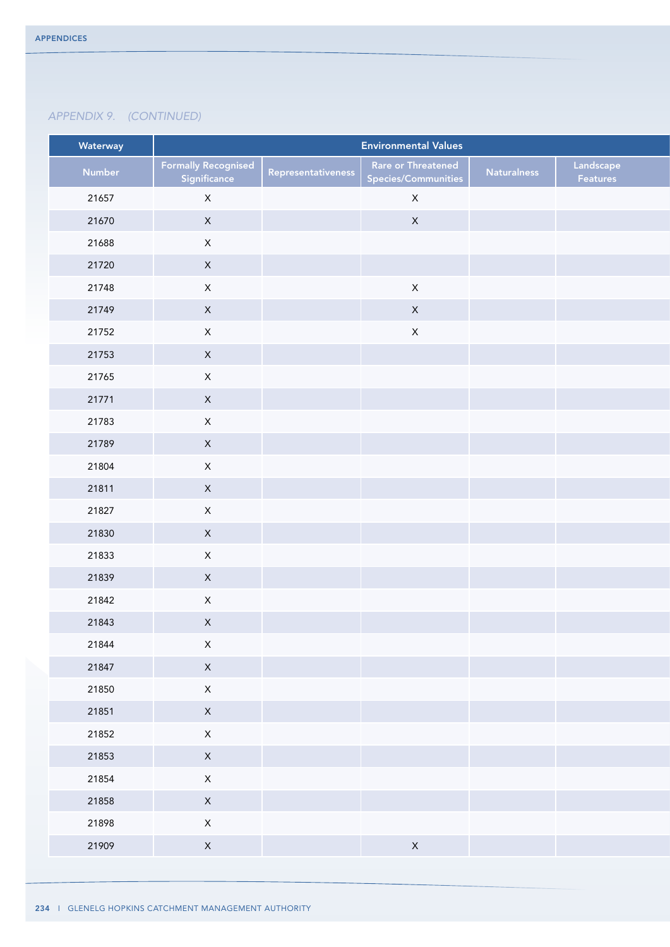| Waterway |                                            |                    | <b>Environmental Values</b>               |                    |                       |
|----------|--------------------------------------------|--------------------|-------------------------------------------|--------------------|-----------------------|
| Number   | <b>Formally Recognised</b><br>Significance | Representativeness | Rare or Threatened<br>Species/Communities | <b>Naturalness</b> | Landscape<br>Features |
| 21657    | $\mathsf{X}$                               |                    | $\mathsf X$                               |                    |                       |
| 21670    | $\mathsf X$                                |                    | $\mathsf X$                               |                    |                       |
| 21688    | $\mathsf{X}^-$                             |                    |                                           |                    |                       |
| 21720    | $\mathsf X$                                |                    |                                           |                    |                       |
| 21748    | $\mathsf X$                                |                    | $\mathsf X$                               |                    |                       |
| 21749    | $\mathsf X$                                |                    | $\mathsf X$                               |                    |                       |
| 21752    | $\mathsf{X}^-$                             |                    | $\mathsf X$                               |                    |                       |
| 21753    | $\mathsf X$                                |                    |                                           |                    |                       |
| 21765    | $\mathsf X$                                |                    |                                           |                    |                       |
| 21771    | $\mathsf{X}$                               |                    |                                           |                    |                       |
| 21783    | $\mathsf X$                                |                    |                                           |                    |                       |
| 21789    | $\mathsf X$                                |                    |                                           |                    |                       |
| 21804    | $\mathsf{X}^-$                             |                    |                                           |                    |                       |
| 21811    | $\mathsf X$                                |                    |                                           |                    |                       |
| 21827    | $\mathsf X$                                |                    |                                           |                    |                       |
| 21830    | $\mathsf X$                                |                    |                                           |                    |                       |
| 21833    | $\mathsf X$                                |                    |                                           |                    |                       |
| 21839    | $\mathsf{X}$                               |                    |                                           |                    |                       |
| 21842    | $\mathsf{X}$                               |                    |                                           |                    |                       |
| 21843    | $\mathsf X$                                |                    |                                           |                    |                       |
| 21844    | $\mathsf X$                                |                    |                                           |                    |                       |
| 21847    | $\mathsf{X}$                               |                    |                                           |                    |                       |
| 21850    | $\mathsf{X}^-$                             |                    |                                           |                    |                       |
| 21851    | $\mathsf{X}^-$                             |                    |                                           |                    |                       |
| 21852    | $\mathsf X$                                |                    |                                           |                    |                       |
| 21853    | $\mathsf{X}^-$                             |                    |                                           |                    |                       |
| 21854    | $\mathsf X$                                |                    |                                           |                    |                       |
| 21858    | $\mathsf{X}$                               |                    |                                           |                    |                       |
| 21898    | $\mathsf{X}$                               |                    |                                           |                    |                       |
| 21909    | $\mathsf X$                                |                    | $\mathsf X$                               |                    |                       |
|          |                                            |                    |                                           |                    |                       |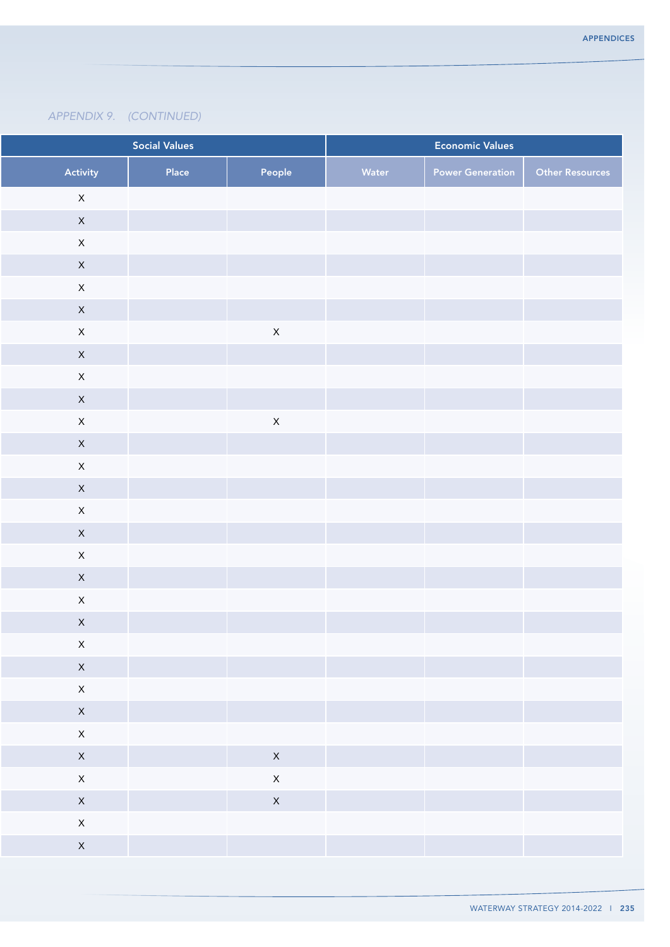|                            | <b>Social Values</b> |                | <b>Economic Values</b> |                         |                        |
|----------------------------|----------------------|----------------|------------------------|-------------------------|------------------------|
| Activity                   | Place                | People         | Water                  | <b>Power Generation</b> | <b>Other Resources</b> |
| $\mathsf X$                |                      |                |                        |                         |                        |
| $\mathsf X$                |                      |                |                        |                         |                        |
| $\mathsf X$                |                      |                |                        |                         |                        |
| $\mathsf X$                |                      |                |                        |                         |                        |
| $\mathsf X$                |                      |                |                        |                         |                        |
| $\mathsf{X}$               |                      |                |                        |                         |                        |
| $\mathsf{X}$               |                      | $\mathsf X$    |                        |                         |                        |
| $\mathsf X$                |                      |                |                        |                         |                        |
| $\mathsf X$                |                      |                |                        |                         |                        |
| $\mathsf X$                |                      |                |                        |                         |                        |
| $\mathsf{X}$               |                      | $\mathsf X$    |                        |                         |                        |
| $\mathsf X$                |                      |                |                        |                         |                        |
| $\mathsf X$                |                      |                |                        |                         |                        |
| $\mathsf X$                |                      |                |                        |                         |                        |
| $\mathsf{X}$               |                      |                |                        |                         |                        |
| $\mathsf X$<br>$\mathsf X$ |                      |                |                        |                         |                        |
| $\mathsf X$                |                      |                |                        |                         |                        |
| $\mathsf{X}$               |                      |                |                        |                         |                        |
| $\mathsf X$                |                      |                |                        |                         |                        |
| $\mathsf X$                |                      |                |                        |                         |                        |
| $\mathsf{X}$               |                      |                |                        |                         |                        |
| $\mathsf{X}$               |                      |                |                        |                         |                        |
| $\mathsf{X}^{\perp}$       |                      |                |                        |                         |                        |
| $\mathsf{X}$               |                      |                |                        |                         |                        |
| $\mathsf{X}$               |                      | $\mathsf{X}$   |                        |                         |                        |
| $\mathsf{X}$               |                      | $\mathsf{X}^-$ |                        |                         |                        |
| $\mathsf{X}$               |                      | $\mathsf{X}$   |                        |                         |                        |
| $\mathsf{X}$               |                      |                |                        |                         |                        |
| $\mathsf{X}$               |                      |                |                        |                         |                        |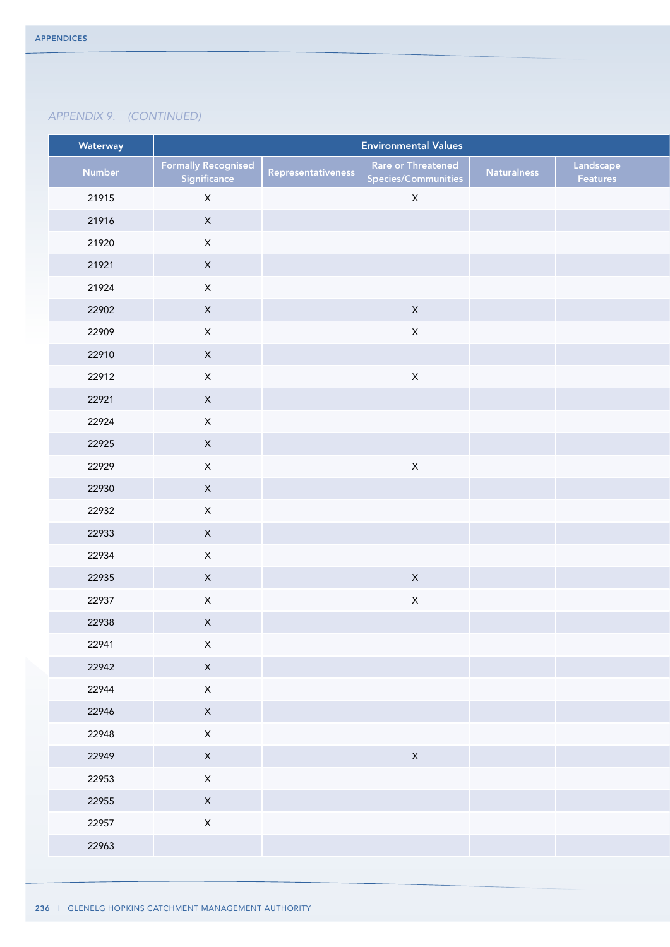| Waterway |                                            |                    | <b>Environmental Values</b>                      |                    |                       |
|----------|--------------------------------------------|--------------------|--------------------------------------------------|--------------------|-----------------------|
| Number   | <b>Formally Recognised</b><br>Significance | Representativeness | Rare or Threatened<br><b>Species/Communities</b> | <b>Naturalness</b> | Landscape<br>Features |
| 21915    | $\mathsf X$                                |                    | $\mathsf X$                                      |                    |                       |
| 21916    | $\mathsf{X}$                               |                    |                                                  |                    |                       |
| 21920    | $\mathsf{X}^-$                             |                    |                                                  |                    |                       |
| 21921    | $\mathsf{X}^-$                             |                    |                                                  |                    |                       |
| 21924    | $\mathsf X$                                |                    |                                                  |                    |                       |
| 22902    | $\mathsf{X}^-$                             |                    | $\mathsf{X}$                                     |                    |                       |
| 22909    | $\mathsf X$                                |                    | $\mathsf X$                                      |                    |                       |
| 22910    | $\mathsf{X}^-$                             |                    |                                                  |                    |                       |
| 22912    | $\mathsf X$                                |                    | $\mathsf X$                                      |                    |                       |
| 22921    | $\mathsf X$                                |                    |                                                  |                    |                       |
| 22924    | $\mathsf X$                                |                    |                                                  |                    |                       |
| 22925    | $\mathsf X$                                |                    |                                                  |                    |                       |
| 22929    | $\mathsf X$                                |                    | $\mathsf X$                                      |                    |                       |
| 22930    | $\mathsf X$                                |                    |                                                  |                    |                       |
| 22932    | $\mathsf X$                                |                    |                                                  |                    |                       |
| 22933    | $\mathsf{X}^-$                             |                    |                                                  |                    |                       |
| 22934    | $\mathsf X$                                |                    |                                                  |                    |                       |
| 22935    | $\mathsf X$                                |                    | $\mathsf X$                                      |                    |                       |
| 22937    | $\mathsf{X}^-$                             |                    | $\mathsf X$                                      |                    |                       |
| 22938    | $\mathsf X$                                |                    |                                                  |                    |                       |
| 22941    | $\mathsf X$                                |                    |                                                  |                    |                       |
| 22942    | $\mathsf{X}^-$                             |                    |                                                  |                    |                       |
| 22944    | $\mathsf X$                                |                    |                                                  |                    |                       |
| 22946    | $\mathsf{X}^-$                             |                    |                                                  |                    |                       |
| 22948    |                                            |                    |                                                  |                    |                       |
| 22949    | $\mathsf X$<br>$\mathsf{X}^-$              |                    |                                                  |                    |                       |
|          |                                            |                    | $\mathsf{X}$                                     |                    |                       |
| 22953    | $\mathsf X$                                |                    |                                                  |                    |                       |
| 22955    | $\mathsf{X}$                               |                    |                                                  |                    |                       |
| 22957    | $\mathsf X$                                |                    |                                                  |                    |                       |
| 22963    |                                            |                    |                                                  |                    |                       |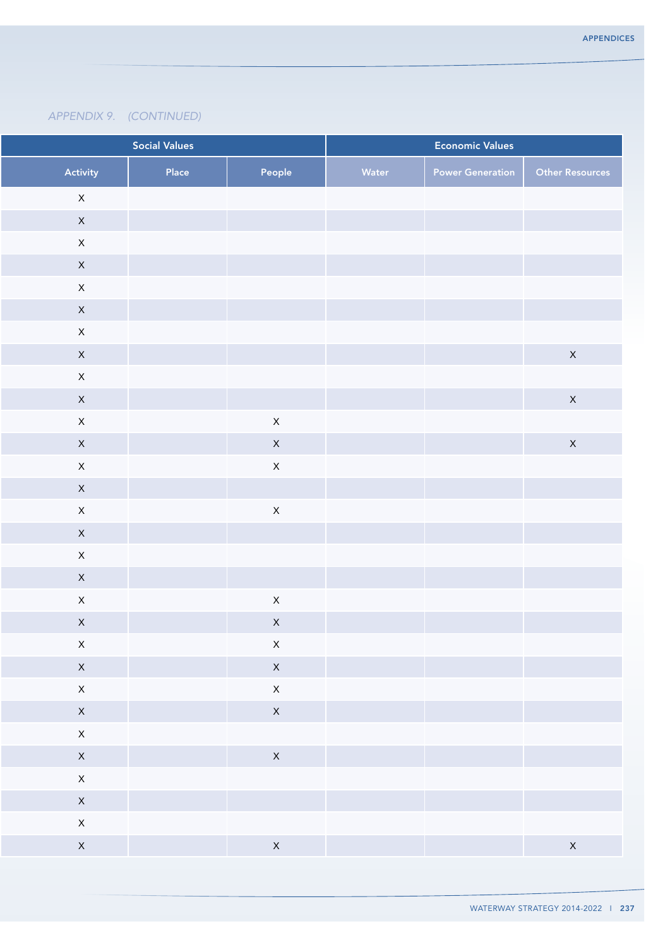|                             | <b>Social Values</b> |              | <b>Economic Values</b> |                         |                 |
|-----------------------------|----------------------|--------------|------------------------|-------------------------|-----------------|
| Activity                    | Place                | People       | Water                  | <b>Power Generation</b> | Other Resources |
| $\mathsf X$                 |                      |              |                        |                         |                 |
| $\mathsf X$                 |                      |              |                        |                         |                 |
| $\mathsf X$                 |                      |              |                        |                         |                 |
| $\mathsf X$                 |                      |              |                        |                         |                 |
| $\mathsf X$                 |                      |              |                        |                         |                 |
| $\mathsf{X}$                |                      |              |                        |                         |                 |
| $\mathsf{X}$                |                      |              |                        |                         |                 |
| $\mathsf X$                 |                      |              |                        |                         | $\mathsf X$     |
| $\mathsf X$                 |                      |              |                        |                         |                 |
| $\mathsf{X}$                |                      |              |                        |                         | $\mathsf X$     |
| $\mathsf{X}$                |                      | $\mathsf X$  |                        |                         |                 |
| $\mathsf X$                 |                      | $\mathsf X$  |                        |                         | $\mathsf X$     |
| $\mathsf{X}$                |                      | $\mathsf X$  |                        |                         |                 |
| $\mathsf X$<br>$\mathsf{X}$ |                      | $\mathsf X$  |                        |                         |                 |
| $\mathsf X$                 |                      |              |                        |                         |                 |
| $\mathsf X$                 |                      |              |                        |                         |                 |
| $\mathsf X$                 |                      |              |                        |                         |                 |
| $\mathsf{X}$                |                      | $\mathsf X$  |                        |                         |                 |
| $\mathsf X$                 |                      | $\mathsf X$  |                        |                         |                 |
| $\mathsf X$                 |                      | $\mathsf X$  |                        |                         |                 |
| $\mathsf{X}$                |                      | $\mathsf{X}$ |                        |                         |                 |
| $\mathsf{X}$                |                      | $\mathsf{X}$ |                        |                         |                 |
| $\mathsf{X}^{\perp}$        |                      | $\mathsf{X}$ |                        |                         |                 |
| $\mathsf{X}$                |                      |              |                        |                         |                 |
| $\mathsf{X}$                |                      | $\mathsf{X}$ |                        |                         |                 |
| $\mathsf{X}$                |                      |              |                        |                         |                 |
| $\mathsf{X}$                |                      |              |                        |                         |                 |
| $\mathsf{X}$                |                      |              |                        |                         |                 |
| $\mathsf{X}$                |                      | $\mathsf{X}$ |                        |                         | $\mathsf{X}$    |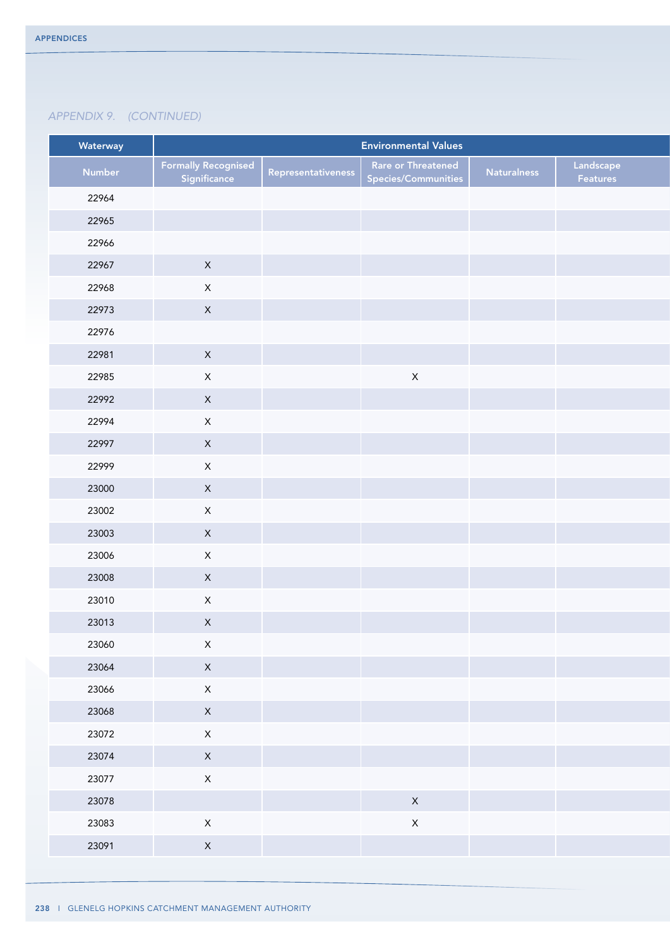| Number<br>22964<br>22965 | <b>Formally Recognised</b><br>Significance | Representativeness | Rare or Threatened  |                    |                       |
|--------------------------|--------------------------------------------|--------------------|---------------------|--------------------|-----------------------|
|                          |                                            |                    | Species/Communities | <b>Naturalness</b> | Landscape<br>Features |
|                          |                                            |                    |                     |                    |                       |
|                          |                                            |                    |                     |                    |                       |
| 22966                    |                                            |                    |                     |                    |                       |
| 22967                    | $\mathsf{X}$                               |                    |                     |                    |                       |
| 22968                    | $\mathsf X$                                |                    |                     |                    |                       |
| 22973                    | $\mathsf{X}^-$                             |                    |                     |                    |                       |
| 22976                    |                                            |                    |                     |                    |                       |
| 22981                    | $\mathsf{X}$                               |                    |                     |                    |                       |
| 22985                    | $\mathsf X$                                |                    | $\mathsf X$         |                    |                       |
| 22992                    | $\mathsf{X}^-$                             |                    |                     |                    |                       |
| 22994                    | $\mathsf X$                                |                    |                     |                    |                       |
| 22997                    | $\mathsf X$                                |                    |                     |                    |                       |
| 22999                    | $\mathsf X$                                |                    |                     |                    |                       |
| 23000                    | $\mathsf X$                                |                    |                     |                    |                       |
| 23002                    | $\mathsf X$                                |                    |                     |                    |                       |
| 23003                    | $\mathsf X$                                |                    |                     |                    |                       |
| 23006                    | $\mathsf X$                                |                    |                     |                    |                       |
| 23008                    | $\mathsf{X}^-$                             |                    |                     |                    |                       |
| 23010                    | $\mathsf{X}^-$                             |                    |                     |                    |                       |
| 23013                    | $\mathsf X$                                |                    |                     |                    |                       |
| 23060                    | $\mathsf X$                                |                    |                     |                    |                       |
| 23064                    | $\mathsf{X}^-$                             |                    |                     |                    |                       |
| 23066                    | $\mathsf X$                                |                    |                     |                    |                       |
| 23068                    | $\mathsf{X}$                               |                    |                     |                    |                       |
| 23072                    | $\mathsf X$                                |                    |                     |                    |                       |
| 23074                    | $\mathsf{X}^-$                             |                    |                     |                    |                       |
| 23077                    | $\mathsf X$                                |                    |                     |                    |                       |
| 23078                    |                                            |                    | $\mathsf{X}$        |                    |                       |
| 23083                    | $\mathsf X$                                |                    | $\mathsf X$         |                    |                       |
| 23091                    | $\mathsf{X}^-$                             |                    |                     |                    |                       |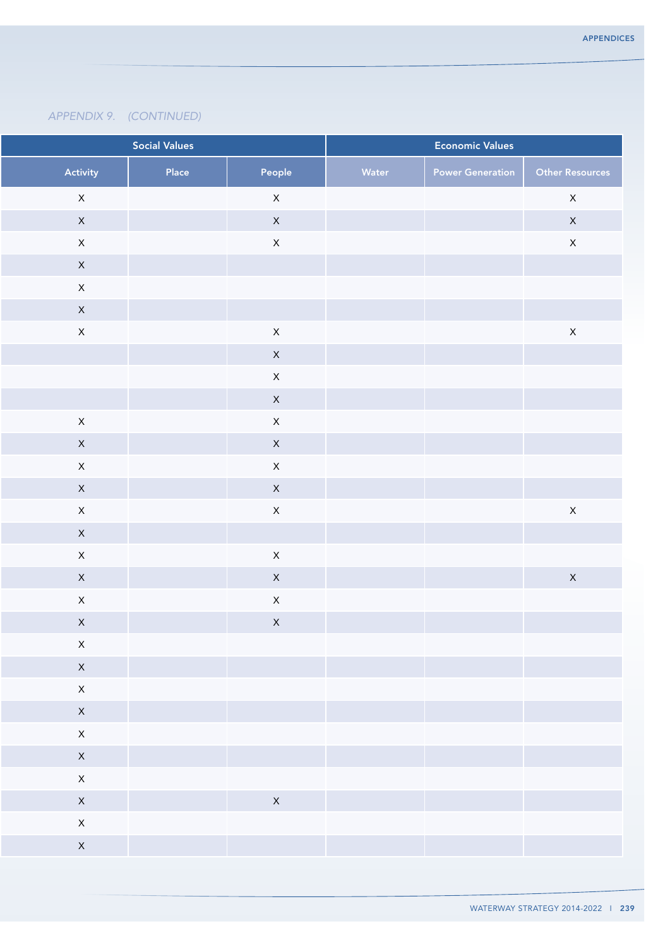|                      | <b>Social Values</b> | <b>Economic Values</b> |       |                         |                        |
|----------------------|----------------------|------------------------|-------|-------------------------|------------------------|
| Activity             | Place                | People                 | Water | <b>Power Generation</b> | <b>Other Resources</b> |
| $\mathsf{X}$         |                      | $\mathsf X$            |       |                         | $\mathsf X$            |
| $\mathsf X$          |                      | $\mathsf X$            |       |                         | $\mathsf X$            |
| $\mathsf X$          |                      | $\mathsf X$            |       |                         | $\mathsf X$            |
| $\mathsf X$          |                      |                        |       |                         |                        |
| $\mathsf X$          |                      |                        |       |                         |                        |
| $\mathsf X$          |                      |                        |       |                         |                        |
| $\mathsf{X}$         |                      | $\mathsf X$            |       |                         | $\mathsf X$            |
|                      |                      | $\mathsf X$            |       |                         |                        |
|                      |                      | $\mathsf X$            |       |                         |                        |
|                      |                      | $\mathsf X$            |       |                         |                        |
| $\mathsf X$          |                      | $\mathsf X$            |       |                         |                        |
| $\mathsf X$          |                      | $\mathsf X$            |       |                         |                        |
| $\mathsf X$          |                      | $\mathsf X$            |       |                         |                        |
| $\mathsf X$          |                      | $\mathsf X$            |       |                         |                        |
| $\mathsf X$          |                      | $\mathsf X$            |       |                         | $\mathsf X$            |
| $\mathsf{X}$         |                      |                        |       |                         |                        |
| $\mathsf X$          |                      | $\mathsf X$            |       |                         |                        |
| $\mathsf X$          |                      | $\mathsf X$            |       |                         | $\mathsf{X}% _{0}$     |
| $\mathsf X$          |                      | $\mathsf X$            |       |                         |                        |
| $\mathsf X$          |                      | $\mathsf X$            |       |                         |                        |
| $\mathsf X$          |                      |                        |       |                         |                        |
| $\mathsf{X}$         |                      |                        |       |                         |                        |
| $\mathsf X$          |                      |                        |       |                         |                        |
| $\mathsf{X}$         |                      |                        |       |                         |                        |
| $\mathsf{X}^-$       |                      |                        |       |                         |                        |
| $\mathsf{X}^{\perp}$ |                      |                        |       |                         |                        |
| $\mathsf{X}$         |                      |                        |       |                         |                        |
| $\mathsf{X}$         |                      | $\mathsf{X}$           |       |                         |                        |
| $\mathsf{X}^-$       |                      |                        |       |                         |                        |
| $\mathsf{X}$         |                      |                        |       |                         |                        |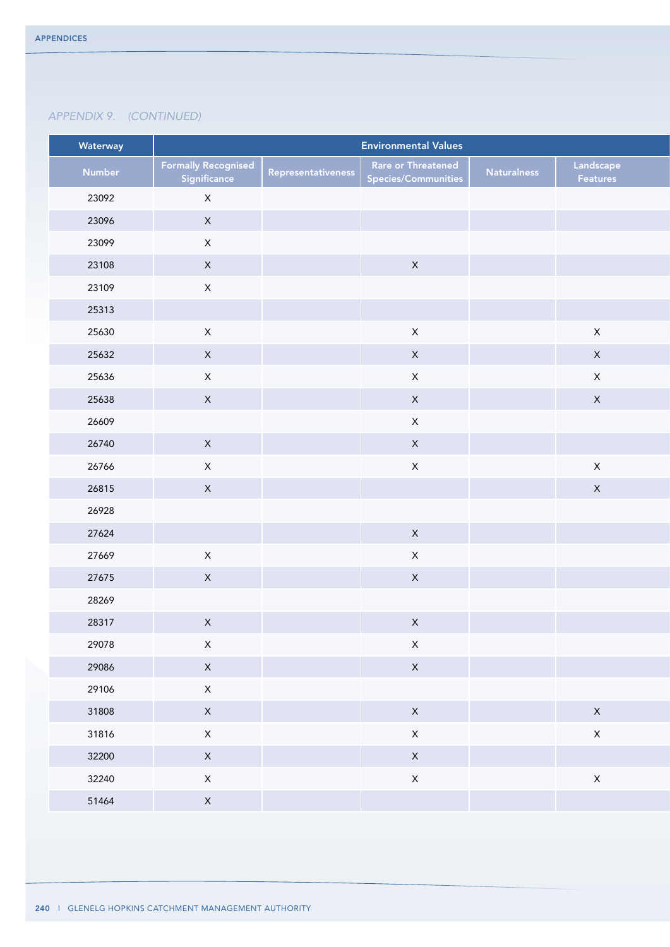| Waterway |                                            |                    | <b>Environmental Values</b>                      |                    |                       |
|----------|--------------------------------------------|--------------------|--------------------------------------------------|--------------------|-----------------------|
| Number   | <b>Formally Recognised</b><br>Significance | Representativeness | <b>Rare or Threatened</b><br>Species/Communities | <b>Naturalness</b> | Landscape<br>Features |
| 23092    | $\mathsf{X}$                               |                    |                                                  |                    |                       |
| 23096    | $\mathsf{X}$                               |                    |                                                  |                    |                       |
| 23099    | $\mathsf{X}$                               |                    |                                                  |                    |                       |
| 23108    | $\mathsf{X}$                               |                    | $\boldsymbol{\mathsf{X}}$                        |                    |                       |
| 23109    | $\mathsf{X}$                               |                    |                                                  |                    |                       |
| 25313    |                                            |                    |                                                  |                    |                       |
| 25630    | $\mathsf{X}$                               |                    | $\mathsf X$                                      |                    | $\mathsf X$           |
| 25632    | $\mathsf{X}$                               |                    | $\mathsf X$                                      |                    | $\mathsf X$           |
| 25636    | $\mathsf{X}$                               |                    | $\mathsf{X}$                                     |                    | $\mathsf X$           |
| 25638    | $\mathsf{X}$                               |                    | $\mathsf X$                                      |                    | $\mathsf X$           |
| 26609    |                                            |                    | $\mathsf X$                                      |                    |                       |
| 26740    | $\mathsf{X}$                               |                    | $\mathsf{X}$                                     |                    |                       |
| 26766    | $\mathsf{X}$                               |                    | $\mathsf X$                                      |                    | $\mathsf X$           |
| 26815    | $\mathsf{X}$                               |                    |                                                  |                    | $\mathsf{X}$          |
| 26928    |                                            |                    |                                                  |                    |                       |
| 27624    |                                            |                    | $\mathsf X$                                      |                    |                       |
| 27669    | $\mathsf{X}$                               |                    | $\mathsf X$                                      |                    |                       |
| 27675    | $\mathsf{X}$                               |                    | $\mathsf X$                                      |                    |                       |
| 28269    |                                            |                    |                                                  |                    |                       |
| 28317    | $\mathsf X$                                |                    | $\mathsf X$                                      |                    |                       |
| 29078    | $\mathsf X$                                |                    | $\mathsf X$                                      |                    |                       |
| 29086    | $\mathsf{X}$                               |                    | $\mathsf{X}$                                     |                    |                       |
| 29106    | $\mathsf{X}^-$                             |                    |                                                  |                    |                       |
| 31808    | $\mathsf{X}$                               |                    | $\mathsf{X}$                                     |                    | $\mathsf{X}$          |
| 31816    | $\mathsf{X}$                               |                    | $\mathsf X$                                      |                    | $\mathsf X$           |
| 32200    | $\mathsf{X}$                               |                    | $\mathsf X$                                      |                    |                       |
| 32240    | $\mathsf X$                                |                    | $\mathsf X$                                      |                    | $\mathsf X$           |
| 51464    | $\mathsf{X}$                               |                    |                                                  |                    |                       |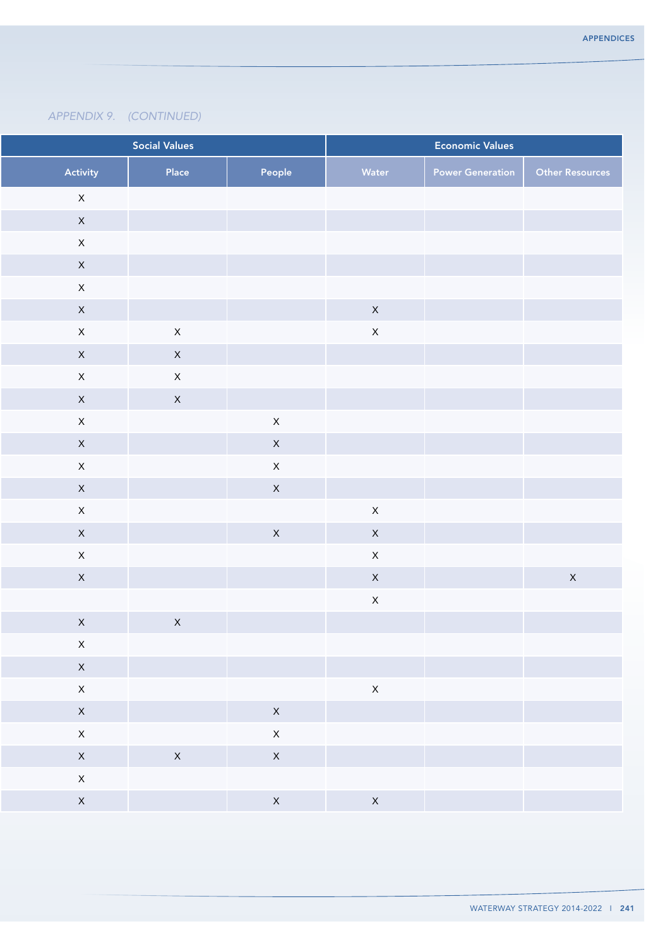| <b>Social Values</b> |                      |                               |                | <b>Economic Values</b> |                         |                        |
|----------------------|----------------------|-------------------------------|----------------|------------------------|-------------------------|------------------------|
|                      | Activity             | Place                         | People         | Water                  | <b>Power Generation</b> | <b>Other Resources</b> |
|                      | $\mathsf{X}$         |                               |                |                        |                         |                        |
|                      | $\mathsf X$          |                               |                |                        |                         |                        |
|                      | $\mathsf{X}$         |                               |                |                        |                         |                        |
|                      | $\mathsf{X}$         |                               |                |                        |                         |                        |
|                      | $\mathsf X$          |                               |                |                        |                         |                        |
|                      | $\mathsf{X}$         |                               |                | $\mathsf{X}$           |                         |                        |
|                      | $\mathsf{X}$         | $\mathsf{X}$                  |                | $\mathsf{X}$           |                         |                        |
|                      | $\mathsf{X}$         | $\mathsf X$                   |                |                        |                         |                        |
|                      | $\mathsf{X}$         | $\mathsf{X}$                  |                |                        |                         |                        |
|                      | $\mathsf X$          | $\mathsf X$                   |                |                        |                         |                        |
|                      | $\mathsf X$          |                               | $\mathsf X$    |                        |                         |                        |
|                      | $\mathsf X$          |                               | $\mathsf X$    |                        |                         |                        |
|                      | $\mathsf{X}$         |                               | $\mathsf X$    |                        |                         |                        |
|                      | $\mathsf X$          |                               | $\mathsf X$    |                        |                         |                        |
|                      | $\mathsf X$          |                               |                | $\mathsf{X}$           |                         |                        |
|                      | $\mathsf{X}$         |                               | $\mathsf{X}$   | $\mathsf{X}$           |                         |                        |
|                      | $\mathsf X$          |                               |                | $\mathsf{X}$           |                         |                        |
|                      | $\mathsf X$          |                               |                | $\mathsf{X}$           |                         | $\mathsf{X}% _{0}$     |
|                      |                      |                               |                | $\mathsf{X}$           |                         |                        |
|                      | $\mathsf X$          | $\mathsf{X}$                  |                |                        |                         |                        |
|                      | $\mathsf X$          |                               |                |                        |                         |                        |
|                      | $\mathsf{X}$         |                               |                |                        |                         |                        |
|                      | $\mathsf{X}$         |                               |                | $\mathsf{X}$           |                         |                        |
|                      | $\mathsf{X}^{\perp}$ |                               | $\mathsf{X}^-$ |                        |                         |                        |
|                      | $\mathsf{X}$         |                               | $\mathsf X$    |                        |                         |                        |
|                      | $\mathsf{X}$         | $\mathsf{X}$<br>and the state | $\mathsf{X}$   |                        |                         |                        |
|                      | $\mathsf{X}$         |                               |                |                        |                         |                        |
|                      | $\mathsf{X}$         |                               | $\mathsf{X}$   | $\mathsf{X}$           |                         |                        |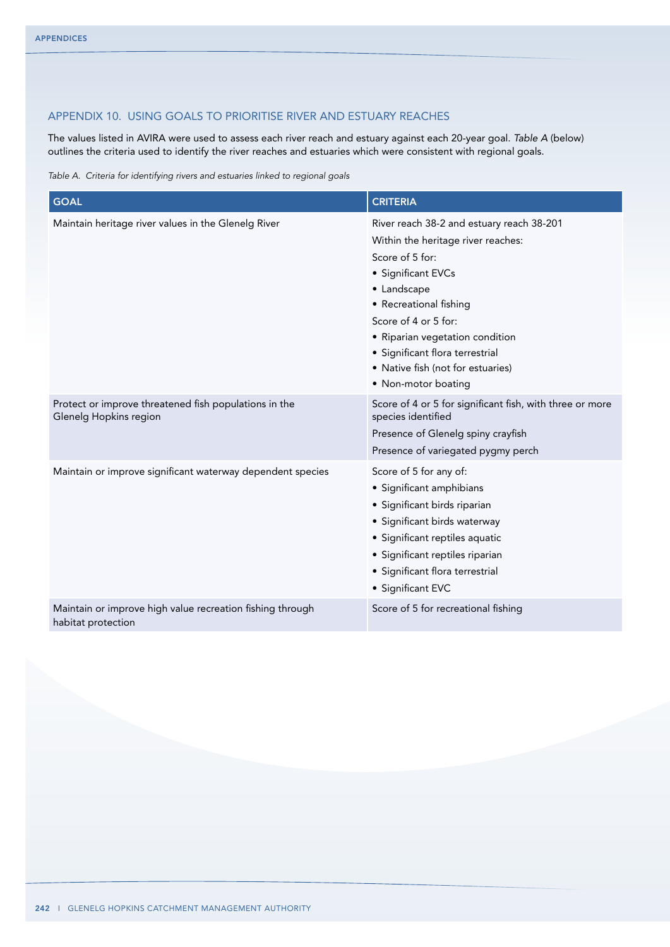# Appendix 10. Using goals to prioritise river and estuary reaches

The values listed in AVIRA were used to assess each river reach and estuary against each 20-year goal. *Table A* (below) outlines the criteria used to identify the river reaches and estuaries which were consistent with regional goals.

*Table A. Criteria for identifying rivers and estuaries linked to regional goals*

| <b>GOAL</b>                                                                     | <b>CRITERIA</b>                                                                                                                                                                                                                                                                                                             |
|---------------------------------------------------------------------------------|-----------------------------------------------------------------------------------------------------------------------------------------------------------------------------------------------------------------------------------------------------------------------------------------------------------------------------|
| Maintain heritage river values in the Glenelg River                             | River reach 38-2 and estuary reach 38-201<br>Within the heritage river reaches:<br>Score of 5 for:<br>• Significant EVCs<br>• Landscape<br>• Recreational fishing<br>Score of 4 or 5 for:<br>• Riparian vegetation condition<br>· Significant flora terrestrial<br>• Native fish (not for estuaries)<br>• Non-motor boating |
| Protect or improve threatened fish populations in the<br>Glenelg Hopkins region | Score of 4 or 5 for significant fish, with three or more<br>species identified<br>Presence of Glenelg spiny crayfish<br>Presence of variegated pygmy perch                                                                                                                                                                  |
| Maintain or improve significant waterway dependent species                      | Score of 5 for any of:<br>· Significant amphibians<br>· Significant birds riparian<br>• Significant birds waterway<br>· Significant reptiles aquatic<br>· Significant reptiles riparian<br>• Significant flora terrestrial<br>• Significant EVC                                                                             |
| Maintain or improve high value recreation fishing through<br>habitat protection | Score of 5 for recreational fishing                                                                                                                                                                                                                                                                                         |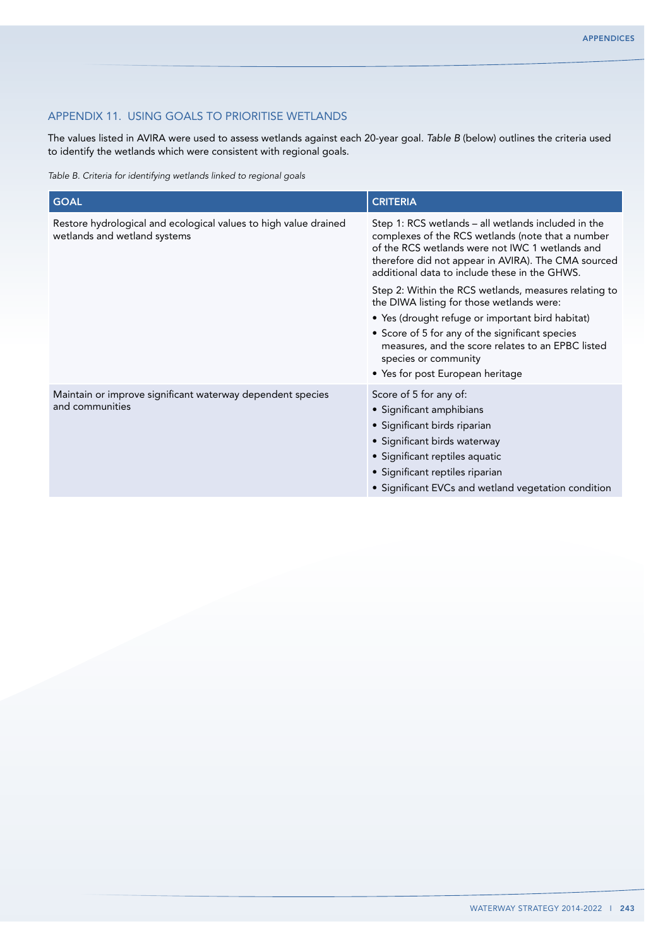# Appendix 11. Using goals to prioritise wetlands

The values listed in AVIRA were used to assess wetlands against each 20-year goal. *Table B* (below) outlines the criteria used to identify the wetlands which were consistent with regional goals.

*Table B. Criteria for identifying wetlands linked to regional goals*

| <b>GOAL</b>                                                                                      | <b>CRITERIA</b>                                                                                                                                                                                                                                                     |  |  |  |  |
|--------------------------------------------------------------------------------------------------|---------------------------------------------------------------------------------------------------------------------------------------------------------------------------------------------------------------------------------------------------------------------|--|--|--|--|
| Restore hydrological and ecological values to high value drained<br>wetlands and wetland systems | Step 1: RCS wetlands – all wetlands included in the<br>complexes of the RCS wetlands (note that a number<br>of the RCS wetlands were not IWC 1 wetlands and<br>therefore did not appear in AVIRA). The CMA sourced<br>additional data to include these in the GHWS. |  |  |  |  |
|                                                                                                  | Step 2: Within the RCS wetlands, measures relating to<br>the DIWA listing for those wetlands were:                                                                                                                                                                  |  |  |  |  |
|                                                                                                  | • Yes (drought refuge or important bird habitat)<br>• Score of 5 for any of the significant species<br>measures, and the score relates to an EPBC listed<br>species or community<br>• Yes for post European heritage                                                |  |  |  |  |
| Maintain or improve significant waterway dependent species<br>and communities                    | Score of 5 for any of:<br>• Significant amphibians<br>• Significant birds riparian<br>• Significant birds waterway<br>• Significant reptiles aquatic<br>• Significant reptiles riparian<br>• Significant EVCs and wetland vegetation condition                      |  |  |  |  |
|                                                                                                  |                                                                                                                                                                                                                                                                     |  |  |  |  |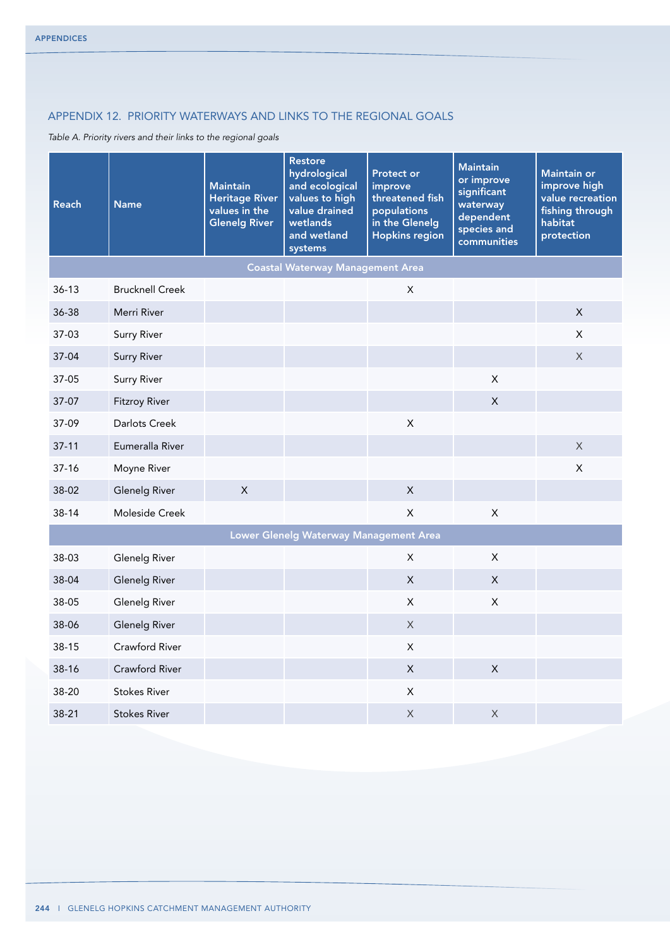# Appendix 12. Priority waterways and links to the regional goals

*Table A. Priority rivers and their links to the regional goals*

| <b>Reach</b> | <b>Name</b>            | <b>Maintain</b><br><b>Heritage River</b><br>values in the<br><b>Glenelg River</b> | <b>Restore</b><br>hydrological<br>and ecological<br>values to high<br>value drained<br>wetlands<br>and wetland<br>systems | <b>Protect or</b><br>improve<br>threatened fish<br>populations<br>in the Glenelg<br><b>Hopkins region</b> | <b>Maintain</b><br>or improve<br>significant<br>waterway<br>dependent<br>species and<br>communities | Maintain or<br>improve high<br>value recreation<br>fishing through<br>habitat<br>protection |
|--------------|------------------------|-----------------------------------------------------------------------------------|---------------------------------------------------------------------------------------------------------------------------|-----------------------------------------------------------------------------------------------------------|-----------------------------------------------------------------------------------------------------|---------------------------------------------------------------------------------------------|
|              |                        |                                                                                   | <b>Coastal Waterway Management Area</b>                                                                                   |                                                                                                           |                                                                                                     |                                                                                             |
| $36 - 13$    | <b>Brucknell Creek</b> |                                                                                   |                                                                                                                           | $\mathsf X$                                                                                               |                                                                                                     |                                                                                             |
| 36-38        | Merri River            |                                                                                   |                                                                                                                           |                                                                                                           |                                                                                                     | $\mathsf X$                                                                                 |
| 37-03        | <b>Surry River</b>     |                                                                                   |                                                                                                                           |                                                                                                           |                                                                                                     | X                                                                                           |
| $37-04$      | <b>Surry River</b>     |                                                                                   |                                                                                                                           |                                                                                                           |                                                                                                     | $\times$                                                                                    |
| 37-05        | <b>Surry River</b>     |                                                                                   |                                                                                                                           |                                                                                                           | $\mathsf{X}$                                                                                        |                                                                                             |
| 37-07        | <b>Fitzroy River</b>   |                                                                                   |                                                                                                                           |                                                                                                           | X                                                                                                   |                                                                                             |
| 37-09        | Darlots Creek          |                                                                                   |                                                                                                                           | $\mathsf X$                                                                                               |                                                                                                     |                                                                                             |
| $37 - 11$    | Eumeralla River        |                                                                                   |                                                                                                                           |                                                                                                           |                                                                                                     | $\mathsf X$                                                                                 |
| $37 - 16$    | Moyne River            |                                                                                   |                                                                                                                           |                                                                                                           |                                                                                                     | X                                                                                           |
| 38-02        | <b>Glenelg River</b>   | $\times$                                                                          |                                                                                                                           | $\mathsf{X}$                                                                                              |                                                                                                     |                                                                                             |
| 38-14        | Moleside Creek         |                                                                                   |                                                                                                                           | $\mathsf{X}$                                                                                              | $\mathsf{X}$                                                                                        |                                                                                             |
|              |                        |                                                                                   | Lower Glenelg Waterway Management Area                                                                                    |                                                                                                           |                                                                                                     |                                                                                             |
| 38-03        | Glenelg River          |                                                                                   |                                                                                                                           | X                                                                                                         | X                                                                                                   |                                                                                             |
| 38-04        | <b>Glenelg River</b>   |                                                                                   |                                                                                                                           | $\pmb{\times}$                                                                                            | X                                                                                                   |                                                                                             |
| 38-05        | Glenelg River          |                                                                                   |                                                                                                                           | X                                                                                                         | X                                                                                                   |                                                                                             |
| 38-06        | Glenelg River          |                                                                                   |                                                                                                                           | X                                                                                                         |                                                                                                     |                                                                                             |
| $38 - 15$    | Crawford River         |                                                                                   |                                                                                                                           | X                                                                                                         |                                                                                                     |                                                                                             |
| 38-16        | Crawford River         |                                                                                   |                                                                                                                           | $\mathsf{X}$                                                                                              | X                                                                                                   |                                                                                             |
| 38-20        | <b>Stokes River</b>    |                                                                                   |                                                                                                                           | X                                                                                                         |                                                                                                     |                                                                                             |
| 38-21        | <b>Stokes River</b>    |                                                                                   |                                                                                                                           | X                                                                                                         | X                                                                                                   |                                                                                             |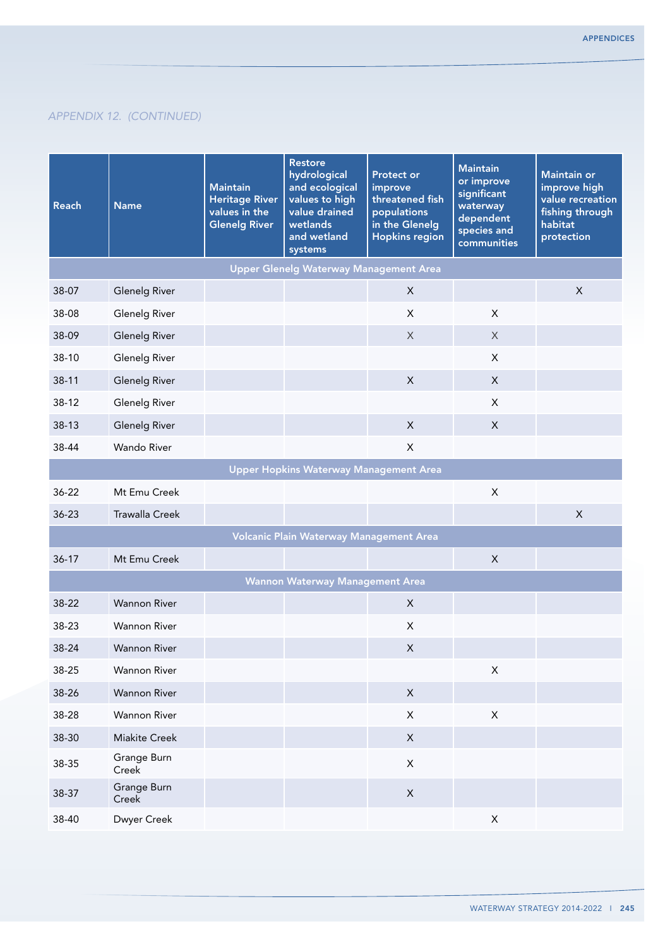| <b>Reach</b> | <b>Name</b>           | <b>Maintain</b><br><b>Heritage River</b><br>values in the<br><b>Glenelg River</b> | <b>Restore</b><br>hydrological<br>and ecological<br>values to high<br>value drained<br>wetlands<br>and wetland<br>systems | <b>Protect or</b><br>improve<br>threatened fish<br>populations<br>in the Glenelg<br><b>Hopkins region</b> | <b>Maintain</b><br>or improve<br>significant<br>waterway<br>dependent<br>species and<br>communities | <b>Maintain or</b><br>improve high<br>value recreation<br>fishing through<br>habitat<br>protection |
|--------------|-----------------------|-----------------------------------------------------------------------------------|---------------------------------------------------------------------------------------------------------------------------|-----------------------------------------------------------------------------------------------------------|-----------------------------------------------------------------------------------------------------|----------------------------------------------------------------------------------------------------|
|              |                       |                                                                                   | <b>Upper Glenelg Waterway Management Area</b>                                                                             |                                                                                                           |                                                                                                     |                                                                                                    |
| 38-07        | <b>Glenelg River</b>  |                                                                                   |                                                                                                                           | $\times$                                                                                                  |                                                                                                     | X                                                                                                  |
| 38-08        | <b>Glenelg River</b>  |                                                                                   |                                                                                                                           | X                                                                                                         | X                                                                                                   |                                                                                                    |
| 38-09        | <b>Glenelg River</b>  |                                                                                   |                                                                                                                           | X                                                                                                         | X                                                                                                   |                                                                                                    |
| 38-10        | <b>Glenelg River</b>  |                                                                                   |                                                                                                                           |                                                                                                           | X                                                                                                   |                                                                                                    |
| $38-11$      | <b>Glenelg River</b>  |                                                                                   |                                                                                                                           | $\mathsf{X}$                                                                                              | X                                                                                                   |                                                                                                    |
| $38-12$      | <b>Glenelg River</b>  |                                                                                   |                                                                                                                           |                                                                                                           | X                                                                                                   |                                                                                                    |
| 38-13        | <b>Glenelg River</b>  |                                                                                   |                                                                                                                           | $\sf X$                                                                                                   | X                                                                                                   |                                                                                                    |
| 38-44        | <b>Wando River</b>    |                                                                                   |                                                                                                                           | $\pmb{\times}$                                                                                            |                                                                                                     |                                                                                                    |
|              |                       |                                                                                   | <b>Upper Hopkins Waterway Management Area</b>                                                                             |                                                                                                           |                                                                                                     |                                                                                                    |
| 36-22        | Mt Emu Creek          |                                                                                   |                                                                                                                           |                                                                                                           | X                                                                                                   |                                                                                                    |
| $36 - 23$    | <b>Trawalla Creek</b> |                                                                                   |                                                                                                                           |                                                                                                           |                                                                                                     | X                                                                                                  |
|              |                       |                                                                                   | Volcanic Plain Waterway Management Area                                                                                   |                                                                                                           |                                                                                                     |                                                                                                    |
| $36 - 17$    | Mt Emu Creek          |                                                                                   |                                                                                                                           |                                                                                                           | X                                                                                                   |                                                                                                    |
|              |                       |                                                                                   | <b>Wannon Waterway Management Area</b>                                                                                    |                                                                                                           |                                                                                                     |                                                                                                    |
| 38-22        | <b>Wannon River</b>   |                                                                                   |                                                                                                                           | $\mathsf{X}$                                                                                              |                                                                                                     |                                                                                                    |
| 38-23        | <b>Wannon River</b>   |                                                                                   |                                                                                                                           | X                                                                                                         |                                                                                                     |                                                                                                    |
| 38-24        | <b>Wannon River</b>   |                                                                                   |                                                                                                                           | $\mathsf X$                                                                                               |                                                                                                     |                                                                                                    |
| 38-25        | <b>Wannon River</b>   |                                                                                   |                                                                                                                           |                                                                                                           | $\mathsf X$                                                                                         |                                                                                                    |
| 38-26        | Wannon River          |                                                                                   |                                                                                                                           | $\mathsf X$                                                                                               |                                                                                                     |                                                                                                    |
| 38-28        | Wannon River          |                                                                                   |                                                                                                                           | $\mathsf X$                                                                                               | $\mathsf X$                                                                                         |                                                                                                    |
| 38-30        | Miakite Creek         |                                                                                   |                                                                                                                           | $\mathsf X$                                                                                               |                                                                                                     |                                                                                                    |
| 38-35        | Grange Burn<br>Creek  |                                                                                   |                                                                                                                           | $\mathsf X$                                                                                               |                                                                                                     |                                                                                                    |
| 38-37        | Grange Burn<br>Creek  |                                                                                   |                                                                                                                           | $\mathsf X$                                                                                               |                                                                                                     |                                                                                                    |
| 38-40        | Dwyer Creek           |                                                                                   |                                                                                                                           |                                                                                                           | $\mathsf X$                                                                                         |                                                                                                    |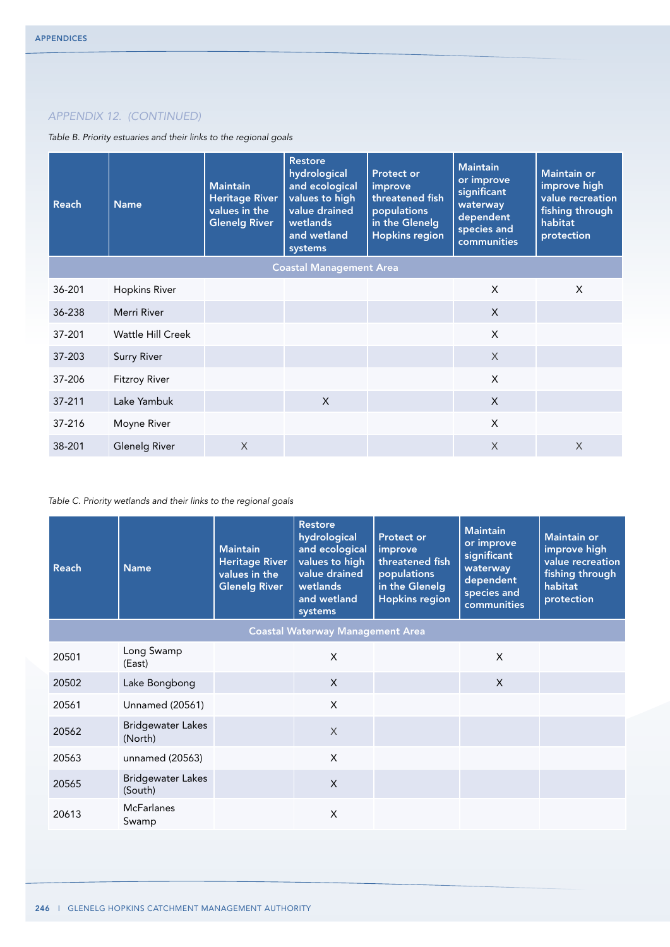*Table B. Priority estuaries and their links to the regional goals*

| Reach                          | <b>Name</b>              | <b>Maintain</b><br><b>Heritage River</b><br>values in the<br><b>Glenelg River</b> | <b>Restore</b><br>hydrological<br>and ecological<br>values to high<br>value drained<br>wetlands<br>and wetland<br>systems | <b>Protect or</b><br>improve<br>threatened fish<br>populations<br>in the Glenelg<br><b>Hopkins region</b> | <b>Maintain</b><br>or improve<br>significant<br>waterway<br>dependent<br>species and<br>communities | <b>Maintain or</b><br>improve high<br>value recreation<br>fishing through<br>habitat<br>protection |
|--------------------------------|--------------------------|-----------------------------------------------------------------------------------|---------------------------------------------------------------------------------------------------------------------------|-----------------------------------------------------------------------------------------------------------|-----------------------------------------------------------------------------------------------------|----------------------------------------------------------------------------------------------------|
| <b>Coastal Management Area</b> |                          |                                                                                   |                                                                                                                           |                                                                                                           |                                                                                                     |                                                                                                    |
| 36-201                         | <b>Hopkins River</b>     |                                                                                   |                                                                                                                           |                                                                                                           | X                                                                                                   | X                                                                                                  |
| 36-238                         | Merri River              |                                                                                   |                                                                                                                           |                                                                                                           | $\times$                                                                                            |                                                                                                    |
| 37-201                         | <b>Wattle Hill Creek</b> |                                                                                   |                                                                                                                           |                                                                                                           | $\times$                                                                                            |                                                                                                    |
| 37-203                         | <b>Surry River</b>       |                                                                                   |                                                                                                                           |                                                                                                           | $\times$                                                                                            |                                                                                                    |
| 37-206                         | <b>Fitzroy River</b>     |                                                                                   |                                                                                                                           |                                                                                                           | $\mathsf{x}$                                                                                        |                                                                                                    |
| 37-211                         | Lake Yambuk              |                                                                                   | $\mathsf{X}$                                                                                                              |                                                                                                           | $\mathsf{x}$                                                                                        |                                                                                                    |
| 37-216                         | Moyne River              |                                                                                   |                                                                                                                           |                                                                                                           | $\mathsf{x}$                                                                                        |                                                                                                    |
| 38-201                         | <b>Glenelg River</b>     | $\times$                                                                          |                                                                                                                           |                                                                                                           | X                                                                                                   | $\times$                                                                                           |

## *Table C. Priority wetlands and their links to the regional goals*

| <b>Reach</b> | <b>Name</b>                             | <b>Maintain</b><br><b>Heritage River</b><br>values in the<br><b>Glenelg River</b> | <b>Restore</b><br>hydrological<br>and ecological<br>values to high<br>value drained<br>wetlands<br>and wetland<br>systems | <b>Protect or</b><br>improve<br>threatened fish<br>populations<br>in the Glenelg<br><b>Hopkins region</b> | <b>Maintain</b><br>or improve<br>significant<br>waterway<br>dependent<br>species and<br>communities | <b>Maintain or</b><br>improve high<br>value recreation<br>fishing through<br>habitat<br>protection |  |
|--------------|-----------------------------------------|-----------------------------------------------------------------------------------|---------------------------------------------------------------------------------------------------------------------------|-----------------------------------------------------------------------------------------------------------|-----------------------------------------------------------------------------------------------------|----------------------------------------------------------------------------------------------------|--|
|              | <b>Coastal Waterway Management Area</b> |                                                                                   |                                                                                                                           |                                                                                                           |                                                                                                     |                                                                                                    |  |
| 20501        | Long Swamp<br>(East)                    |                                                                                   | X                                                                                                                         |                                                                                                           | X                                                                                                   |                                                                                                    |  |
| 20502        | Lake Bongbong                           |                                                                                   | $\mathsf{X}$                                                                                                              |                                                                                                           | $\times$                                                                                            |                                                                                                    |  |
| 20561        | <b>Unnamed (20561)</b>                  |                                                                                   | X                                                                                                                         |                                                                                                           |                                                                                                     |                                                                                                    |  |
| 20562        | <b>Bridgewater Lakes</b><br>(North)     |                                                                                   | $\chi$                                                                                                                    |                                                                                                           |                                                                                                     |                                                                                                    |  |
| 20563        | unnamed (20563)                         |                                                                                   | X                                                                                                                         |                                                                                                           |                                                                                                     |                                                                                                    |  |
| 20565        | <b>Bridgewater Lakes</b><br>(South)     |                                                                                   | X                                                                                                                         |                                                                                                           |                                                                                                     |                                                                                                    |  |
| 20613        | <b>McFarlanes</b><br>Swamp              |                                                                                   | X                                                                                                                         |                                                                                                           |                                                                                                     |                                                                                                    |  |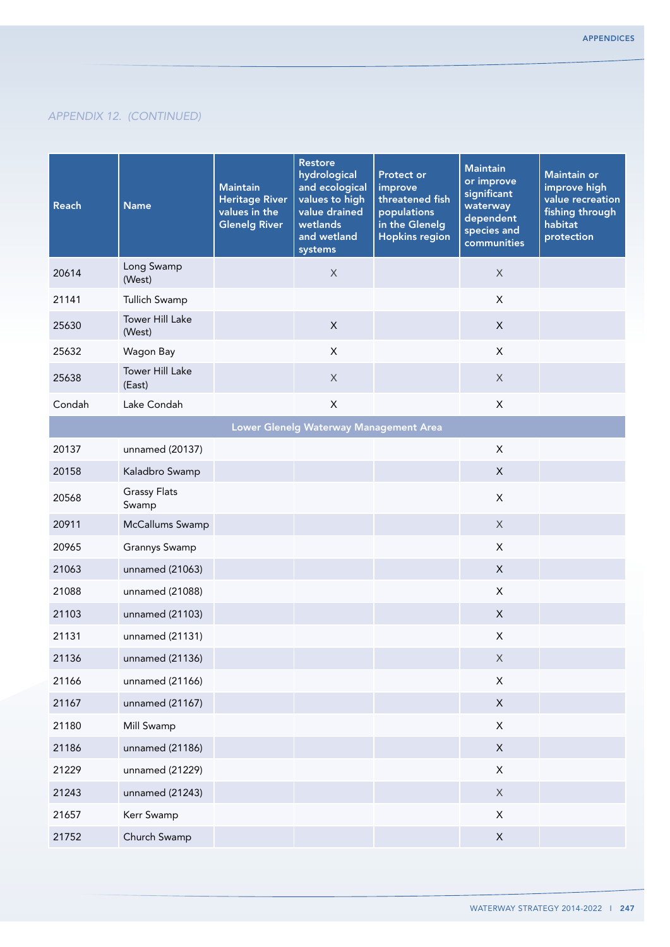| Reach  | <b>Name</b>                      | <b>Maintain</b><br><b>Heritage River</b><br>values in the<br><b>Glenelg River</b> | <b>Restore</b><br>hydrological<br>and ecological<br>values to high<br>value drained<br>wetlands<br>and wetland<br>systems | <b>Protect or</b><br>improve<br>threatened fish<br>populations<br>in the Glenelg<br><b>Hopkins region</b> | <b>Maintain</b><br>or improve<br>significant<br>waterway<br>dependent<br>species and<br>communities | <b>Maintain or</b><br>improve high<br>value recreation<br>fishing through<br>habitat<br>protection |
|--------|----------------------------------|-----------------------------------------------------------------------------------|---------------------------------------------------------------------------------------------------------------------------|-----------------------------------------------------------------------------------------------------------|-----------------------------------------------------------------------------------------------------|----------------------------------------------------------------------------------------------------|
| 20614  | Long Swamp<br>(West)             |                                                                                   | $\mathsf X$                                                                                                               |                                                                                                           | $\mathsf X$                                                                                         |                                                                                                    |
| 21141  | Tullich Swamp                    |                                                                                   |                                                                                                                           |                                                                                                           | X                                                                                                   |                                                                                                    |
| 25630  | Tower Hill Lake<br>(West)        |                                                                                   | $\boldsymbol{\mathsf{X}}$                                                                                                 |                                                                                                           | X                                                                                                   |                                                                                                    |
| 25632  | Wagon Bay                        |                                                                                   | $\pmb{\times}$                                                                                                            |                                                                                                           | X                                                                                                   |                                                                                                    |
| 25638  | <b>Tower Hill Lake</b><br>(East) |                                                                                   | $\mathsf X$                                                                                                               |                                                                                                           | X                                                                                                   |                                                                                                    |
| Condah | Lake Condah                      |                                                                                   | $\mathsf{X}$                                                                                                              |                                                                                                           | X                                                                                                   |                                                                                                    |
|        |                                  |                                                                                   | Lower Glenelg Waterway Management Area                                                                                    |                                                                                                           |                                                                                                     |                                                                                                    |
| 20137  | unnamed (20137)                  |                                                                                   |                                                                                                                           |                                                                                                           | $\pmb{\times}$                                                                                      |                                                                                                    |
| 20158  | Kaladbro Swamp                   |                                                                                   |                                                                                                                           |                                                                                                           | $\mathsf X$                                                                                         |                                                                                                    |
| 20568  | <b>Grassy Flats</b><br>Swamp     |                                                                                   |                                                                                                                           |                                                                                                           | $\pmb{\times}$                                                                                      |                                                                                                    |
| 20911  | McCallums Swamp                  |                                                                                   |                                                                                                                           |                                                                                                           | $\mathsf X$                                                                                         |                                                                                                    |
| 20965  | Grannys Swamp                    |                                                                                   |                                                                                                                           |                                                                                                           | X                                                                                                   |                                                                                                    |
| 21063  | unnamed (21063)                  |                                                                                   |                                                                                                                           |                                                                                                           | $\pmb{\times}$                                                                                      |                                                                                                    |
| 21088  | unnamed (21088)                  |                                                                                   |                                                                                                                           |                                                                                                           | $\pmb{\times}$                                                                                      |                                                                                                    |
| 21103  | unnamed (21103)                  |                                                                                   |                                                                                                                           |                                                                                                           | X                                                                                                   |                                                                                                    |
| 21131  | unnamed (21131)                  |                                                                                   |                                                                                                                           |                                                                                                           | $\pmb{\times}$                                                                                      |                                                                                                    |
| 21136  | unnamed (21136)                  |                                                                                   |                                                                                                                           |                                                                                                           | X                                                                                                   |                                                                                                    |
| 21166  | unnamed (21166)                  |                                                                                   |                                                                                                                           |                                                                                                           | $\mathsf X$                                                                                         |                                                                                                    |
| 21167  | unnamed (21167)                  |                                                                                   |                                                                                                                           |                                                                                                           | $\mathsf X$                                                                                         |                                                                                                    |
| 21180  | Mill Swamp                       |                                                                                   |                                                                                                                           |                                                                                                           | $\mathsf X$                                                                                         |                                                                                                    |
| 21186  | unnamed (21186)                  |                                                                                   |                                                                                                                           |                                                                                                           | $\mathsf X$                                                                                         |                                                                                                    |
| 21229  | unnamed (21229)                  |                                                                                   |                                                                                                                           |                                                                                                           | X                                                                                                   |                                                                                                    |
| 21243  | unnamed (21243)                  |                                                                                   |                                                                                                                           |                                                                                                           | $\mathsf X$                                                                                         |                                                                                                    |
| 21657  | Kerr Swamp                       |                                                                                   |                                                                                                                           |                                                                                                           | X                                                                                                   |                                                                                                    |
| 21752  | Church Swamp                     |                                                                                   |                                                                                                                           |                                                                                                           | $\mathsf X$                                                                                         |                                                                                                    |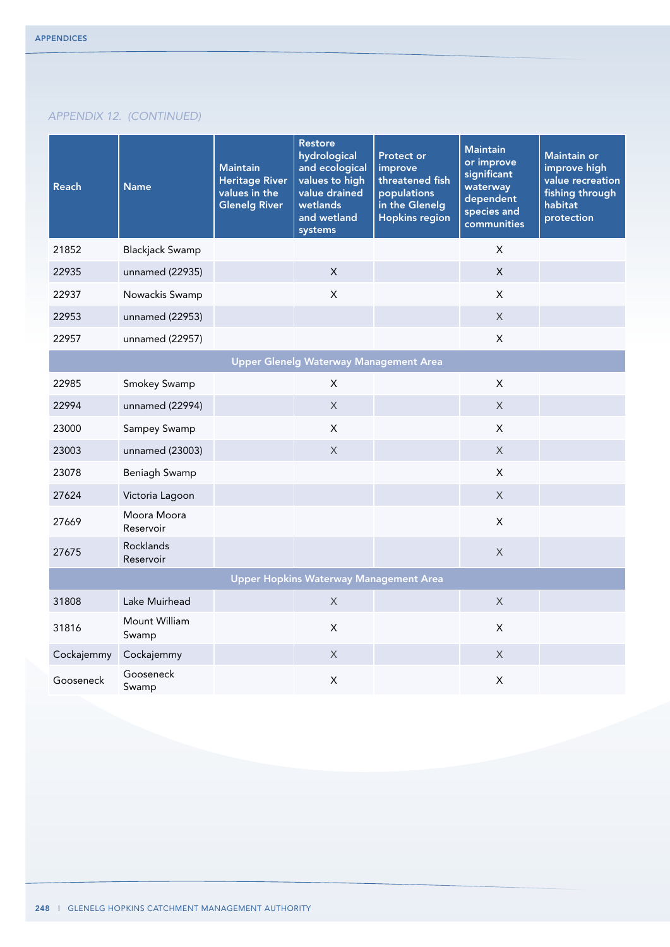| <b>Reach</b> | <b>Name</b>              | <b>Maintain</b><br><b>Heritage River</b><br>values in the<br><b>Glenelg River</b> | <b>Restore</b><br>hydrological<br>and ecological<br>values to high<br>value drained<br>wetlands<br>and wetland<br>systems | <b>Protect or</b><br>improve<br>threatened fish<br>populations<br>in the Glenelg<br><b>Hopkins region</b> | <b>Maintain</b><br>or improve<br>significant<br>waterway<br>dependent<br>species and<br>communities | Maintain or<br>improve high<br>value recreation<br>fishing through<br>habitat<br>protection |
|--------------|--------------------------|-----------------------------------------------------------------------------------|---------------------------------------------------------------------------------------------------------------------------|-----------------------------------------------------------------------------------------------------------|-----------------------------------------------------------------------------------------------------|---------------------------------------------------------------------------------------------|
| 21852        | <b>Blackjack Swamp</b>   |                                                                                   |                                                                                                                           |                                                                                                           | X                                                                                                   |                                                                                             |
| 22935        | unnamed (22935)          |                                                                                   | X                                                                                                                         |                                                                                                           | $\mathsf{X}$                                                                                        |                                                                                             |
| 22937        | Nowackis Swamp           |                                                                                   | X                                                                                                                         |                                                                                                           | X                                                                                                   |                                                                                             |
| 22953        | unnamed (22953)          |                                                                                   |                                                                                                                           |                                                                                                           | $\mathsf X$                                                                                         |                                                                                             |
| 22957        | unnamed (22957)          |                                                                                   |                                                                                                                           |                                                                                                           | $\mathsf{X}$                                                                                        |                                                                                             |
|              |                          |                                                                                   | <b>Upper Glenelg Waterway Management Area</b>                                                                             |                                                                                                           |                                                                                                     |                                                                                             |
| 22985        | Smokey Swamp             |                                                                                   | X                                                                                                                         |                                                                                                           | $\pmb{\times}$                                                                                      |                                                                                             |
| 22994        | unnamed (22994)          |                                                                                   | X                                                                                                                         |                                                                                                           | $\times$                                                                                            |                                                                                             |
| 23000        | Sampey Swamp             |                                                                                   | $\mathsf{X}$                                                                                                              |                                                                                                           | $\mathsf{X}$                                                                                        |                                                                                             |
| 23003        | unnamed (23003)          |                                                                                   | $\mathsf{X}$                                                                                                              |                                                                                                           | $\times$                                                                                            |                                                                                             |
| 23078        | Beniagh Swamp            |                                                                                   |                                                                                                                           |                                                                                                           | $\mathsf{X}$                                                                                        |                                                                                             |
| 27624        | Victoria Lagoon          |                                                                                   |                                                                                                                           |                                                                                                           | $\times$                                                                                            |                                                                                             |
| 27669        | Moora Moora<br>Reservoir |                                                                                   |                                                                                                                           |                                                                                                           | $\mathsf{X}$                                                                                        |                                                                                             |
| 27675        | Rocklands<br>Reservoir   |                                                                                   |                                                                                                                           |                                                                                                           | $\times$                                                                                            |                                                                                             |
|              |                          |                                                                                   | <b>Upper Hopkins Waterway Management Area</b>                                                                             |                                                                                                           |                                                                                                     |                                                                                             |
| 31808        | Lake Muirhead            |                                                                                   | X                                                                                                                         |                                                                                                           | X                                                                                                   |                                                                                             |
| 31816        | Mount William<br>Swamp   |                                                                                   | $\mathsf{X}$                                                                                                              |                                                                                                           | $\mathsf{X}$                                                                                        |                                                                                             |
| Cockajemmy   | Cockajemmy               |                                                                                   | X                                                                                                                         |                                                                                                           | X                                                                                                   |                                                                                             |
| Gooseneck    | Gooseneck<br>Swamp       |                                                                                   | $\sf X$                                                                                                                   |                                                                                                           | $\mathsf{X}$                                                                                        |                                                                                             |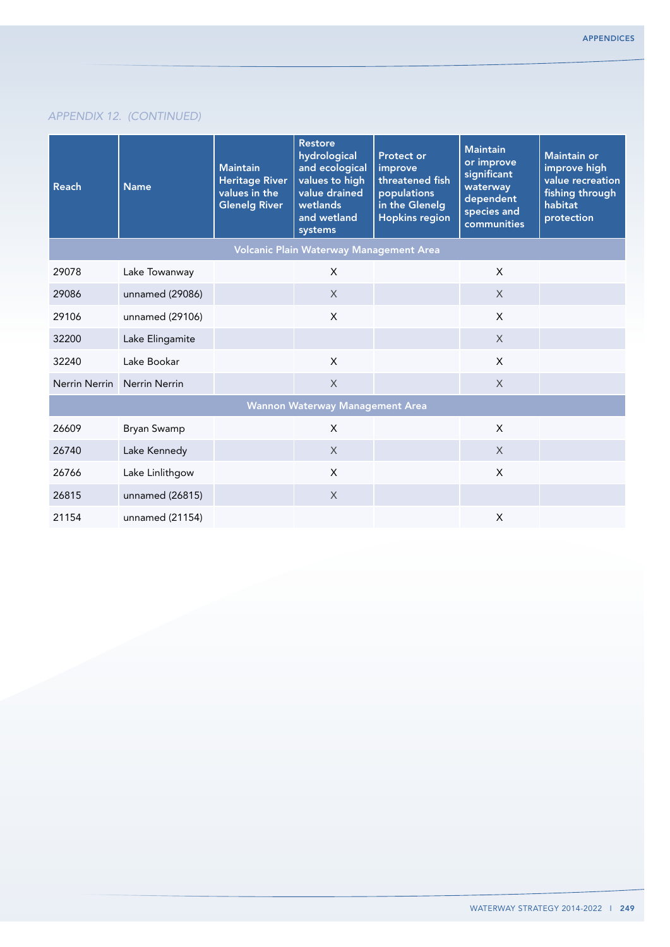| <b>Reach</b>                            | <b>Name</b>        | <b>Maintain</b><br><b>Heritage River</b><br>values in the<br><b>Glenelg River</b> | <b>Restore</b><br>hydrological<br>and ecological<br>values to high<br>value drained<br>wetlands<br>and wetland<br>systems | <b>Protect or</b><br>improve<br>threatened fish<br>populations<br>in the Glenelg<br><b>Hopkins region</b> | <b>Maintain</b><br>or improve<br>significant<br>waterway<br>dependent<br>species and<br>communities | <b>Maintain or</b><br>improve high<br>value recreation<br>fishing through<br>habitat<br>protection |
|-----------------------------------------|--------------------|-----------------------------------------------------------------------------------|---------------------------------------------------------------------------------------------------------------------------|-----------------------------------------------------------------------------------------------------------|-----------------------------------------------------------------------------------------------------|----------------------------------------------------------------------------------------------------|
| Volcanic Plain Waterway Management Area |                    |                                                                                   |                                                                                                                           |                                                                                                           |                                                                                                     |                                                                                                    |
| 29078                                   | Lake Towanway      |                                                                                   | X                                                                                                                         |                                                                                                           | X                                                                                                   |                                                                                                    |
| 29086                                   | unnamed (29086)    |                                                                                   | $\chi$                                                                                                                    |                                                                                                           | $\times$                                                                                            |                                                                                                    |
| 29106                                   | unnamed (29106)    |                                                                                   | $\mathsf{X}$                                                                                                              |                                                                                                           | $\sf X$                                                                                             |                                                                                                    |
| 32200                                   | Lake Elingamite    |                                                                                   |                                                                                                                           |                                                                                                           | $\times$                                                                                            |                                                                                                    |
| 32240                                   | Lake Bookar        |                                                                                   | X                                                                                                                         |                                                                                                           | X                                                                                                   |                                                                                                    |
| Nerrin Nerrin                           | Nerrin Nerrin      |                                                                                   | X                                                                                                                         |                                                                                                           | $\chi$                                                                                              |                                                                                                    |
|                                         |                    |                                                                                   | <b>Wannon Waterway Management Area</b>                                                                                    |                                                                                                           |                                                                                                     |                                                                                                    |
| 26609                                   | <b>Bryan Swamp</b> |                                                                                   | X                                                                                                                         |                                                                                                           | $\chi$                                                                                              |                                                                                                    |
| 26740                                   | Lake Kennedy       |                                                                                   | $\times$                                                                                                                  |                                                                                                           | $\times$                                                                                            |                                                                                                    |
| 26766                                   | Lake Linlithgow    |                                                                                   | X                                                                                                                         |                                                                                                           | $\mathsf{X}$                                                                                        |                                                                                                    |
| 26815                                   | unnamed (26815)    |                                                                                   | $\times$                                                                                                                  |                                                                                                           |                                                                                                     |                                                                                                    |
| 21154                                   | unnamed (21154)    |                                                                                   |                                                                                                                           |                                                                                                           | $\pmb{\times}$                                                                                      |                                                                                                    |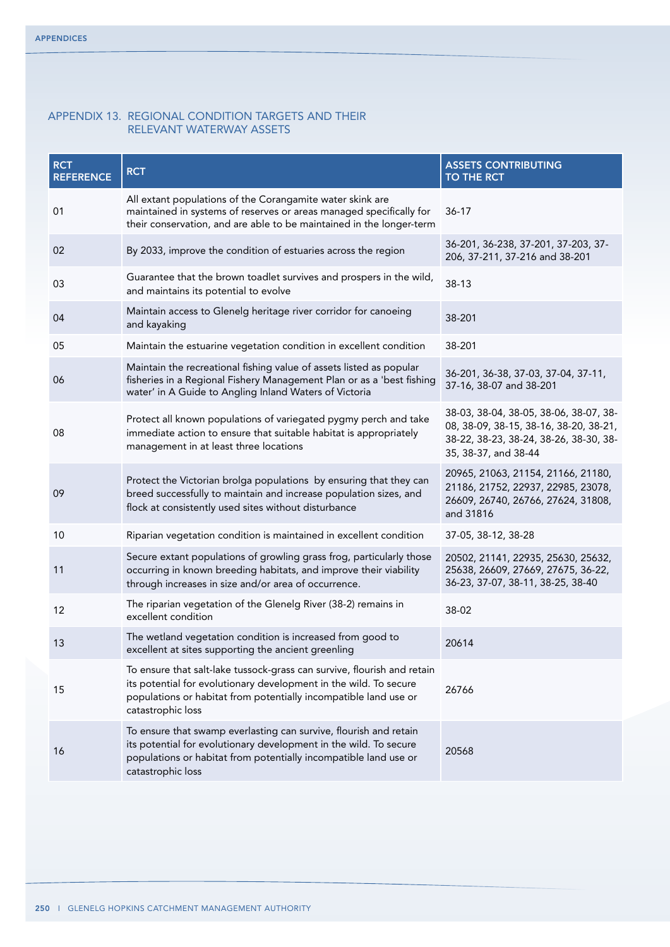## Appendix 13. Regional Condition Targets and their relevant waterway assets

| <b>RCT</b><br><b>REFERENCE</b> | <b>RCT</b>                                                                                                                                                                                                                            | <b>ASSETS CONTRIBUTING</b><br>TO THE RCT                                                                                                           |
|--------------------------------|---------------------------------------------------------------------------------------------------------------------------------------------------------------------------------------------------------------------------------------|----------------------------------------------------------------------------------------------------------------------------------------------------|
| 01                             | All extant populations of the Corangamite water skink are<br>maintained in systems of reserves or areas managed specifically for<br>their conservation, and are able to be maintained in the longer-term                              | $36-17$                                                                                                                                            |
| 02                             | By 2033, improve the condition of estuaries across the region                                                                                                                                                                         | 36-201, 36-238, 37-201, 37-203, 37-<br>206, 37-211, 37-216 and 38-201                                                                              |
| 03                             | Guarantee that the brown toadlet survives and prospers in the wild,<br>and maintains its potential to evolve                                                                                                                          | 38-13                                                                                                                                              |
| 04                             | Maintain access to Glenelg heritage river corridor for canoeing<br>and kayaking                                                                                                                                                       | 38-201                                                                                                                                             |
| 05                             | Maintain the estuarine vegetation condition in excellent condition                                                                                                                                                                    | 38-201                                                                                                                                             |
| 06                             | Maintain the recreational fishing value of assets listed as popular<br>fisheries in a Regional Fishery Management Plan or as a 'best fishing<br>water' in A Guide to Angling Inland Waters of Victoria                                | 36-201, 36-38, 37-03, 37-04, 37-11,<br>37-16, 38-07 and 38-201                                                                                     |
| 08                             | Protect all known populations of variegated pygmy perch and take<br>immediate action to ensure that suitable habitat is appropriately<br>management in at least three locations                                                       | 38-03, 38-04, 38-05, 38-06, 38-07, 38-<br>08, 38-09, 38-15, 38-16, 38-20, 38-21,<br>38-22, 38-23, 38-24, 38-26, 38-30, 38-<br>35, 38-37, and 38-44 |
| 09                             | Protect the Victorian brolga populations by ensuring that they can<br>breed successfully to maintain and increase population sizes, and<br>flock at consistently used sites without disturbance                                       | 20965, 21063, 21154, 21166, 21180,<br>21186, 21752, 22937, 22985, 23078,<br>26609, 26740, 26766, 27624, 31808,<br>and 31816                        |
| 10                             | Riparian vegetation condition is maintained in excellent condition                                                                                                                                                                    | 37-05, 38-12, 38-28                                                                                                                                |
| 11                             | Secure extant populations of growling grass frog, particularly those<br>occurring in known breeding habitats, and improve their viability<br>through increases in size and/or area of occurrence.                                     | 20502, 21141, 22935, 25630, 25632,<br>25638, 26609, 27669, 27675, 36-22,<br>36-23, 37-07, 38-11, 38-25, 38-40                                      |
| 12                             | The riparian vegetation of the Glenelg River (38-2) remains in<br>excellent condition                                                                                                                                                 | 38-02                                                                                                                                              |
| 13                             | The wetland vegetation condition is increased from good to<br>excellent at sites supporting the ancient greenling                                                                                                                     | 20614                                                                                                                                              |
| 15                             | To ensure that salt-lake tussock-grass can survive, flourish and retain<br>its potential for evolutionary development in the wild. To secure<br>populations or habitat from potentially incompatible land use or<br>catastrophic loss | 26766                                                                                                                                              |
| 16                             | To ensure that swamp everlasting can survive, flourish and retain<br>its potential for evolutionary development in the wild. To secure<br>populations or habitat from potentially incompatible land use or<br>catastrophic loss       | 20568                                                                                                                                              |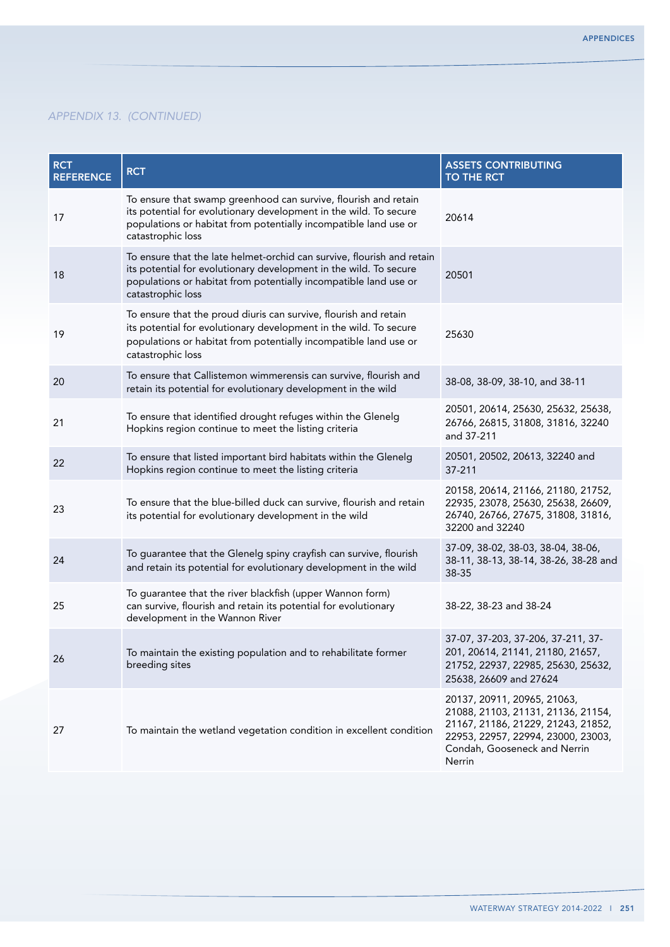| <b>RCT</b><br><b>REFERENCE</b> | <b>RCT</b>                                                                                                                                                                                                                           | <b>ASSETS CONTRIBUTING</b><br>TO THE RCT                                                                                                                                                |
|--------------------------------|--------------------------------------------------------------------------------------------------------------------------------------------------------------------------------------------------------------------------------------|-----------------------------------------------------------------------------------------------------------------------------------------------------------------------------------------|
| 17                             | To ensure that swamp greenhood can survive, flourish and retain<br>its potential for evolutionary development in the wild. To secure<br>populations or habitat from potentially incompatible land use or<br>catastrophic loss        | 20614                                                                                                                                                                                   |
| 18                             | To ensure that the late helmet-orchid can survive, flourish and retain<br>its potential for evolutionary development in the wild. To secure<br>populations or habitat from potentially incompatible land use or<br>catastrophic loss | 20501                                                                                                                                                                                   |
| 19                             | To ensure that the proud diuris can survive, flourish and retain<br>its potential for evolutionary development in the wild. To secure<br>populations or habitat from potentially incompatible land use or<br>catastrophic loss       | 25630                                                                                                                                                                                   |
| 20                             | To ensure that Callistemon wimmerensis can survive, flourish and<br>retain its potential for evolutionary development in the wild                                                                                                    | 38-08, 38-09, 38-10, and 38-11                                                                                                                                                          |
| 21                             | To ensure that identified drought refuges within the Glenelg<br>Hopkins region continue to meet the listing criteria                                                                                                                 | 20501, 20614, 25630, 25632, 25638,<br>26766, 26815, 31808, 31816, 32240<br>and 37-211                                                                                                   |
| 22                             | To ensure that listed important bird habitats within the Glenelg<br>Hopkins region continue to meet the listing criteria                                                                                                             | 20501, 20502, 20613, 32240 and<br>37-211                                                                                                                                                |
| 23                             | To ensure that the blue-billed duck can survive, flourish and retain<br>its potential for evolutionary development in the wild                                                                                                       | 20158, 20614, 21166, 21180, 21752,<br>22935, 23078, 25630, 25638, 26609,<br>26740, 26766, 27675, 31808, 31816,<br>32200 and 32240                                                       |
| 24                             | To guarantee that the Glenelg spiny crayfish can survive, flourish<br>and retain its potential for evolutionary development in the wild                                                                                              | 37-09, 38-02, 38-03, 38-04, 38-06,<br>38-11, 38-13, 38-14, 38-26, 38-28 and<br>38-35                                                                                                    |
| 25                             | To guarantee that the river blackfish (upper Wannon form)<br>can survive, flourish and retain its potential for evolutionary<br>development in the Wannon River                                                                      | 38-22, 38-23 and 38-24                                                                                                                                                                  |
| 26                             | To maintain the existing population and to rehabilitate former<br>breeding sites                                                                                                                                                     | 37-07, 37-203, 37-206, 37-211, 37-<br>201, 20614, 21141, 21180, 21657,<br>21752, 22937, 22985, 25630, 25632,<br>25638, 26609 and 27624                                                  |
| 27                             | To maintain the wetland vegetation condition in excellent condition                                                                                                                                                                  | 20137, 20911, 20965, 21063,<br>21088, 21103, 21131, 21136, 21154,<br>21167, 21186, 21229, 21243, 21852,<br>22953, 22957, 22994, 23000, 23003,<br>Condah, Gooseneck and Nerrin<br>Nerrin |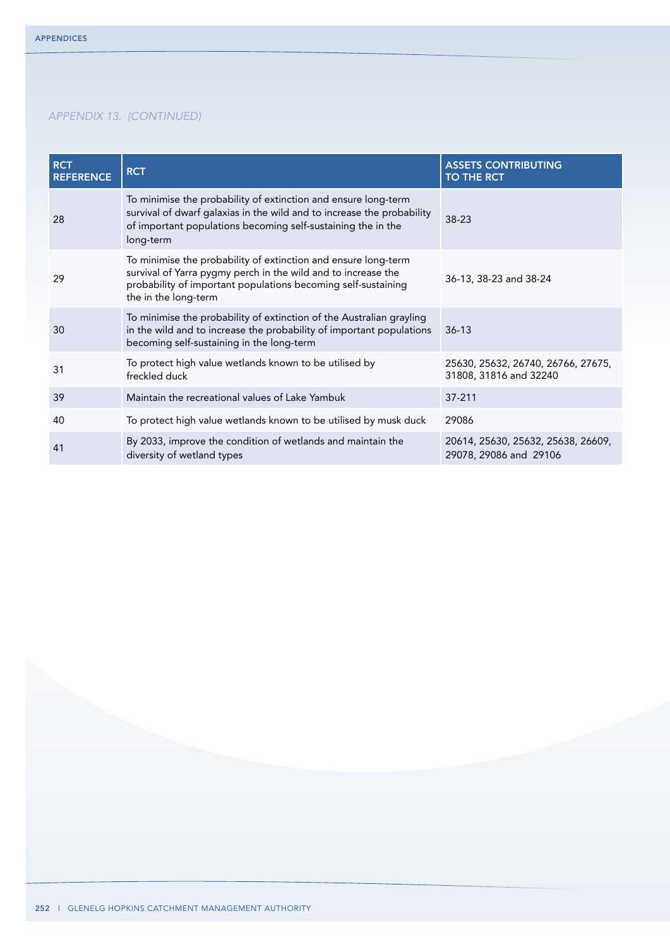| <b>RCT</b><br><b>REFERENCE</b> | <b>RCT</b>                                                                                                                                                                                                               | <b>ASSETS CONTRIBUTING</b><br><b>TO THE RCT</b>              |
|--------------------------------|--------------------------------------------------------------------------------------------------------------------------------------------------------------------------------------------------------------------------|--------------------------------------------------------------|
| 28                             | To minimise the probability of extinction and ensure long-term<br>survival of dwarf galaxias in the wild and to increase the probability<br>of important populations becoming self-sustaining the in the<br>long-term    | 38-23                                                        |
| 29                             | To minimise the probability of extinction and ensure long-term<br>survival of Yarra pygmy perch in the wild and to increase the<br>probability of important populations becoming self-sustaining<br>the in the long-term | 36-13, 38-23 and 38-24                                       |
| 30                             | To minimise the probability of extinction of the Australian grayling<br>in the wild and to increase the probability of important populations<br>becoming self-sustaining in the long-term                                | $36-13$                                                      |
| 31                             | To protect high value wetlands known to be utilised by<br>freckled duck                                                                                                                                                  | 25630, 25632, 26740, 26766, 27675,<br>31808, 31816 and 32240 |
| 39                             | Maintain the recreational values of Lake Yambuk                                                                                                                                                                          | 37-211                                                       |
| 40                             | To protect high value wetlands known to be utilised by musk duck                                                                                                                                                         | 29086                                                        |
| 41                             | By 2033, improve the condition of wetlands and maintain the<br>diversity of wetland types                                                                                                                                | 20614, 25630, 25632, 25638, 26609,<br>29078, 29086 and 29106 |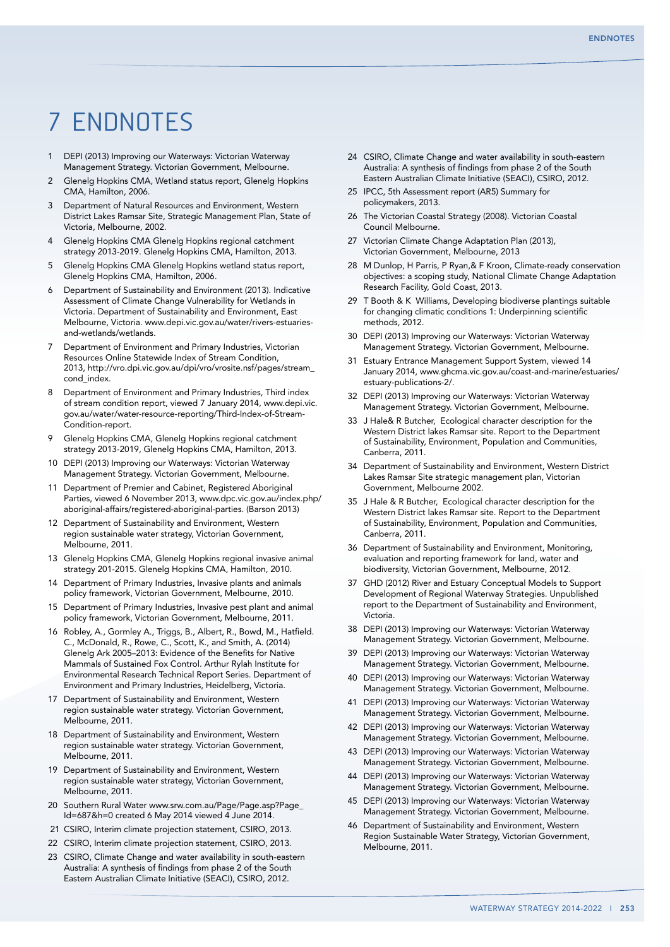# 7 Endnotes

- 1 DEPI (2013) Improving our Waterways: Victorian Waterway Management Strategy. Victorian Government, Melbourne.
- 2 Glenelg Hopkins CMA, Wetland status report, Glenelg Hopkins CMA, Hamilton, 2006.
- 3 Department of Natural Resources and Environment, Western District Lakes Ramsar Site, Strategic Management Plan, State of Victoria, Melbourne, 2002.
- 4 Glenelg Hopkins CMA Glenelg Hopkins regional catchment strategy 2013-2019. Glenelg Hopkins CMA, Hamilton, 2013.
- 5 Glenelg Hopkins CMA Glenelg Hopkins wetland status report, Glenelg Hopkins CMA, Hamilton, 2006.
- 6 Department of Sustainability and Environment (2013). Indicative Assessment of Climate Change Vulnerability for Wetlands in Victoria. Department of Sustainability and Environment, East Melbourne, Victoria. www.depi.vic.gov.au/water/rivers-estuariesand-wetlands/wetlands.
- Department of Environment and Primary Industries, Victorian Resources Online Statewide Index of Stream Condition, 2013, http://vro.dpi.vic.gov.au/dpi/vro/vrosite.nsf/pages/stream\_ cond\_index.
- 8 Department of Environment and Primary Industries, Third index of stream condition report, viewed 7 January 2014, www.depi.vic. gov.au/water/water-resource-reporting/Third-Index-of-Stream-Condition-report.
- 9 Glenelg Hopkins CMA, Glenelg Hopkins regional catchment strategy 2013-2019, Glenelg Hopkins CMA, Hamilton, 2013.
- 10 DEPI (2013) Improving our Waterways: Victorian Waterway Management Strategy. Victorian Government, Melbourne.
- 11 Department of Premier and Cabinet, Registered Aboriginal Parties, viewed 6 November 2013, www.dpc.vic.gov.au/index.php/ aboriginal-affairs/registered-aboriginal-parties. (Barson 2013)
- 12 Department of Sustainability and Environment, Western region sustainable water strategy, Victorian Government, Melbourne, 2011.
- 13 Glenelg Hopkins CMA, Glenelg Hopkins regional invasive animal strategy 201-2015. Glenelg Hopkins CMA, Hamilton, 2010.
- 14 Department of Primary Industries, Invasive plants and animals policy framework, Victorian Government, Melbourne, 2010.
- 15 Department of Primary Industries, Invasive pest plant and animal policy framework, Victorian Government, Melbourne, 2011.
- 16 Robley, A., Gormley A., Triggs, B., Albert, R., Bowd, M., Hatfield. C., McDonald, R., Rowe, C., Scott, K., and Smith, A. (2014) Glenelg Ark 2005–2013: Evidence of the Benefits for Native Mammals of Sustained Fox Control. Arthur Rylah Institute for Environmental Research Technical Report Series. Department of Environment and Primary Industries, Heidelberg, Victoria.
- 17 Department of Sustainability and Environment, Western region sustainable water strategy. Victorian Government, Melbourne, 2011.
- 18 Department of Sustainability and Environment, Western region sustainable water strategy. Victorian Government, Melbourne, 2011.
- 19 Department of Sustainability and Environment, Western region sustainable water strategy, Victorian Government, Melbourne, 2011.
- 20 Southern Rural Water www.srw.com.au/Page/Page.asp?Page\_ Id=687&h=0 created 6 May 2014 viewed 4 June 2014.
- 21 CSIRO, Interim climate projection statement, CSIRO, 2013.
- 22 CSIRO, Interim climate projection statement, CSIRO, 2013.
- 23 CSIRO, Climate Change and water availability in south-eastern Australia: A synthesis of findings from phase 2 of the South Eastern Australian Climate Initiative (SEACI), CSIRO, 2012.
- 24 CSIRO, Climate Change and water availability in south-eastern Australia: A synthesis of findings from phase 2 of the South Eastern Australian Climate Initiative (SEACI), CSIRO, 2012.
- 25 IPCC, 5th Assessment report (AR5) Summary for policymakers, 2013.
- 26 The Victorian Coastal Strategy (2008). Victorian Coastal Council Melbourne.
- 27 Victorian Climate Change Adaptation Plan (2013), Victorian Government, Melbourne, 2013
- 28 M Dunlop, H Parris, P Ryan,& F Kroon, Climate-ready conservation objectives: a scoping study, National Climate Change Adaptation Research Facility, Gold Coast, 2013.
- 29 T Booth & K Williams, Developing biodiverse plantings suitable for changing climatic conditions 1: Underpinning scientific methods, 2012.
- 30 DEPI (2013) Improving our Waterways: Victorian Waterway Management Strategy. Victorian Government, Melbourne.
- 31 Estuary Entrance Management Support System, viewed 14 January 2014, www.ghcma.vic.gov.au/coast-and-marine/estuaries/ estuary-publications-2/.
- 32 DEPI (2013) Improving our Waterways: Victorian Waterway Management Strategy. Victorian Government, Melbourne.
- 33 J Hale& R Butcher, Ecological character description for the Western District lakes Ramsar site. Report to the Department of Sustainability, Environment, Population and Communities, Canberra, 2011.
- 34 Department of Sustainability and Environment, Western District Lakes Ramsar Site strategic management plan, Victorian Government, Melbourne 2002.
- 35 J Hale & R Butcher, Ecological character description for the Western District lakes Ramsar site. Report to the Department of Sustainability, Environment, Population and Communities, Canberra, 2011.
- 36 Department of Sustainability and Environment, Monitoring, evaluation and reporting framework for land, water and biodiversity, Victorian Government, Melbourne, 2012.
- 37 GHD (2012) River and Estuary Conceptual Models to Support Development of Regional Waterway Strategies. Unpublished report to the Department of Sustainability and Environment, Victoria.
- 38 DEPI (2013) Improving our Waterways: Victorian Waterway Management Strategy. Victorian Government, Melbourne.
- 39 DEPI (2013) Improving our Waterways: Victorian Waterway Management Strategy. Victorian Government, Melbourne.
- 40 DEPI (2013) Improving our Waterways: Victorian Waterway Management Strategy. Victorian Government, Melbourne.
- 41 DEPI (2013) Improving our Waterways: Victorian Waterway Management Strategy. Victorian Government, Melbourne.
- 42 DEPI (2013) Improving our Waterways: Victorian Waterway Management Strategy. Victorian Government, Melbourne.
- 43 DEPI (2013) Improving our Waterways: Victorian Waterway Management Strategy. Victorian Government, Melbourne.
- 44 DEPI (2013) Improving our Waterways: Victorian Waterway Management Strategy. Victorian Government, Melbourne.
- 45 DEPI (2013) Improving our Waterways: Victorian Waterway Management Strategy. Victorian Government, Melbourne.
- 46 Department of Sustainability and Environment, Western Region Sustainable Water Strategy, Victorian Government, Melbourne, 2011.